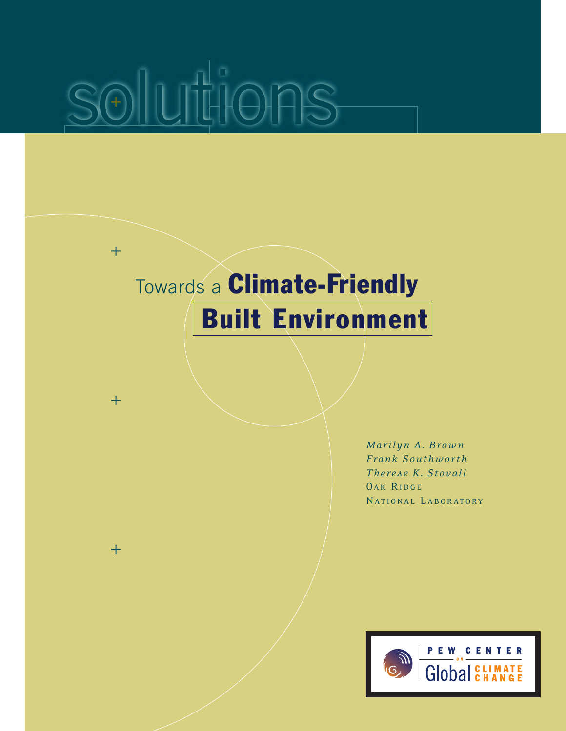# solutions

 $+$ 

 $+$ 

 $+$ 

# Towards a **Climate-Friendly**

# **Built Environment**

*Marilyn A. Brown Frank Southworth Therese K. Stovall* OAK RIDGE NATIONAL LABORATORY

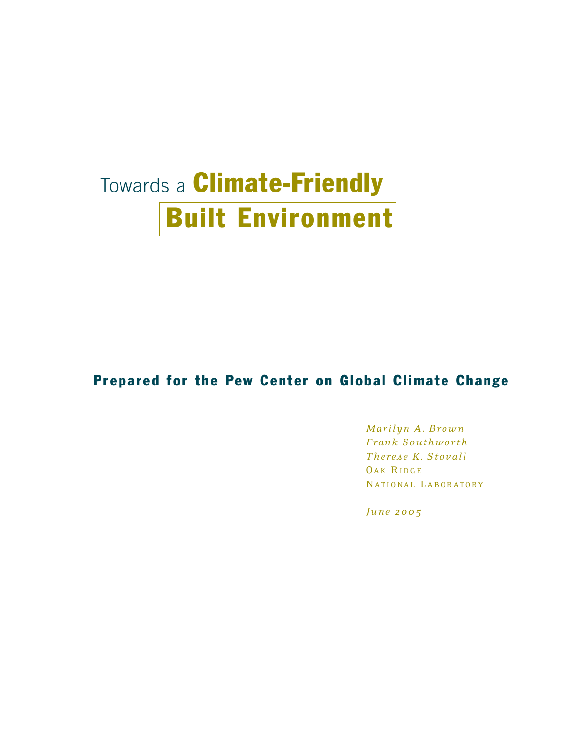# Towards a **Climate-Friendly Built Environment**

# **Prepared for the Pew Center on Global Climate Change**

*Marilyn A. Brown Frank Southworth Therese K. Stovall* OAK RIDGE NATIONAL LABORATORY

*June 2005*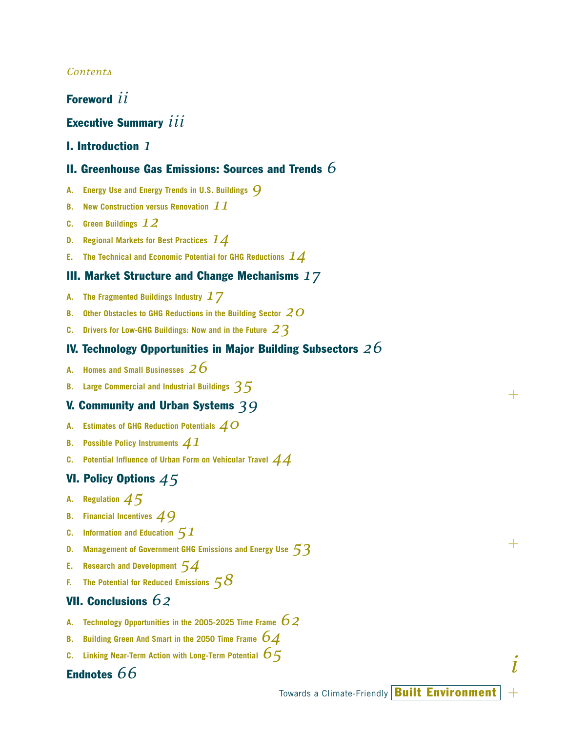# *Contents*

# **Foreword** *ii*

# **Executive Summary** *iii*

# **I. Introduction** *1*

# **II. Greenhouse Gas Emissions: Sources and Trends** *6*

- **A. Energy Use and Energy Trends in U.S. Buildings** *9*
- **B. New Construction versus Renovation** *11*
- **C. Green Buildings** *12*
- **D. Regional Markets for Best Practices** *14*
- **E. The Technical and Economic Potential for GHG Reductions** *14*

# **III. Market Structure and Change Mechanisms** *17*

- **A. The Fragmented Buildings Industry** *17*
- **B. Other Obstacles to GHG Reductions in the Building Sector** *20*
- **C. Drivers for Low-GHG Buildings: Now and in the Future** *23*

# **IV. Technology Opportunities in Major Building Subsectors** *26*

- **A. Homes and Small Businesses** *26*
- **B. Large Commercial and Industrial Buildings** *35*

## **V. Community and Urban Systems** *39*

- **A. Estimates of GHG Reduction Potentials** *40*
- **B. Possible Policy Instruments** *41*
- **C. Potential Influence of Urban Form on Vehicular Travel** *44*

# **VI. Policy Options** *45*

- **A. Regulation** *45*
- **B. Financial Incentives** *49*
- **C. Information and Education** *51*
- **D. Management of Government GHG Emissions and Energy Use** *53*
- **E. Research and Development** *54*
- **F. The Potential for Reduced Emissions** *58*

# **VII. Conclusions** *62*

- **A. Technology Opportunities in the 2005-2025 Time Frame** *62*
- **B. Building Green And Smart in the 2050 Time Frame** *64*
- **C. Linking Near-Term Action with Long-Term Potential** *65*

# **Endnotes** *66*

Towards a Climate-Friendly **Built Environment**

*i*

+

 $+$ 

 $\pm$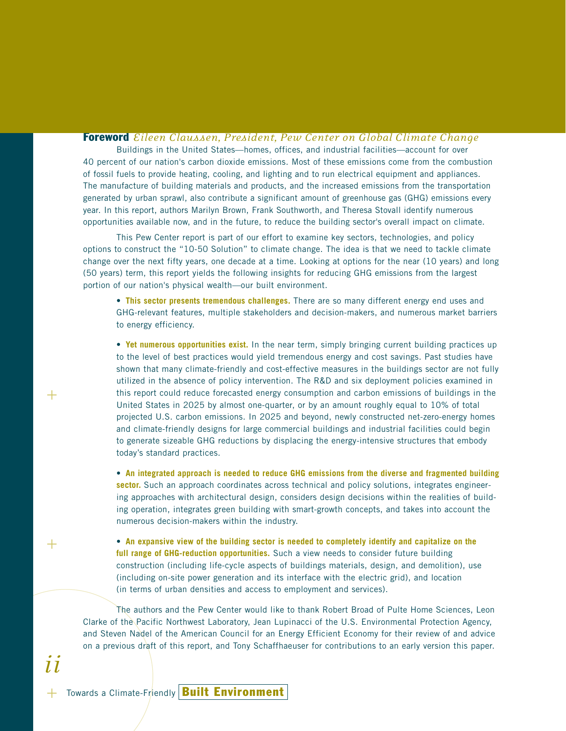#### **Foreword** *Eileen Claussen, President, Pew Center on Global Climate Change*

Buildings in the United States—homes, offices, and industrial facilities—account for over 40 percent of our nation's carbon dioxide emissions. Most of these emissions come from the combustion of fossil fuels to provide heating, cooling, and lighting and to run electrical equipment and appliances. The manufacture of building materials and products, and the increased emissions from the transportation generated by urban sprawl, also contribute a significant amount of greenhouse gas (GHG) emissions every year. In this report, authors Marilyn Brown, Frank Southworth, and Theresa Stovall identify numerous opportunities available now, and in the future, to reduce the building sector's overall impact on climate.

This Pew Center report is part of our effort to examine key sectors, technologies, and policy options to construct the "10-50 Solution" to climate change. The idea is that we need to tackle climate change over the next fifty years, one decade at a time. Looking at options for the near (10 years) and long (50 years) term, this report yields the following insights for reducing GHG emissions from the largest portion of our nation's physical wealth—our built environment.

• **This sector presents tremendous challenges.** There are so many different energy end uses and GHG-relevant features, multiple stakeholders and decision-makers, and numerous market barriers to energy efficiency.

• **Yet numerous opportunities exist.** In the near term, simply bringing current building practices up to the level of best practices would yield tremendous energy and cost savings. Past studies have shown that many climate-friendly and cost-effective measures in the buildings sector are not fully utilized in the absence of policy intervention. The R&D and six deployment policies examined in this report could reduce forecasted energy consumption and carbon emissions of buildings in the United States in 2025 by almost one-quarter, or by an amount roughly equal to 10% of total projected U.S. carbon emissions. In 2025 and beyond, newly constructed net-zero-energy homes and climate-friendly designs for large commercial buildings and industrial facilities could begin to generate sizeable GHG reductions by displacing the energy-intensive structures that embody today's standard practices.

• **An integrated approach is needed to reduce GHG emissions from the diverse and fragmented building sector.** Such an approach coordinates across technical and policy solutions, integrates engineering approaches with architectural design, considers design decisions within the realities of building operation, integrates green building with smart-growth concepts, and takes into account the numerous decision-makers within the industry.

• **An expansive view of the building sector is needed to completely identify and capitalize on the full range of GHG-reduction opportunities.** Such a view needs to consider future building construction (including life-cycle aspects of buildings materials, design, and demolition), use (including on-site power generation and its interface with the electric grid), and location (in terms of urban densities and access to employment and services).

The authors and the Pew Center would like to thank Robert Broad of Pulte Home Sciences, Leon Clarke of the Pacific Northwest Laboratory, Jean Lupinacci of the U.S. Environmental Protection Agency, and Steven Nadel of the American Council for an Energy Efficient Economy for their review of and advice on a previous draft of this report, and Tony Schaffhaeuser for contributions to an early version this paper.

 $+$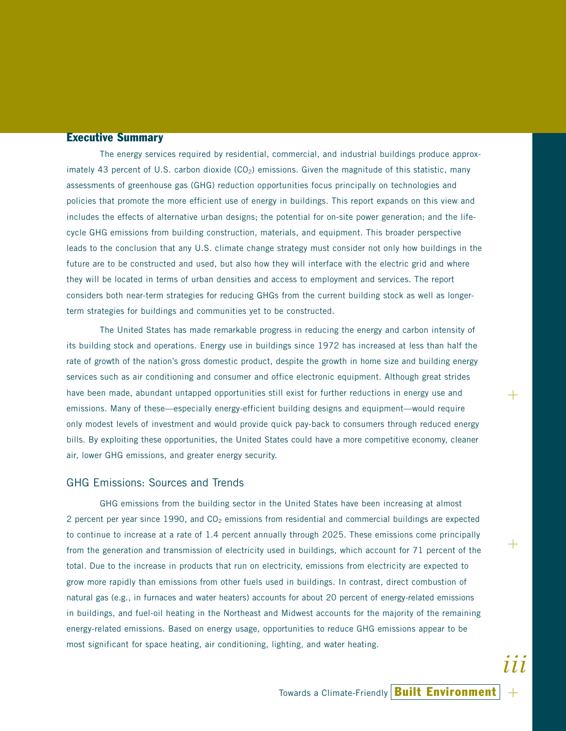# **Executive Summary**

The energy services required by residential, commercial, and industrial buildings produce approximately 43 percent of U.S. carbon dioxide  $(CO<sub>2</sub>)$  emissions. Given the magnitude of this statistic, many assessments of greenhouse gas (GHG) reduction opportunities focus principally on technologies and policies that promote the more efficient use of energy in buildings. This report expands on this view and includes the effects of alternative urban designs; the potential for on-site power generation; and the lifecycle GHG emissions from building construction, materials, and equipment. This broader perspective leads to the conclusion that any U.S. climate change strategy must consider not only how buildings in the future are to be constructed and used, but also how they will interface with the electric grid and where they will be located in terms of urban densities and access to employment and services. The report considers both near-term strategies for reducing GHGs from the current building stock as well as longerterm strategies for buildings and communities yet to be constructed.

The United States has made remarkable progress in reducing the energy and carbon intensity of its building stock and operations. Energy use in buildings since 1972 has increased at less than half the rate of growth of the nation's gross domestic product, despite the growth in home size and building energy services such as air conditioning and consumer and office electronic equipment. Although great strides have been made, abundant untapped opportunities still exist for further reductions in energy use and emissions. Many of these—especially energy-efficient building designs and equipment—would require only modest levels of investment and would provide quick pay-back to consumers through reduced energy bills. By exploiting these opportunities, the United States could have a more competitive economy, cleaner air, lower GHG emissions, and greater energy security.

#### GHG Emissions: Sources and Trends

GHG emissions from the building sector in the United States have been increasing at almost 2 percent per year since 1990, and  $CO<sub>2</sub>$  emissions from residential and commercial buildings are expected to continue to increase at a rate of 1.4 percent annually through 2025. These emissions come principally from the generation and transmission of electricity used in buildings, which account for 71 percent of the total. Due to the increase in products that run on electricity, emissions from electricity are expected to grow more rapidly than emissions from other fuels used in buildings. In contrast, direct combustion of natural gas (e.g., in furnaces and water heaters) accounts for about 20 percent of energy-related emissions in buildings, and fuel-oil heating in the Northeast and Midwest accounts for the majority of the remaining energy-related emissions. Based on energy usage, opportunities to reduce GHG emissions appear to be most significant for space heating, air conditioning, lighting, and water heating.

+

+

+

*iii*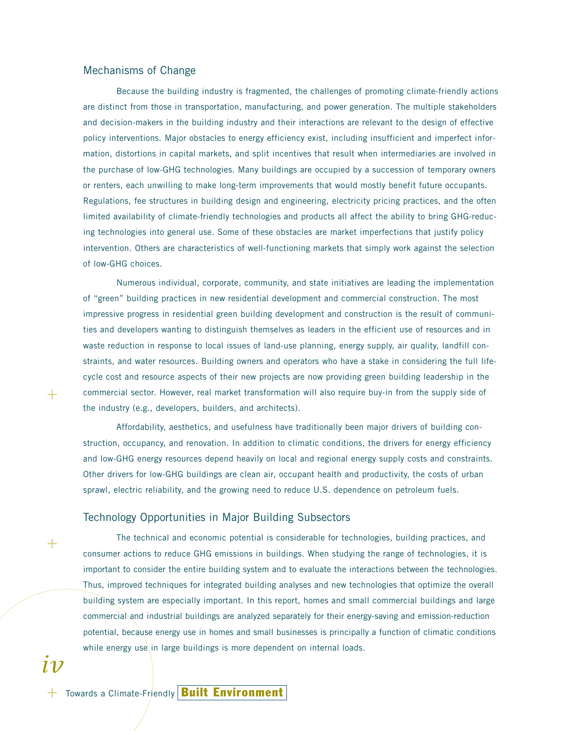# Mechanisms of Change

Because the building industry is fragmented, the challenges of promoting climate-friendly actions are distinct from those in transportation, manufacturing, and power generation. The multiple stakeholders and decision-makers in the building industry and their interactions are relevant to the design of effective policy interventions. Major obstacles to energy efficiency exist, including insufficient and imperfect information, distortions in capital markets, and split incentives that result when intermediaries are involved in the purchase of low-GHG technologies. Many buildings are occupied by a succession of temporary owners or renters, each unwilling to make long-term improvements that would mostly benefit future occupants. Regulations, fee structures in building design and engineering, electricity pricing practices, and the often limited availability of climate-friendly technologies and products all affect the ability to bring GHG-reducing technologies into general use. Some of these obstacles are market imperfections that justify policy intervention. Others are characteristics of well-functioning markets that simply work against the selection of low-GHG choices.

Numerous individual, corporate, community, and state initiatives are leading the implementation of "green" building practices in new residential development and commercial construction. The most impressive progress in residential green building development and construction is the result of communities and developers wanting to distinguish themselves as leaders in the efficient use of resources and in waste reduction in response to local issues of land-use planning, energy supply, air quality, landfill constraints, and water resources. Building owners and operators who have a stake in considering the full lifecycle cost and resource aspects of their new projects are now providing green building leadership in the commercial sector. However, real market transformation will also require buy-in from the supply side of the industry (e.g., developers, builders, and architects).

Affordability, aesthetics, and usefulness have traditionally been major drivers of building construction, occupancy, and renovation. In addition to climatic conditions, the drivers for energy efficiency and low-GHG energy resources depend heavily on local and regional energy supply costs and constraints. Other drivers for low-GHG buildings are clean air, occupant health and productivity, the costs of urban sprawl, electric reliability, and the growing need to reduce U.S. dependence on petroleum fuels.

# Technology Opportunities in Major Building Subsectors

The technical and economic potential is considerable for technologies, building practices, and consumer actions to reduce GHG emissions in buildings. When studying the range of technologies, it is important to consider the entire building system and to evaluate the interactions between the technologies. Thus, improved techniques for integrated building analyses and new technologies that optimize the overall building system are especially important. In this report, homes and small commercial buildings and large commercial and industrial buildings are analyzed separately for their energy-saving and emission-reduction potential, because energy use in homes and small businesses is principally a function of climatic conditions while energy use in large buildings is more dependent on internal loads.

 $+$ 

 $\mathrm{+}$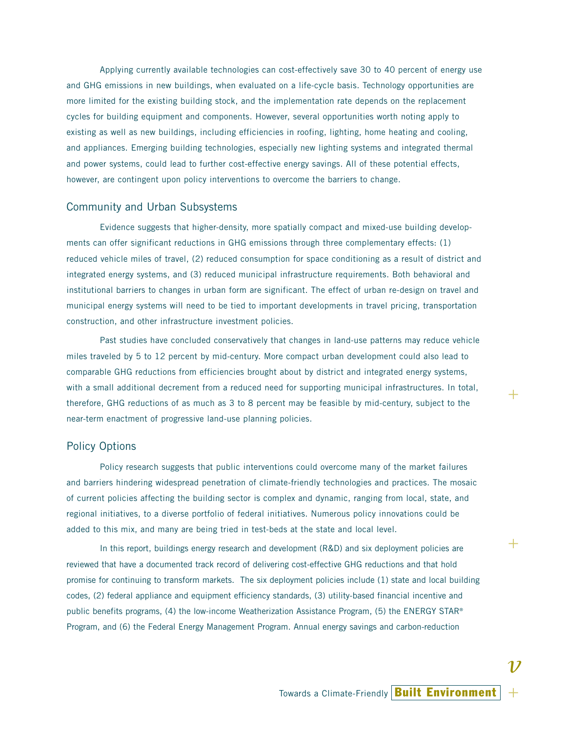Applying currently available technologies can cost-effectively save 30 to 40 percent of energy use and GHG emissions in new buildings, when evaluated on a life-cycle basis. Technology opportunities are more limited for the existing building stock, and the implementation rate depends on the replacement cycles for building equipment and components. However, several opportunities worth noting apply to existing as well as new buildings, including efficiencies in roofing, lighting, home heating and cooling, and appliances. Emerging building technologies, especially new lighting systems and integrated thermal and power systems, could lead to further cost-effective energy savings. All of these potential effects, however, are contingent upon policy interventions to overcome the barriers to change.

## Community and Urban Subsystems

Evidence suggests that higher-density, more spatially compact and mixed-use building developments can offer significant reductions in GHG emissions through three complementary effects: (1) reduced vehicle miles of travel, (2) reduced consumption for space conditioning as a result of district and integrated energy systems, and (3) reduced municipal infrastructure requirements. Both behavioral and institutional barriers to changes in urban form are significant. The effect of urban re-design on travel and municipal energy systems will need to be tied to important developments in travel pricing, transportation construction, and other infrastructure investment policies.

Past studies have concluded conservatively that changes in land-use patterns may reduce vehicle miles traveled by 5 to 12 percent by mid-century. More compact urban development could also lead to comparable GHG reductions from efficiencies brought about by district and integrated energy systems, with a small additional decrement from a reduced need for supporting municipal infrastructures. In total, therefore, GHG reductions of as much as 3 to 8 percent may be feasible by mid-century, subject to the near-term enactment of progressive land-use planning policies.

## Policy Options

Policy research suggests that public interventions could overcome many of the market failures and barriers hindering widespread penetration of climate-friendly technologies and practices. The mosaic of current policies affecting the building sector is complex and dynamic, ranging from local, state, and regional initiatives, to a diverse portfolio of federal initiatives. Numerous policy innovations could be added to this mix, and many are being tried in test-beds at the state and local level.

In this report, buildings energy research and development (R&D) and six deployment policies are reviewed that have a documented track record of delivering cost-effective GHG reductions and that hold promise for continuing to transform markets. The six deployment policies include (1) state and local building codes, (2) federal appliance and equipment efficiency standards, (3) utility-based financial incentive and public benefits programs, (4) the low-income Weatherization Assistance Program, (5) the ENERGY STAR® Program, and (6) the Federal Energy Management Program. Annual energy savings and carbon-reduction

+

 $+$ 

*v*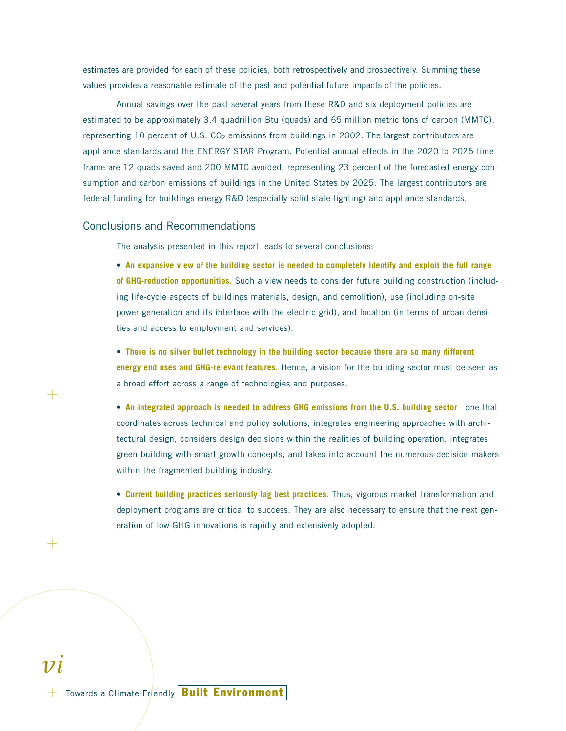estimates are provided for each of these policies, both retrospectively and prospectively. Summing these values provides a reasonable estimate of the past and potential future impacts of the policies.

Annual savings over the past several years from these R&D and six deployment policies are estimated to be approximately 3.4 quadrillion Btu (quads) and 65 million metric tons of carbon (MMTC), representing 10 percent of U.S.  $CO<sub>2</sub>$  emissions from buildings in 2002. The largest contributors are appliance standards and the ENERGY STAR Program. Potential annual effects in the 2020 to 2025 time frame are 12 quads saved and 200 MMTC avoided, representing 23 percent of the forecasted energy consumption and carbon emissions of buildings in the United States by 2025. The largest contributors are federal funding for buildings energy R&D (especially solid-state lighting) and appliance standards.

# Conclusions and Recommendations

+

 $\, +$ 

The analysis presented in this report leads to several conclusions:

• **An expansive view of the building sector is needed to completely identify and exploit the full range of GHG-reduction opportunities.** Such a view needs to consider future building construction (including life-cycle aspects of buildings materials, design, and demolition), use (including on-site power generation and its interface with the electric grid), and location (in terms of urban densities and access to employment and services).

• **There is no silver bullet technology in the building sector because there are so many different energy end uses and GHG-relevant features.** Hence, a vision for the building sector must be seen as a broad effort across a range of technologies and purposes.

• **An integrated approach is needed to address GHG emissions from the U.S. building sector**—one that coordinates across technical and policy solutions, integrates engineering approaches with architectural design, considers design decisions within the realities of building operation, integrates green building with smart-growth concepts, and takes into account the numerous decision-makers within the fragmented building industry.

• **Current building practices seriously lag best practices.** Thus, vigorous market transformation and deployment programs are critical to success. They are also necessary to ensure that the next generation of low-GHG innovations is rapidly and extensively adopted.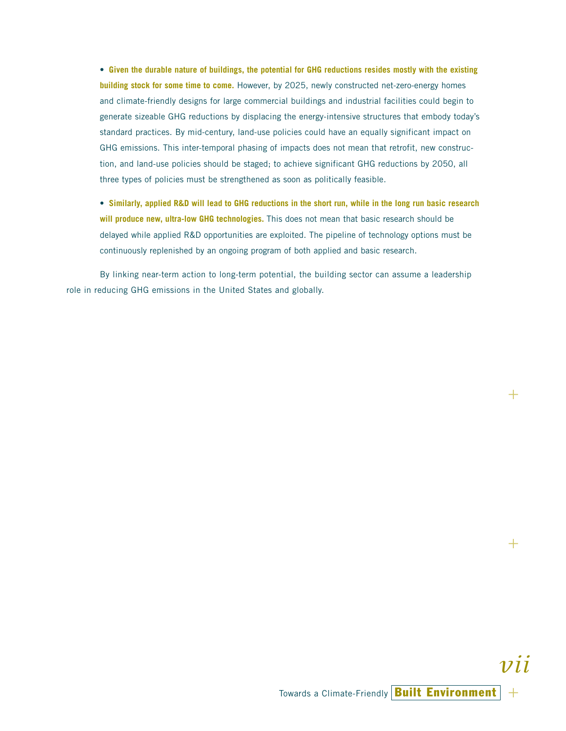• **Given the durable nature of buildings, the potential for GHG reductions resides mostly with the existing building stock for some time to come.** However, by 2025, newly constructed net-zero-energy homes and climate-friendly designs for large commercial buildings and industrial facilities could begin to generate sizeable GHG reductions by displacing the energy-intensive structures that embody today's standard practices. By mid-century, land-use policies could have an equally significant impact on GHG emissions. This inter-temporal phasing of impacts does not mean that retrofit, new construction, and land-use policies should be staged; to achieve significant GHG reductions by 2050, all three types of policies must be strengthened as soon as politically feasible.

• **Similarly, applied R&D will lead to GHG reductions in the short run, while in the long run basic research will produce new, ultra-low GHG technologies.** This does not mean that basic research should be delayed while applied R&D opportunities are exploited. The pipeline of technology options must be continuously replenished by an ongoing program of both applied and basic research.

By linking near-term action to long-term potential, the building sector can assume a leadership role in reducing GHG emissions in the United States and globally.

 $\pm$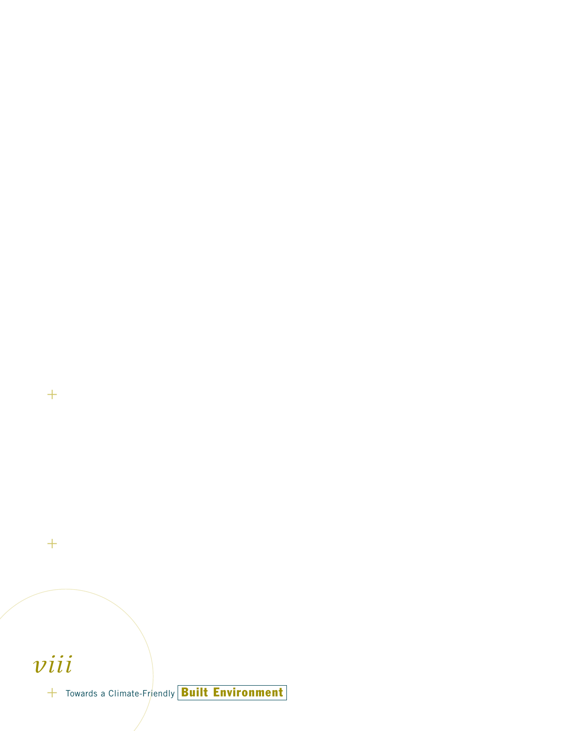# *viii*

 $+$ 

 $+$ 

+ Towards a Climate-Friendly **Built Environment**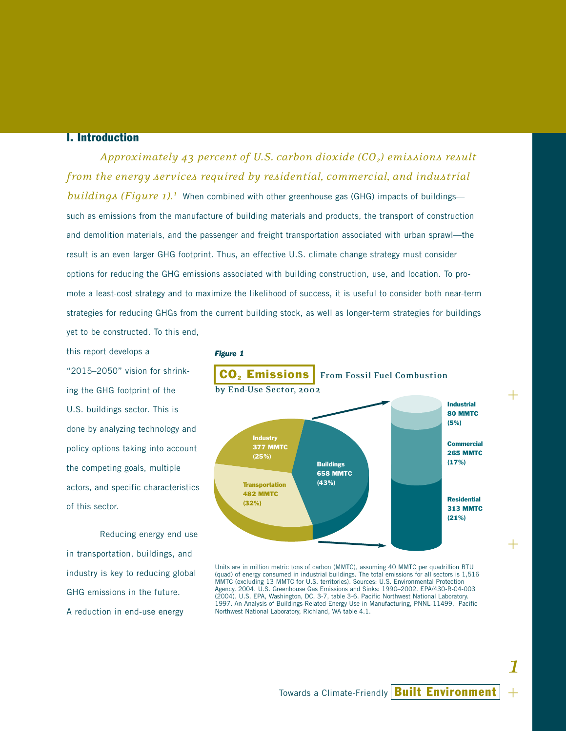# **I. Introduction**

*Approximately 43 percent of U.S. carbon dioxide (CO<sub>2</sub>) emissions result from the energy services required by residential, commercial, and industrial buildings (Figure 1).<sup>1</sup>* When combined with other greenhouse gas (GHG) impacts of buildings such as emissions from the manufacture of building materials and products, the transport of construction and demolition materials, and the passenger and freight transportation associated with urban sprawl—the result is an even larger GHG footprint. Thus, an effective U.S. climate change strategy must consider options for reducing the GHG emissions associated with building construction, use, and location. To promote a least-cost strategy and to maximize the likelihood of success, it is useful to consider both near-term strategies for reducing GHGs from the current building stock, as well as longer-term strategies for buildings yet to be constructed. To this end,

this report develops a "2015–2050" vision for shrinking the GHG footprint of the U.S. buildings sector. This is done by analyzing technology and policy options taking into account the competing goals, multiple actors, and specific characteristics of this sector.

Reducing energy end use in transportation, buildings, and industry is key to reducing global GHG emissions in the future. A reduction in end-use energy

#### *Figure 1*



+

+

+

*1*

Units are in million metric tons of carbon (MMTC), assuming 40 MMTC per quadrillion BTU (quad) of energy consumed in industrial buildings. The total emissions for all sectors is 1,516 MMTC (excluding 13 MMTC for U.S. territories). Sources: U.S. Environmental Protection Agency. 2004. U.S. Greenhouse Gas Emissions and Sinks: 1990–2002. EPA/430-R-04-003 (2004). U.S. EPA, Washington, DC, 3-7, table 3-6. Pacific Northwest National Laboratory. 1997. An Analysis of Buildings-Related Energy Use in Manufacturing, PNNL-11499, Pacific Northwest National Laboratory, Richland, WA table 4.1.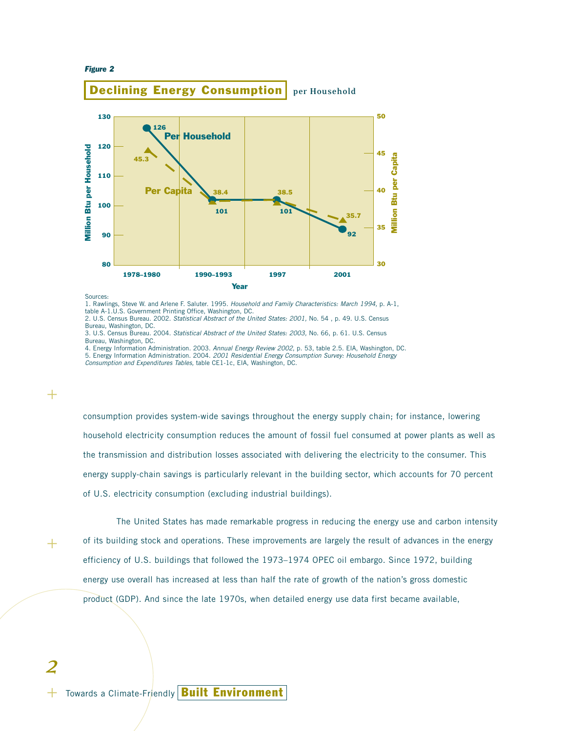#### *Figure 2*

# **130 126 Per Household Declining Energy Consumption** | per Household

**50**



#### Sources:

1. Rawlings, Steve W. and Arlene F. Saluter. 1995. Household and Family Characteristics: March 1994, p. A-1, table A-1.U.S. Government Printing Office, Washington, DC. 2. U.S. Census Bureau. 2002. Statistical Abstract of the United States: 2001, No. 54 , p. 49. U.S. Census Bureau, Washington, DC. 3. U.S. Census Bureau. 2004. Statistical Abstract of the United States: 2003, No. 66, p. 61. U.S. Census

Bureau, Washington, DC. 4. Energy Information Administration. 2003. Annual Energy Review 2002, p. 53, table 2.5. EIA, Washington, DC.

5. Energy Information Administration. 2004. 2001 Residential Energy Consumption Survey: Household Energy Consumption and Expenditures Tables, table CE1-1c, EIA, Washington, DC.

consumption provides system-wide savings throughout the energy supply chain; for instance, lowering household electricity consumption reduces the amount of fossil fuel consumed at power plants as well as the transmission and distribution losses associated with delivering the electricity to the consumer. This energy supply-chain savings is particularly relevant in the building sector, which accounts for 70 percent of U.S. electricity consumption (excluding industrial buildings).

 $+$ 

*2*

 $^+$ 

The United States has made remarkable progress in reducing the energy use and carbon intensity of its building stock and operations. These improvements are largely the result of advances in the energy efficiency of U.S. buildings that followed the 1973–1974 OPEC oil embargo. Since 1972, building energy use overall has increased at less than half the rate of growth of the nation's gross domestic product (GDP). And since the late 1970s, when detailed energy use data first became available,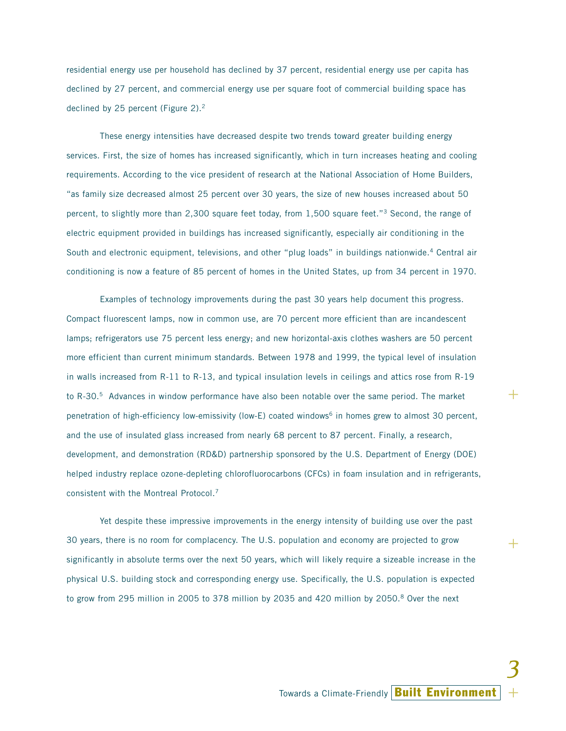residential energy use per household has declined by 37 percent, residential energy use per capita has declined by 27 percent, and commercial energy use per square foot of commercial building space has declined by 25 percent (Figure 2).<sup>2</sup>

These energy intensities have decreased despite two trends toward greater building energy services. First, the size of homes has increased significantly, which in turn increases heating and cooling requirements. According to the vice president of research at the National Association of Home Builders, "as family size decreased almost 25 percent over 30 years, the size of new houses increased about 50 percent, to slightly more than 2,300 square feet today, from 1,500 square feet."3 Second, the range of electric equipment provided in buildings has increased significantly, especially air conditioning in the South and electronic equipment, televisions, and other "plug loads" in buildings nationwide.4 Central air conditioning is now a feature of 85 percent of homes in the United States, up from 34 percent in 1970.

Examples of technology improvements during the past 30 years help document this progress. Compact fluorescent lamps, now in common use, are 70 percent more efficient than are incandescent lamps; refrigerators use 75 percent less energy; and new horizontal-axis clothes washers are 50 percent more efficient than current minimum standards. Between 1978 and 1999, the typical level of insulation in walls increased from R-11 to R-13, and typical insulation levels in ceilings and attics rose from R-19 to R-30.5 Advances in window performance have also been notable over the same period. The market penetration of high-efficiency low-emissivity (low-E) coated windows<sup>6</sup> in homes grew to almost 30 percent, and the use of insulated glass increased from nearly 68 percent to 87 percent. Finally, a research, development, and demonstration (RD&D) partnership sponsored by the U.S. Department of Energy (DOE) helped industry replace ozone-depleting chlorofluorocarbons (CFCs) in foam insulation and in refrigerants, consistent with the Montreal Protocol.7

Yet despite these impressive improvements in the energy intensity of building use over the past 30 years, there is no room for complacency. The U.S. population and economy are projected to grow significantly in absolute terms over the next 50 years, which will likely require a sizeable increase in the physical U.S. building stock and corresponding energy use. Specifically, the U.S. population is expected to grow from 295 million in 2005 to 378 million by 2035 and 420 million by 2050.8 Over the next

+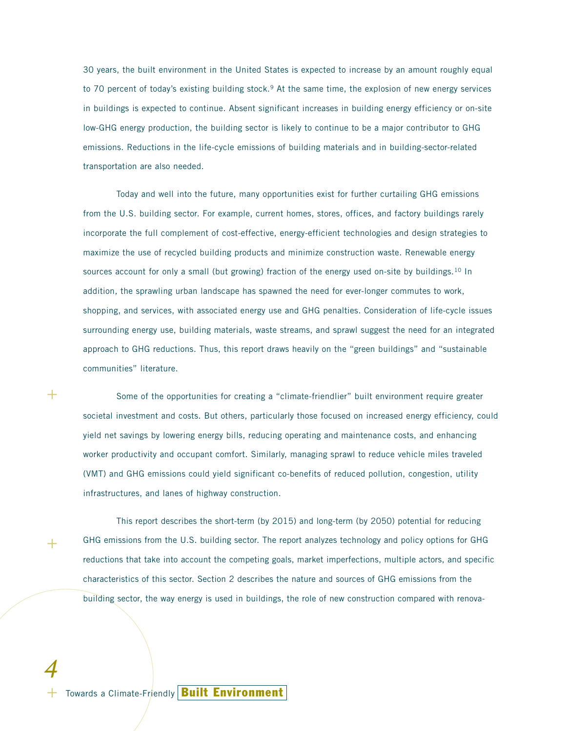30 years, the built environment in the United States is expected to increase by an amount roughly equal to 70 percent of today's existing building stock.<sup>9</sup> At the same time, the explosion of new energy services in buildings is expected to continue. Absent significant increases in building energy efficiency or on-site low-GHG energy production, the building sector is likely to continue to be a major contributor to GHG emissions. Reductions in the life-cycle emissions of building materials and in building-sector-related transportation are also needed.

Today and well into the future, many opportunities exist for further curtailing GHG emissions from the U.S. building sector. For example, current homes, stores, offices, and factory buildings rarely incorporate the full complement of cost-effective, energy-efficient technologies and design strategies to maximize the use of recycled building products and minimize construction waste. Renewable energy sources account for only a small (but growing) fraction of the energy used on-site by buildings.<sup>10</sup> In addition, the sprawling urban landscape has spawned the need for ever-longer commutes to work, shopping, and services, with associated energy use and GHG penalties. Consideration of life-cycle issues surrounding energy use, building materials, waste streams, and sprawl suggest the need for an integrated approach to GHG reductions. Thus, this report draws heavily on the "green buildings" and "sustainable communities" literature.

Some of the opportunities for creating a "climate-friendlier" built environment require greater societal investment and costs. But others, particularly those focused on increased energy efficiency, could yield net savings by lowering energy bills, reducing operating and maintenance costs, and enhancing worker productivity and occupant comfort. Similarly, managing sprawl to reduce vehicle miles traveled (VMT) and GHG emissions could yield significant co-benefits of reduced pollution, congestion, utility infrastructures, and lanes of highway construction.

This report describes the short-term (by 2015) and long-term (by 2050) potential for reducing GHG emissions from the U.S. building sector. The report analyzes technology and policy options for GHG reductions that take into account the competing goals, market imperfections, multiple actors, and specific characteristics of this sector. Section 2 describes the nature and sources of GHG emissions from the building sector, the way energy is used in buildings, the role of new construction compared with renova-

 $^+$ 

 $+$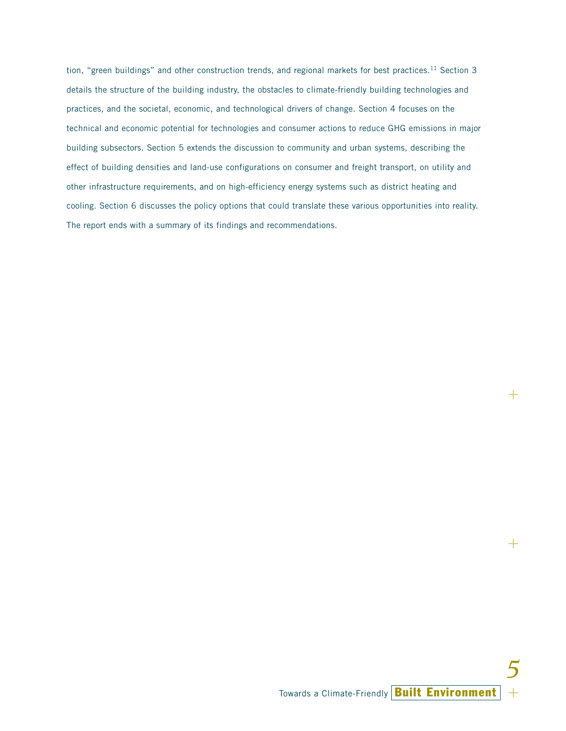tion, "green buildings" and other construction trends, and regional markets for best practices.<sup>11</sup> Section 3 details the structure of the building industry, the obstacles to climate-friendly building technologies and practices, and the societal, economic, and technological drivers of change. Section 4 focuses on the technical and economic potential for technologies and consumer actions to reduce GHG emissions in major building subsectors. Section 5 extends the discussion to community and urban systems, describing the effect of building densities and land-use configurations on consumer and freight transport, on utility and other infrastructure requirements, and on high-efficiency energy systems such as district heating and cooling. Section 6 discusses the policy options that could translate these various opportunities into reality. The report ends with a summary of its findings and recommendations.

+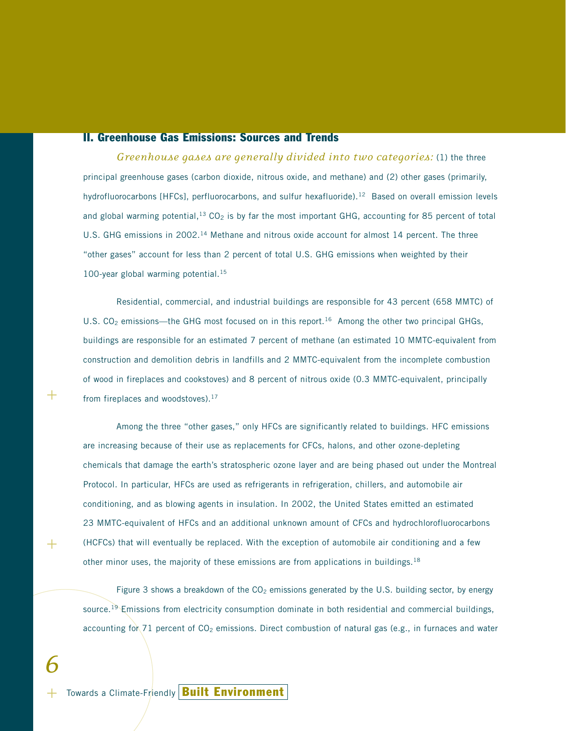# **II. Greenhouse Gas Emissions: Sources and Trends**

*Greenhouse gases are generally divided into two categories:* (1) the three principal greenhouse gases (carbon dioxide, nitrous oxide, and methane) and (2) other gases (primarily, hydrofluorocarbons [HFCs], perfluorocarbons, and sulfur hexafluoride).<sup>12</sup> Based on overall emission levels and global warming potential,<sup>13</sup> CO<sub>2</sub> is by far the most important GHG, accounting for 85 percent of total U.S. GHG emissions in 2002.14 Methane and nitrous oxide account for almost 14 percent. The three "other gases" account for less than 2 percent of total U.S. GHG emissions when weighted by their 100-year global warming potential. $15$ 

Residential, commercial, and industrial buildings are responsible for 43 percent (658 MMTC) of U.S.  $CO<sub>2</sub>$  emissions—the GHG most focused on in this report.<sup>16</sup> Among the other two principal GHGs, buildings are responsible for an estimated 7 percent of methane (an estimated 10 MMTC-equivalent from construction and demolition debris in landfills and 2 MMTC-equivalent from the incomplete combustion of wood in fireplaces and cookstoves) and 8 percent of nitrous oxide (0.3 MMTC-equivalent, principally from fireplaces and woodstoves).<sup>17</sup>

Among the three "other gases," only HFCs are significantly related to buildings. HFC emissions are increasing because of their use as replacements for CFCs, halons, and other ozone-depleting chemicals that damage the earth's stratospheric ozone layer and are being phased out under the Montreal Protocol. In particular, HFCs are used as refrigerants in refrigeration, chillers, and automobile air conditioning, and as blowing agents in insulation. In 2002, the United States emitted an estimated 23 MMTC-equivalent of HFCs and an additional unknown amount of CFCs and hydrochlorofluorocarbons (HCFCs) that will eventually be replaced. With the exception of automobile air conditioning and a few other minor uses, the majority of these emissions are from applications in buildings.<sup>18</sup>

Figure 3 shows a breakdown of the  $CO<sub>2</sub>$  emissions generated by the U.S. building sector, by energy source.<sup>19</sup> Emissions from electricity consumption dominate in both residential and commercial buildings, accounting for  $71$  percent of CO<sub>2</sub> emissions. Direct combustion of natural gas (e.g., in furnaces and water

+

 $+$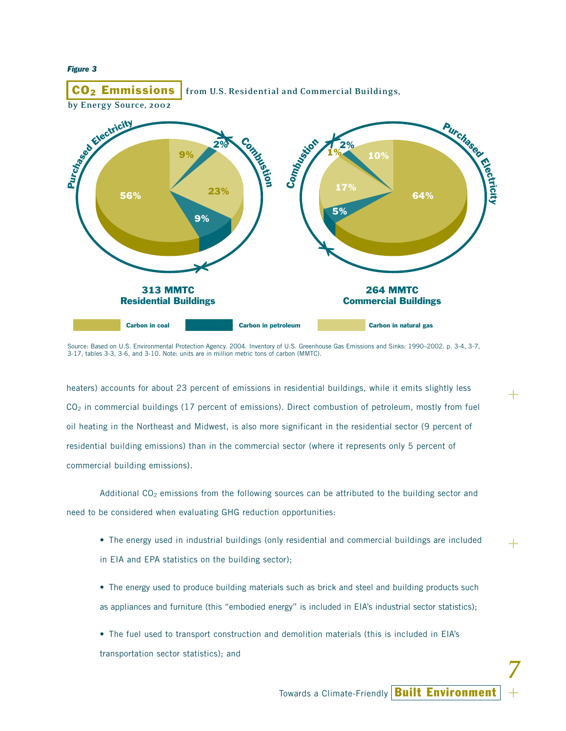

Source: Based on U.S. Environmental Protection Agency. 2004. Inventory of U.S. Greenhouse Gas Emissions and Sinks: 1990–2002. p. 3-4, 3-7, 3-17, tables 3-3, 3-6, and 3-10. Note: units are in million metric tons of carbon (MMTC).

heaters) accounts for about 23 percent of emissions in residential buildings, while it emits slightly less  $CO<sub>2</sub>$  in commercial buildings (17 percent of emissions). Direct combustion of petroleum, mostly from fuel oil heating in the Northeast and Midwest, is also more significant in the residential sector (9 percent of residential building emissions) than in the commercial sector (where it represents only 5 percent of commercial building emissions).

Additional  $CO<sub>2</sub>$  emissions from the following sources can be attributed to the building sector and need to be considered when evaluating GHG reduction opportunities:

- The energy used in industrial buildings (only residential and commercial buildings are included in EIA and EPA statistics on the building sector);
- The energy used to produce building materials such as brick and steel and building products such as appliances and furniture (this "embodied energy" is included in EIA's industrial sector statistics);
- The fuel used to transport construction and demolition materials (this is included in EIA's transportation sector statistics); and

Towards a Climate-Friendly **Built Environment**

+

 $+$ 

+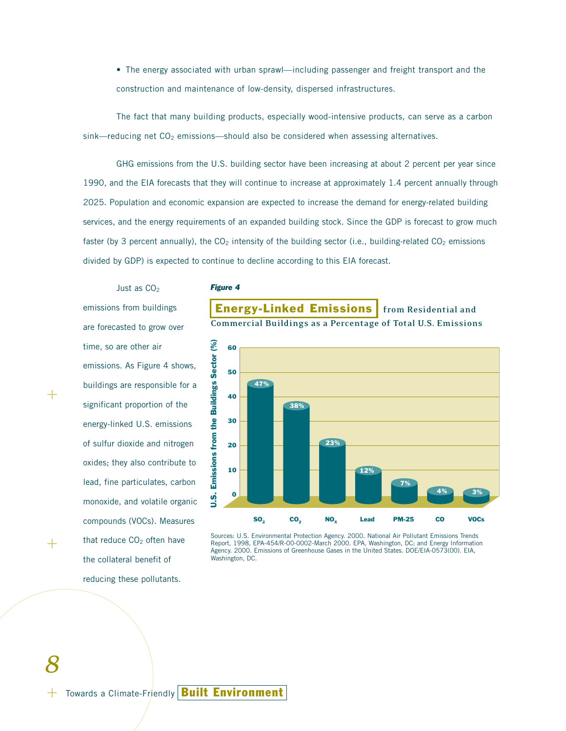• The energy associated with urban sprawl—including passenger and freight transport and the construction and maintenance of low-density, dispersed infrastructures.

The fact that many building products, especially wood-intensive products, can serve as a carbon  $sink$ —reducing net  $CO<sub>2</sub>$  emissions—should also be considered when assessing alternatives.

GHG emissions from the U.S. building sector have been increasing at about 2 percent per year since 1990, and the EIA forecasts that they will continue to increase at approximately 1.4 percent annually through 2025. Population and economic expansion are expected to increase the demand for energy-related building services, and the energy requirements of an expanded building stock. Since the GDP is forecast to grow much faster (by 3 percent annually), the  $CO<sub>2</sub>$  intensity of the building sector (i.e., building-related  $CO<sub>2</sub>$  emissions divided by GDP) is expected to continue to decline according to this EIA forecast.

Just as CO<sub>2</sub> emissions from buildings are forecasted to grow over time, so are other air emissions. As Figure 4 shows, buildings are responsible for a significant proportion of the energy-linked U.S. emissions of sulfur dioxide and nitrogen oxides; they also contribute to lead, fine particulates, carbon monoxide, and volatile organic compounds (VOCs). Measures that reduce  $CO<sub>2</sub>$  often have the collateral benefit of reducing these pollutants. time, so are other air<br>
emissions. As Figure 4 shows,<br>
buildings are responsible for a<br>
significant proportion of the<br>
energy-linked U.S. emissions<br>
of sulfur dioxide and nitrogen<br>
oxides, they also contribute to<br>
lead, f

#### *Figure 4*







 $+$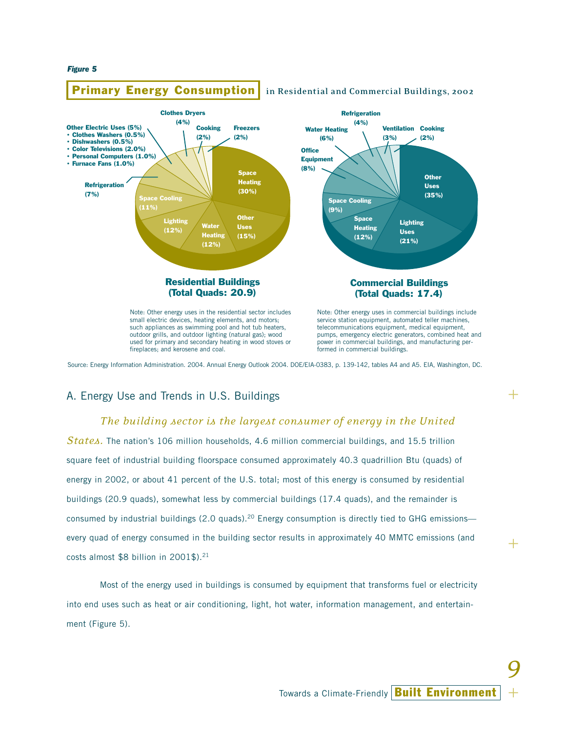#### *Figure 5*



Source: Energy Information Administration. 2004. Annual Energy Outlook 2004. DOE/EIA-0383, p. 139-142, tables A4 and A5. EIA, Washington, DC.

# A. Energy Use and Trends in U.S. Buildings

# *The building sector is the largest consumer of energy in the United*

*States.* The nation's 106 million households, 4.6 million commercial buildings, and 15.5 trillion square feet of industrial building floorspace consumed approximately 40.3 quadrillion Btu (quads) of energy in 2002, or about 41 percent of the U.S. total; most of this energy is consumed by residential buildings (20.9 quads), somewhat less by commercial buildings (17.4 quads), and the remainder is consumed by industrial buildings (2.0 quads).<sup>20</sup> Energy consumption is directly tied to GHG emissions every quad of energy consumed in the building sector results in approximately 40 MMTC emissions (and costs almost \$8 billion in 2001\$).21

Most of the energy used in buildings is consumed by equipment that transforms fuel or electricity into end uses such as heat or air conditioning, light, hot water, information management, and entertainment (Figure 5).

+

 $+$ 

+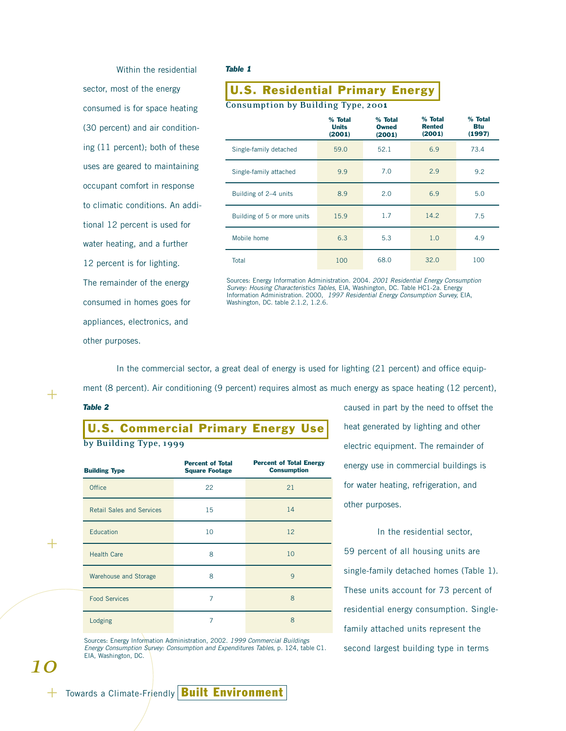Within the residential

sector, most of the energy consumed is for space heating (30 percent) and air conditioning (11 percent); both of these uses are geared to maintaining occupant comfort in response to climatic conditions. An additional 12 percent is used for water heating, and a further 12 percent is for lighting. The remainder of the energy consumed in homes goes for appliances, electronics, and other purposes.

#### *Table 1*

# **U.S. Residential Primary Energy**

**Consumption by Building Type, 200<sup>1</sup>**

|                             | % Total<br><b>Units</b><br>(2001) | % Total<br><b>Owned</b><br>(2001) | % Total<br><b>Rented</b><br>(2001) | % Total<br><b>Btu</b><br>(1997) |
|-----------------------------|-----------------------------------|-----------------------------------|------------------------------------|---------------------------------|
| Single-family detached      | 59.0                              | 52.1                              | 6.9                                | 73.4                            |
| Single-family attached      | 9.9                               | 7.0                               | 2.9                                | 9.2                             |
| Building of 2-4 units       | 8.9                               | 2.0                               | 6.9                                | 5.0                             |
| Building of 5 or more units | 15.9                              | 1.7                               | 14.2                               | 7.5                             |
| Mobile home                 | 6.3                               | 5.3                               | 1.0                                | 4.9                             |
| Total                       | 100                               | 68.0                              | 32.0                               | 100                             |

Sources: Energy Information Administration. 2004. 2001 Residential Energy Consumption Survey: Housing Characteristics Tables, EIA, Washington, DC. Table HC1-2a. Energy Information Administration. 2000, 1997 Residential Energy Consumption Survey, EIA, Washington, DC. table 2.1.2, 1.2.6.

In the commercial sector, a great deal of energy is used for lighting (21 percent) and office equipment (8 percent). Air conditioning (9 percent) requires almost as much energy as space heating (12 percent),

#### *Table 2*

+

+

*10*

# **U.S. Commercial Primary Energy Use by Building Type, 1999**

| <b>Building Type</b>             | <b>Percent of Total</b><br><b>Square Footage</b> | <b>Percent of Total Energy</b><br><b>Consumption</b> |
|----------------------------------|--------------------------------------------------|------------------------------------------------------|
| Office                           | 22                                               | 21                                                   |
| <b>Retail Sales and Services</b> | 15                                               | 14                                                   |
| Education                        | 10                                               | 12                                                   |
| <b>Health Care</b>               | 8                                                | 10                                                   |
| Warehouse and Storage            | 8                                                | 9                                                    |
| <b>Food Services</b>             | 7                                                | 8                                                    |
| Lodging                          | 7                                                | 8                                                    |

Sources: Energy Information Administration, 2002. 1999 Commercial Buildings Energy Consumption Survey: Consumption and Expenditures Tables, p. 124, table C1. EIA, Washington, DC.

caused in part by the need to offset the heat generated by lighting and other electric equipment. The remainder of energy use in commercial buildings is for water heating, refrigeration, and other purposes.

In the residential sector, 59 percent of all housing units are single-family detached homes (Table 1). These units account for 73 percent of residential energy consumption. Singlefamily attached units represent the second largest building type in terms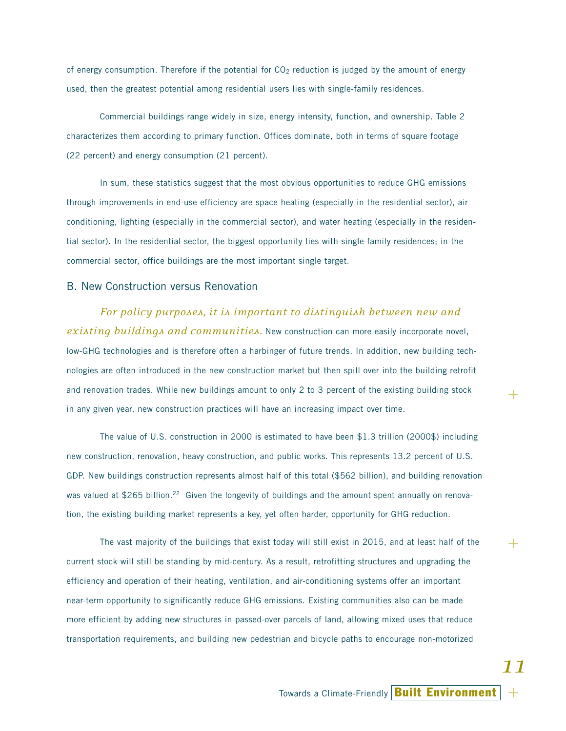of energy consumption. Therefore if the potential for  $CO<sub>2</sub>$  reduction is judged by the amount of energy used, then the greatest potential among residential users lies with single-family residences.

Commercial buildings range widely in size, energy intensity, function, and ownership. Table 2 characterizes them according to primary function. Offices dominate, both in terms of square footage (22 percent) and energy consumption (21 percent).

In sum, these statistics suggest that the most obvious opportunities to reduce GHG emissions through improvements in end-use efficiency are space heating (especially in the residential sector), air conditioning, lighting (especially in the commercial sector), and water heating (especially in the residential sector). In the residential sector, the biggest opportunity lies with single-family residences; in the commercial sector, office buildings are the most important single target.

# B. New Construction versus Renovation

*For policy purposes, it is important to distinguish between new and existing buildings and communities.* New construction can more easily incorporate novel, low-GHG technologies and is therefore often a harbinger of future trends. In addition, new building technologies are often introduced in the new construction market but then spill over into the building retrofit and renovation trades. While new buildings amount to only 2 to 3 percent of the existing building stock in any given year, new construction practices will have an increasing impact over time.

The value of U.S. construction in 2000 is estimated to have been \$1.3 trillion (2000\$) including new construction, renovation, heavy construction, and public works. This represents 13.2 percent of U.S. GDP. New buildings construction represents almost half of this total (\$562 billion), and building renovation was valued at \$265 billion.<sup>22</sup> Given the longevity of buildings and the amount spent annually on renovation, the existing building market represents a key, yet often harder, opportunity for GHG reduction.

The vast majority of the buildings that exist today will still exist in 2015, and at least half of the current stock will still be standing by mid-century. As a result, retrofitting structures and upgrading the efficiency and operation of their heating, ventilation, and air-conditioning systems offer an important near-term opportunity to significantly reduce GHG emissions. Existing communities also can be made more efficient by adding new structures in passed-over parcels of land, allowing mixed uses that reduce transportation requirements, and building new pedestrian and bicycle paths to encourage non-motorized

+

+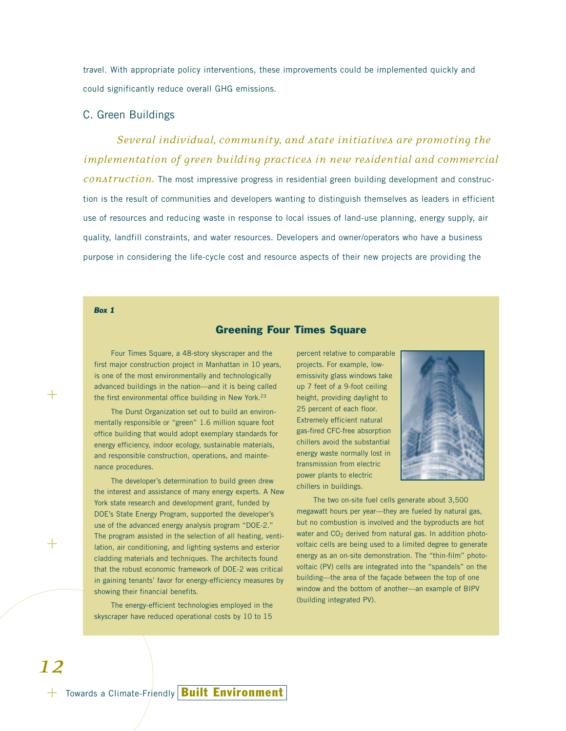travel. With appropriate policy interventions, these improvements could be implemented quickly and could significantly reduce overall GHG emissions.

# C. Green Buildings

*Several individual, community, and state initiatives are promoting the implementation of green building practices in new residential and commercial construction.* The most impressive progress in residential green building development and construction is the result of communities and developers wanting to distinguish themselves as leaders in efficient use of resources and reducing waste in response to local issues of land-use planning, energy supply, air quality, landfill constraints, and water resources. Developers and owner/operators who have a business purpose in considering the life-cycle cost and resource aspects of their new projects are providing the

#### *Box 1*

 $+$ 

 $+$ 

*12*

## **Greening Four Times Square**

Four Times Square, a 48-story skyscraper and the first major construction project in Manhattan in 10 years, is one of the most environmentally and technologically advanced buildings in the nation—and it is being called the first environmental office building in New York.23

The Durst Organization set out to build an environmentally responsible or "green" 1.6 million square foot office building that would adopt exemplary standards for energy efficiency, indoor ecology, sustainable materials, and responsible construction, operations, and maintenance procedures.

The developer's determination to build green drew the interest and assistance of many energy experts. A New York state research and development grant, funded by DOE's State Energy Program, supported the developer's use of the advanced energy analysis program "DOE-2." The program assisted in the selection of all heating, ventilation, air conditioning, and lighting systems and exterior cladding materials and techniques. The architects found that the robust economic framework of DOE-2 was critical in gaining tenants' favor for energy-efficiency measures by showing their financial benefits.

The energy-efficient technologies employed in the skyscraper have reduced operational costs by 10 to 15

percent relative to comparable projects. For example, lowemissivity glass windows take up 7 feet of a 9-foot ceiling height, providing daylight to 25 percent of each floor. Extremely efficient natural gas-fired CFC-free absorption chillers avoid the substantial energy waste normally lost in transmission from electric power plants to electric chillers in buildings.



The two on-site fuel cells generate about 3,500 megawatt hours per year—they are fueled by natural gas, but no combustion is involved and the byproducts are hot water and  $CO<sub>2</sub>$  derived from natural gas. In addition photovoltaic cells are being used to a limited degree to generate energy as an on-site demonstration. The "thin-film" photovoltaic (PV) cells are integrated into the "spandels" on the building—the area of the façade between the top of one window and the bottom of another—an example of BIPV (building integrated PV).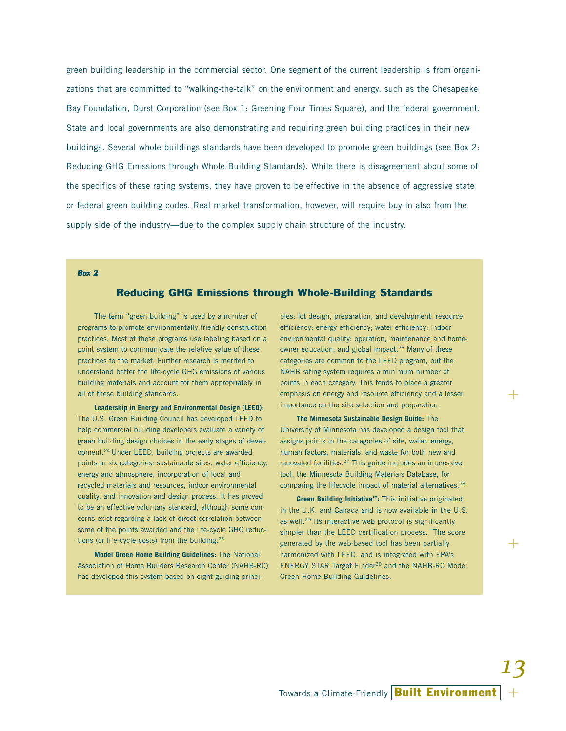green building leadership in the commercial sector. One segment of the current leadership is from organizations that are committed to "walking-the-talk" on the environment and energy, such as the Chesapeake Bay Foundation, Durst Corporation (see Box 1: Greening Four Times Square), and the federal government. State and local governments are also demonstrating and requiring green building practices in their new buildings. Several whole-buildings standards have been developed to promote green buildings (see Box 2: Reducing GHG Emissions through Whole-Building Standards). While there is disagreement about some of the specifics of these rating systems, they have proven to be effective in the absence of aggressive state or federal green building codes. Real market transformation, however, will require buy-in also from the supply side of the industry—due to the complex supply chain structure of the industry.

#### *Box 2*

# **Reducing GHG Emissions through Whole-Building Standards**

The term "green building" is used by a number of programs to promote environmentally friendly construction practices. Most of these programs use labeling based on a point system to communicate the relative value of these practices to the market. Further research is merited to understand better the life-cycle GHG emissions of various building materials and account for them appropriately in all of these building standards.

**Leadership in Energy and Environmental Design (LEED):** The U.S. Green Building Council has developed LEED to help commercial building developers evaluate a variety of green building design choices in the early stages of development.24 Under LEED, building projects are awarded points in six categories: sustainable sites, water efficiency, energy and atmosphere, incorporation of local and recycled materials and resources, indoor environmental quality, and innovation and design process. It has proved to be an effective voluntary standard, although some concerns exist regarding a lack of direct correlation between some of the points awarded and the life-cycle GHG reductions (or life-cycle costs) from the building.25

**Model Green Home Building Guidelines:** The National Association of Home Builders Research Center (NAHB-RC) has developed this system based on eight guiding princi-

ples: lot design, preparation, and development; resource efficiency; energy efficiency; water efficiency; indoor environmental quality; operation, maintenance and homeowner education; and global impact.<sup>26</sup> Many of these categories are common to the LEED program, but the NAHB rating system requires a minimum number of points in each category. This tends to place a greater emphasis on energy and resource efficiency and a lesser importance on the site selection and preparation.

+

+

+

*13*

**The Minnesota Sustainable Design Guide:** The University of Minnesota has developed a design tool that assigns points in the categories of site, water, energy, human factors, materials, and waste for both new and renovated facilities.27 This guide includes an impressive tool, the Minnesota Building Materials Database, for comparing the lifecycle impact of material alternatives.28

**Green Building Initiative™:** This initiative originated in the U.K. and Canada and is now available in the U.S. as well.29 Its interactive web protocol is significantly simpler than the LEED certification process. The score generated by the web-based tool has been partially harmonized with LEED, and is integrated with EPA's ENERGY STAR Target Finder30 and the NAHB-RC Model Green Home Building Guidelines.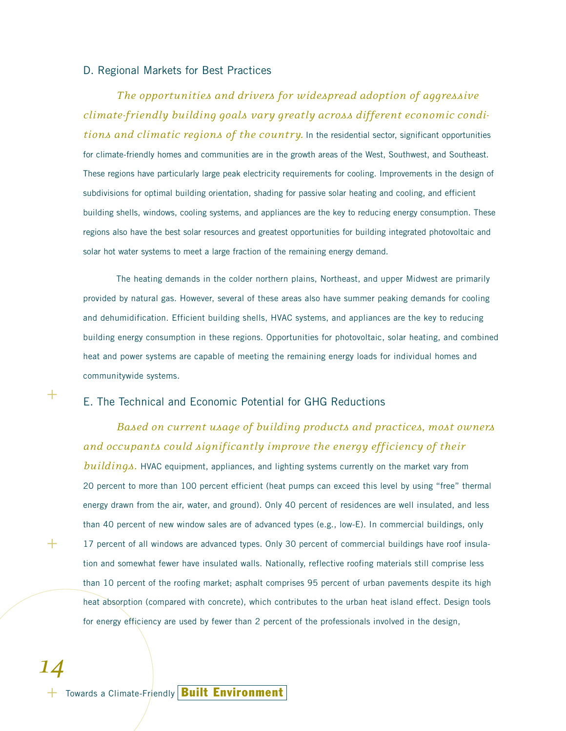# D. Regional Markets for Best Practices

*The opportunities and drivers for widespread adoption of aggressive climate-friendly building goals vary greatly across different economic conditions and climatic regions of the country.* In the residential sector, significant opportunities for climate-friendly homes and communities are in the growth areas of the West, Southwest, and Southeast. These regions have particularly large peak electricity requirements for cooling. Improvements in the design of subdivisions for optimal building orientation, shading for passive solar heating and cooling, and efficient building shells, windows, cooling systems, and appliances are the key to reducing energy consumption. These regions also have the best solar resources and greatest opportunities for building integrated photovoltaic and solar hot water systems to meet a large fraction of the remaining energy demand.

The heating demands in the colder northern plains, Northeast, and upper Midwest are primarily provided by natural gas. However, several of these areas also have summer peaking demands for cooling and dehumidification. Efficient building shells, HVAC systems, and appliances are the key to reducing building energy consumption in these regions. Opportunities for photovoltaic, solar heating, and combined heat and power systems are capable of meeting the remaining energy loads for individual homes and communitywide systems.

# E. The Technical and Economic Potential for GHG Reductions

# *Based on current usage of building products and practices, most owners and occupants could significantly improve the energy efficiency of their*

**buildings.** HVAC equipment, appliances, and lighting systems currently on the market vary from 20 percent to more than 100 percent efficient (heat pumps can exceed this level by using "free" thermal energy drawn from the air, water, and ground). Only 40 percent of residences are well insulated, and less than 40 percent of new window sales are of advanced types (e.g., low-E). In commercial buildings, only 17 percent of all windows are advanced types. Only 30 percent of commercial buildings have roof insulation and somewhat fewer have insulated walls. Nationally, reflective roofing materials still comprise less than 10 percent of the roofing market; asphalt comprises 95 percent of urban pavements despite its high heat absorption (compared with concrete), which contributes to the urban heat island effect. Design tools for energy efficiency are used by fewer than 2 percent of the professionals involved in the design,

+

 $+$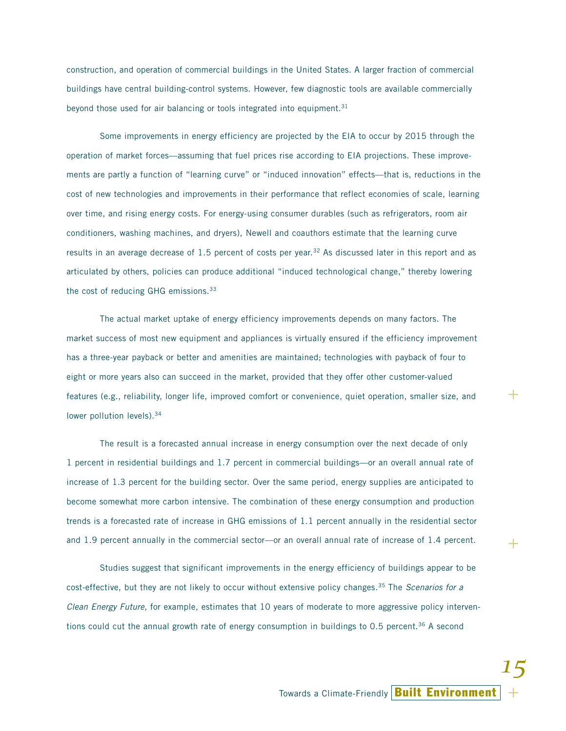construction, and operation of commercial buildings in the United States. A larger fraction of commercial buildings have central building-control systems. However, few diagnostic tools are available commercially beyond those used for air balancing or tools integrated into equipment.<sup>31</sup>

Some improvements in energy efficiency are projected by the EIA to occur by 2015 through the operation of market forces—assuming that fuel prices rise according to EIA projections. These improvements are partly a function of "learning curve" or "induced innovation" effects—that is, reductions in the cost of new technologies and improvements in their performance that reflect economies of scale, learning over time, and rising energy costs. For energy-using consumer durables (such as refrigerators, room air conditioners, washing machines, and dryers), Newell and coauthors estimate that the learning curve results in an average decrease of 1.5 percent of costs per year.32 As discussed later in this report and as articulated by others, policies can produce additional "induced technological change," thereby lowering the cost of reducing GHG emissions.<sup>33</sup>

The actual market uptake of energy efficiency improvements depends on many factors. The market success of most new equipment and appliances is virtually ensured if the efficiency improvement has a three-year payback or better and amenities are maintained; technologies with payback of four to eight or more years also can succeed in the market, provided that they offer other customer-valued features (e.g., reliability, longer life, improved comfort or convenience, quiet operation, smaller size, and lower pollution levels).<sup>34</sup>

The result is a forecasted annual increase in energy consumption over the next decade of only 1 percent in residential buildings and 1.7 percent in commercial buildings—or an overall annual rate of increase of 1.3 percent for the building sector. Over the same period, energy supplies are anticipated to become somewhat more carbon intensive. The combination of these energy consumption and production trends is a forecasted rate of increase in GHG emissions of 1.1 percent annually in the residential sector and 1.9 percent annually in the commercial sector—or an overall annual rate of increase of 1.4 percent.

Studies suggest that significant improvements in the energy efficiency of buildings appear to be cost-effective, but they are not likely to occur without extensive policy changes.<sup>35</sup> The *Scenarios for a* Clean Energy Future, for example, estimates that 10 years of moderate to more aggressive policy interventions could cut the annual growth rate of energy consumption in buildings to 0.5 percent.<sup>36</sup> A second

+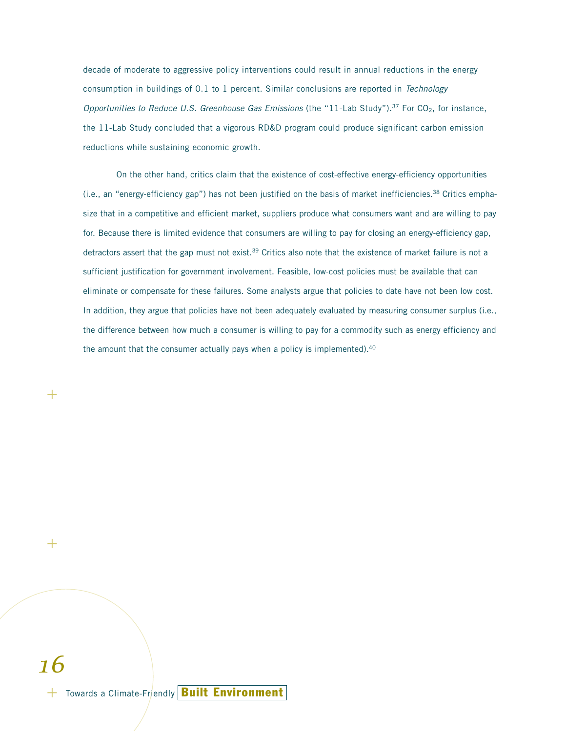decade of moderate to aggressive policy interventions could result in annual reductions in the energy consumption in buildings of 0.1 to 1 percent. Similar conclusions are reported in Technology Opportunities to Reduce U.S. Greenhouse Gas Emissions (the "11-Lab Study").<sup>37</sup> For CO<sub>2</sub>, for instance, the 11-Lab Study concluded that a vigorous RD&D program could produce significant carbon emission reductions while sustaining economic growth.

On the other hand, critics claim that the existence of cost-effective energy-efficiency opportunities (i.e., an "energy-efficiency gap") has not been justified on the basis of market inefficiencies.<sup>38</sup> Critics emphasize that in a competitive and efficient market, suppliers produce what consumers want and are willing to pay for. Because there is limited evidence that consumers are willing to pay for closing an energy-efficiency gap, detractors assert that the gap must not exist.<sup>39</sup> Critics also note that the existence of market failure is not a sufficient justification for government involvement. Feasible, low-cost policies must be available that can eliminate or compensate for these failures. Some analysts argue that policies to date have not been low cost. In addition, they argue that policies have not been adequately evaluated by measuring consumer surplus (i.e., the difference between how much a consumer is willing to pay for a commodity such as energy efficiency and the amount that the consumer actually pays when a policy is implemented).<sup>40</sup>

 $^+$ 

 $\, +$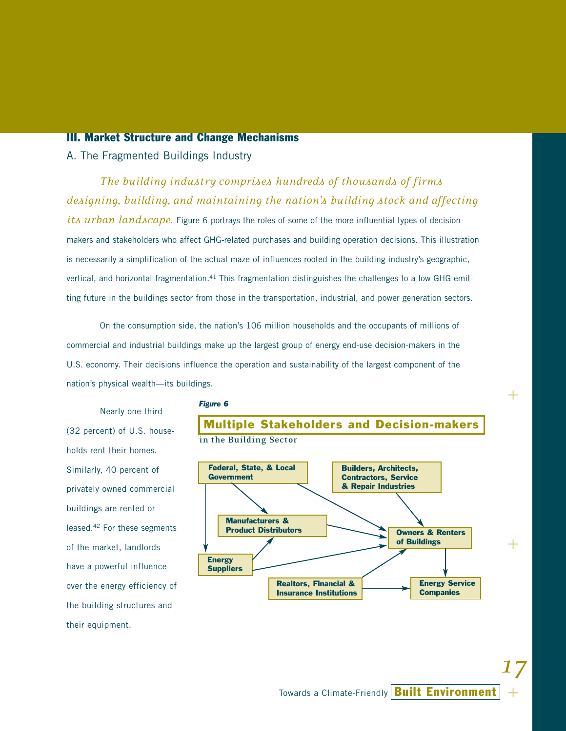# **III. Market Structure and Change Mechanisms**

# A. The Fragmented Buildings Industry

*The building industry comprises hundreds of thousands of firms designing, building, and maintaining the nation's building stock and affecting its urban landscape.* Figure 6 portrays the roles of some of the more influential types of decisionmakers and stakeholders who affect GHG-related purchases and building operation decisions. This illustration is necessarily a simplification of the actual maze of influences rooted in the building industry's geographic, vertical, and horizontal fragmentation.41 This fragmentation distinguishes the challenges to a low-GHG emitting future in the buildings sector from those in the transportation, industrial, and power generation sectors.

On the consumption side, the nation's 106 million households and the occupants of millions of commercial and industrial buildings make up the largest group of energy end-use decision-makers in the U.S. economy. Their decisions influence the operation and sustainability of the largest component of the nation's physical wealth—its buildings.

Nearly one-third (32 percent) of U.S. households rent their homes. Similarly, 40 percent of privately owned commercial buildings are rented or leased.42 For these segments of the market, landlords have a powerful influence over the energy efficiency of the building structures and their equipment.

#### *Figure 6*



Towards a Climate-Friendly **Built Environment**

**Insurance Institutions**

*17*

+

+

**Companies**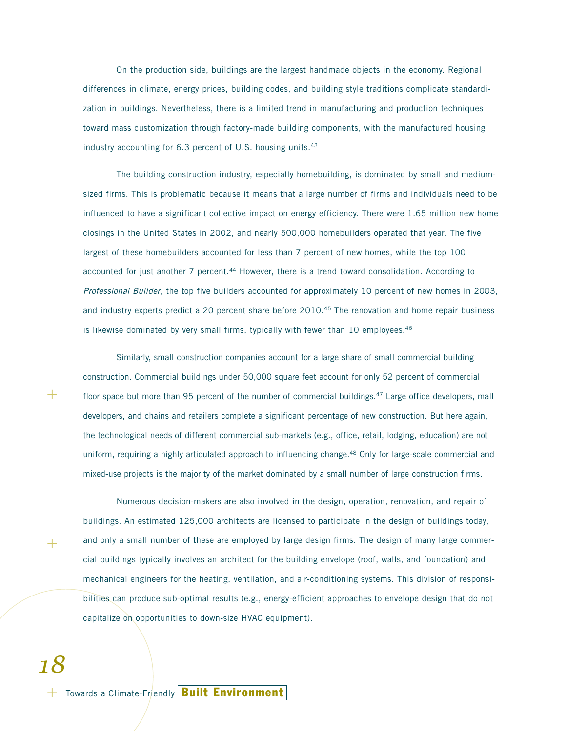On the production side, buildings are the largest handmade objects in the economy. Regional differences in climate, energy prices, building codes, and building style traditions complicate standardization in buildings. Nevertheless, there is a limited trend in manufacturing and production techniques toward mass customization through factory-made building components, with the manufactured housing industry accounting for 6.3 percent of U.S. housing units.<sup>43</sup>

The building construction industry, especially homebuilding, is dominated by small and mediumsized firms. This is problematic because it means that a large number of firms and individuals need to be influenced to have a significant collective impact on energy efficiency. There were 1.65 million new home closings in the United States in 2002, and nearly 500,000 homebuilders operated that year. The five largest of these homebuilders accounted for less than 7 percent of new homes, while the top 100 accounted for just another 7 percent.<sup>44</sup> However, there is a trend toward consolidation. According to Professional Builder, the top five builders accounted for approximately 10 percent of new homes in 2003, and industry experts predict a 20 percent share before  $2010<sup>45</sup>$  The renovation and home repair business is likewise dominated by very small firms, typically with fewer than 10 employees.<sup>46</sup>

Similarly, small construction companies account for a large share of small commercial building construction. Commercial buildings under 50,000 square feet account for only 52 percent of commercial floor space but more than 95 percent of the number of commercial buildings.<sup>47</sup> Large office developers, mall developers, and chains and retailers complete a significant percentage of new construction. But here again, the technological needs of different commercial sub-markets (e.g., office, retail, lodging, education) are not uniform, requiring a highly articulated approach to influencing change.<sup>48</sup> Only for large-scale commercial and mixed-use projects is the majority of the market dominated by a small number of large construction firms.

Numerous decision-makers are also involved in the design, operation, renovation, and repair of buildings. An estimated 125,000 architects are licensed to participate in the design of buildings today, and only a small number of these are employed by large design firms. The design of many large commercial buildings typically involves an architect for the building envelope (roof, walls, and foundation) and mechanical engineers for the heating, ventilation, and air-conditioning systems. This division of responsibilities can produce sub-optimal results (e.g., energy-efficient approaches to envelope design that do not capitalize on opportunities to down-size HVAC equipment).

*18*

 $+$ 

 $\mathrm{+}$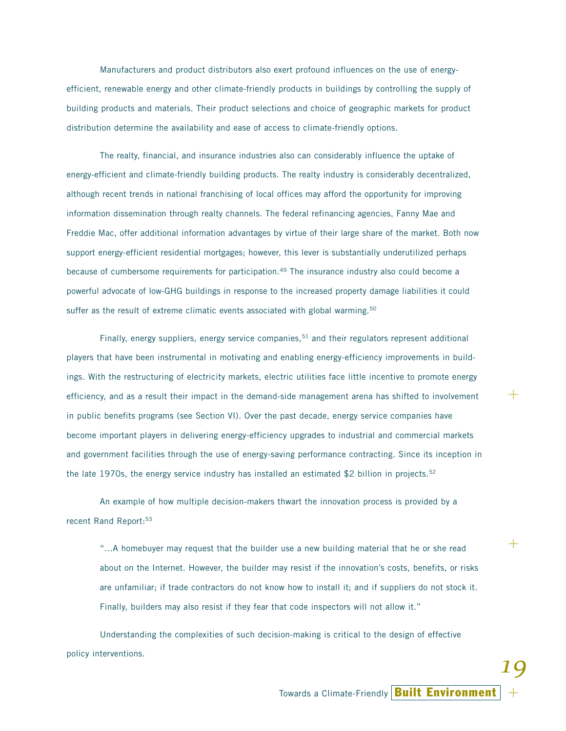Manufacturers and product distributors also exert profound influences on the use of energyefficient, renewable energy and other climate-friendly products in buildings by controlling the supply of building products and materials. Their product selections and choice of geographic markets for product distribution determine the availability and ease of access to climate-friendly options.

The realty, financial, and insurance industries also can considerably influence the uptake of energy-efficient and climate-friendly building products. The realty industry is considerably decentralized, although recent trends in national franchising of local offices may afford the opportunity for improving information dissemination through realty channels. The federal refinancing agencies, Fanny Mae and Freddie Mac, offer additional information advantages by virtue of their large share of the market. Both now support energy-efficient residential mortgages; however, this lever is substantially underutilized perhaps because of cumbersome requirements for participation.49 The insurance industry also could become a powerful advocate of low-GHG buildings in response to the increased property damage liabilities it could suffer as the result of extreme climatic events associated with global warming.<sup>50</sup>

Finally, energy suppliers, energy service companies,<sup>51</sup> and their regulators represent additional players that have been instrumental in motivating and enabling energy-efficiency improvements in buildings. With the restructuring of electricity markets, electric utilities face little incentive to promote energy efficiency, and as a result their impact in the demand-side management arena has shifted to involvement in public benefits programs (see Section VI). Over the past decade, energy service companies have become important players in delivering energy-efficiency upgrades to industrial and commercial markets and government facilities through the use of energy-saving performance contracting. Since its inception in the late 1970s, the energy service industry has installed an estimated \$2 billion in projects.<sup>52</sup>

An example of how multiple decision-makers thwart the innovation process is provided by a recent Rand Report:<sup>53</sup>

"…A homebuyer may request that the builder use a new building material that he or she read about on the Internet. However, the builder may resist if the innovation's costs, benefits, or risks are unfamiliar; if trade contractors do not know how to install it; and if suppliers do not stock it. Finally, builders may also resist if they fear that code inspectors will not allow it."

Understanding the complexities of such decision-making is critical to the design of effective policy interventions.

Towards a Climate-Friendly **Built Environment**

+

 $+$ 

+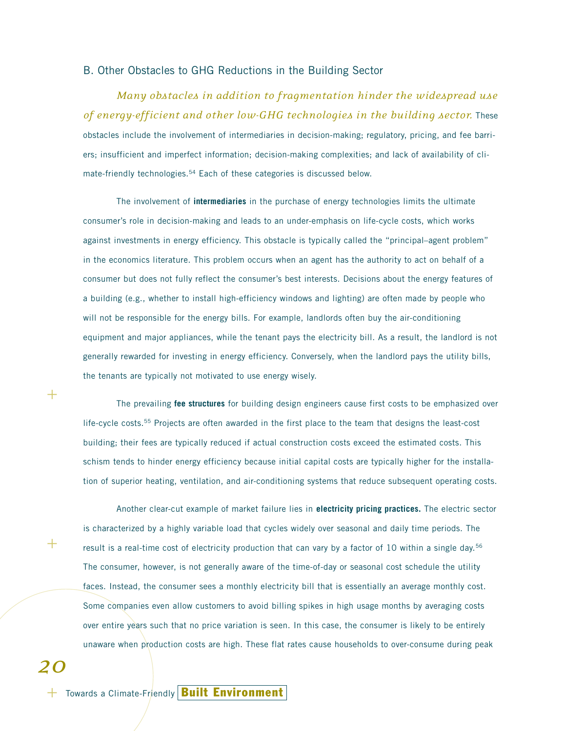# B. Other Obstacles to GHG Reductions in the Building Sector

*Many obstacles in addition to fragmentation hinder the widespread use of energy-efficient and other low-GHG technologies in the building sector.* These obstacles include the involvement of intermediaries in decision-making; regulatory, pricing, and fee barriers; insufficient and imperfect information; decision-making complexities; and lack of availability of climate-friendly technologies.<sup>54</sup> Each of these categories is discussed below.

The involvement of **intermediaries** in the purchase of energy technologies limits the ultimate consumer's role in decision-making and leads to an under-emphasis on life-cycle costs, which works against investments in energy efficiency. This obstacle is typically called the "principal–agent problem" in the economics literature. This problem occurs when an agent has the authority to act on behalf of a consumer but does not fully reflect the consumer's best interests. Decisions about the energy features of a building (e.g., whether to install high-efficiency windows and lighting) are often made by people who will not be responsible for the energy bills. For example, landlords often buy the air-conditioning equipment and major appliances, while the tenant pays the electricity bill. As a result, the landlord is not generally rewarded for investing in energy efficiency. Conversely, when the landlord pays the utility bills, the tenants are typically not motivated to use energy wisely.

The prevailing **fee structures** for building design engineers cause first costs to be emphasized over life-cycle costs.<sup>55</sup> Projects are often awarded in the first place to the team that designs the least-cost building; their fees are typically reduced if actual construction costs exceed the estimated costs. This schism tends to hinder energy efficiency because initial capital costs are typically higher for the installation of superior heating, ventilation, and air-conditioning systems that reduce subsequent operating costs.

Another clear-cut example of market failure lies in **electricity pricing practices.** The electric sector is characterized by a highly variable load that cycles widely over seasonal and daily time periods. The result is a real-time cost of electricity production that can vary by a factor of 10 within a single day.<sup>56</sup> The consumer, however, is not generally aware of the time-of-day or seasonal cost schedule the utility faces. Instead, the consumer sees a monthly electricity bill that is essentially an average monthly cost. Some companies even allow customers to avoid billing spikes in high usage months by averaging costs over entire years such that no price variation is seen. In this case, the consumer is likely to be entirely unaware when production costs are high. These flat rates cause households to over-consume during peak

*20*

 $\, +$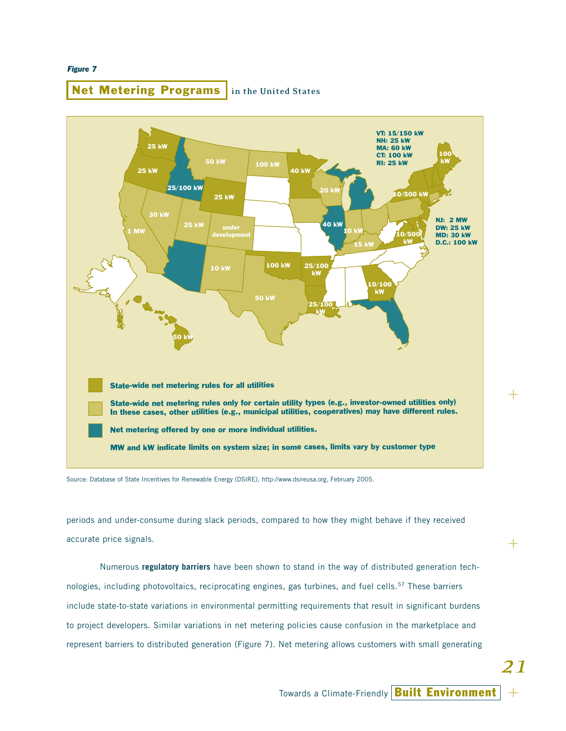#### *Figure 7*

# **Net Metering Programs in the United States**



Source: Database of State Incentives for Renewable Energy (DSIRE), http://www.dsireusa.org, February 2005.

periods and under-consume during slack periods, compared to how they might behave if they received accurate price signals.

Numerous **regulatory barriers** have been shown to stand in the way of distributed generation technologies, including photovoltaics, reciprocating engines, gas turbines, and fuel cells.57 These barriers include state-to-state variations in environmental permitting requirements that result in significant burdens to project developers. Similar variations in net metering policies cause confusion in the marketplace and represent barriers to distributed generation (Figure 7). Net metering allows customers with small generating

Towards a Climate-Friendly **Built Environment**

+

 $+$ 

+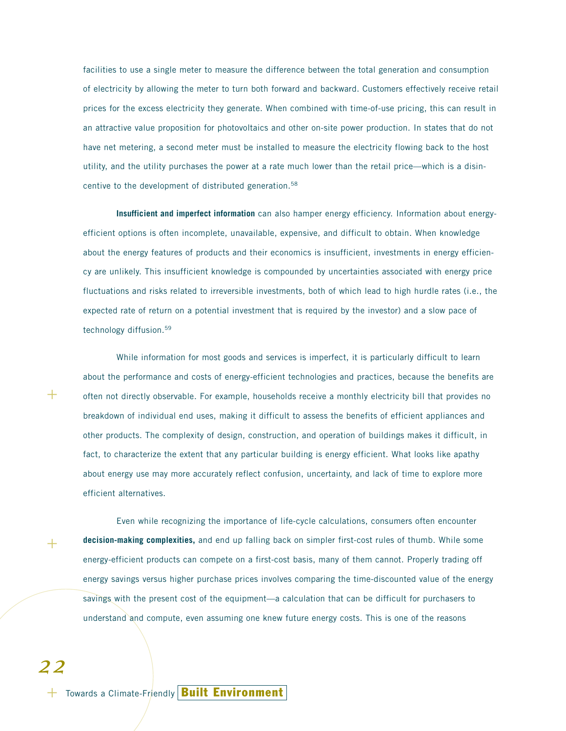facilities to use a single meter to measure the difference between the total generation and consumption of electricity by allowing the meter to turn both forward and backward. Customers effectively receive retail prices for the excess electricity they generate. When combined with time-of-use pricing, this can result in an attractive value proposition for photovoltaics and other on-site power production. In states that do not have net metering, a second meter must be installed to measure the electricity flowing back to the host utility, and the utility purchases the power at a rate much lower than the retail price—which is a disincentive to the development of distributed generation.<sup>58</sup>

**Insufficient and imperfect information** can also hamper energy efficiency. Information about energyefficient options is often incomplete, unavailable, expensive, and difficult to obtain. When knowledge about the energy features of products and their economics is insufficient, investments in energy efficiency are unlikely. This insufficient knowledge is compounded by uncertainties associated with energy price fluctuations and risks related to irreversible investments, both of which lead to high hurdle rates (i.e., the expected rate of return on a potential investment that is required by the investor) and a slow pace of technology diffusion.59

While information for most goods and services is imperfect, it is particularly difficult to learn about the performance and costs of energy-efficient technologies and practices, because the benefits are often not directly observable. For example, households receive a monthly electricity bill that provides no breakdown of individual end uses, making it difficult to assess the benefits of efficient appliances and other products. The complexity of design, construction, and operation of buildings makes it difficult, in fact, to characterize the extent that any particular building is energy efficient. What looks like apathy about energy use may more accurately reflect confusion, uncertainty, and lack of time to explore more efficient alternatives.

Even while recognizing the importance of life-cycle calculations, consumers often encounter **decision-making complexities,** and end up falling back on simpler first-cost rules of thumb. While some energy-efficient products can compete on a first-cost basis, many of them cannot. Properly trading off energy savings versus higher purchase prices involves comparing the time-discounted value of the energy savings with the present cost of the equipment—a calculation that can be difficult for purchasers to understand and compute, even assuming one knew future energy costs. This is one of the reasons

 $+$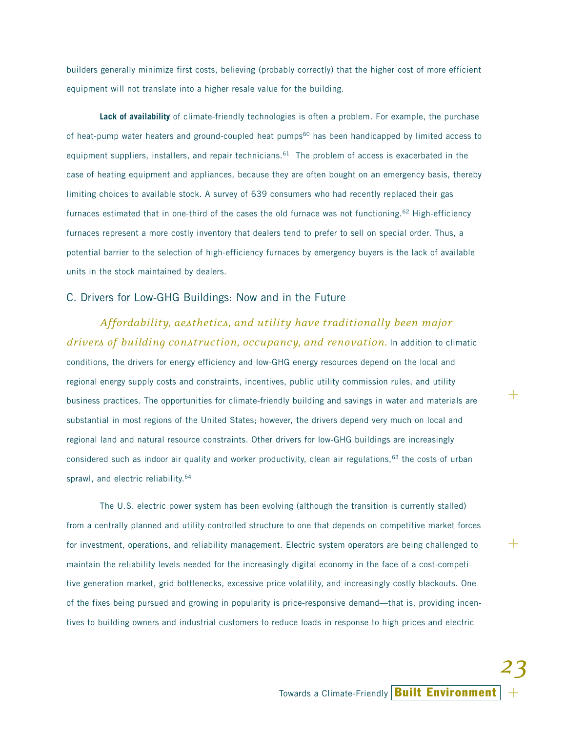builders generally minimize first costs, believing (probably correctly) that the higher cost of more efficient equipment will not translate into a higher resale value for the building.

**Lack of availability** of climate-friendly technologies is often a problem. For example, the purchase of heat-pump water heaters and ground-coupled heat pumps<sup>60</sup> has been handicapped by limited access to equipment suppliers, installers, and repair technicians.<sup>61</sup> The problem of access is exacerbated in the case of heating equipment and appliances, because they are often bought on an emergency basis, thereby limiting choices to available stock. A survey of 639 consumers who had recently replaced their gas furnaces estimated that in one-third of the cases the old furnace was not functioning.<sup>62</sup> High-efficiency furnaces represent a more costly inventory that dealers tend to prefer to sell on special order. Thus, a potential barrier to the selection of high-efficiency furnaces by emergency buyers is the lack of available units in the stock maintained by dealers.

## C. Drivers for Low-GHG Buildings: Now and in the Future

*Affordability, aesthetics, and utility have traditionally been major drivers of building construction, occupancy, and renovation.* In addition to climatic conditions, the drivers for energy efficiency and low-GHG energy resources depend on the local and regional energy supply costs and constraints, incentives, public utility commission rules, and utility business practices. The opportunities for climate-friendly building and savings in water and materials are substantial in most regions of the United States; however, the drivers depend very much on local and regional land and natural resource constraints. Other drivers for low-GHG buildings are increasingly considered such as indoor air quality and worker productivity, clean air regulations,<sup>63</sup> the costs of urban sprawl, and electric reliability.<sup>64</sup>

The U.S. electric power system has been evolving (although the transition is currently stalled) from a centrally planned and utility-controlled structure to one that depends on competitive market forces for investment, operations, and reliability management. Electric system operators are being challenged to maintain the reliability levels needed for the increasingly digital economy in the face of a cost-competitive generation market, grid bottlenecks, excessive price volatility, and increasingly costly blackouts. One of the fixes being pursued and growing in popularity is price-responsive demand—that is, providing incentives to building owners and industrial customers to reduce loads in response to high prices and electric

+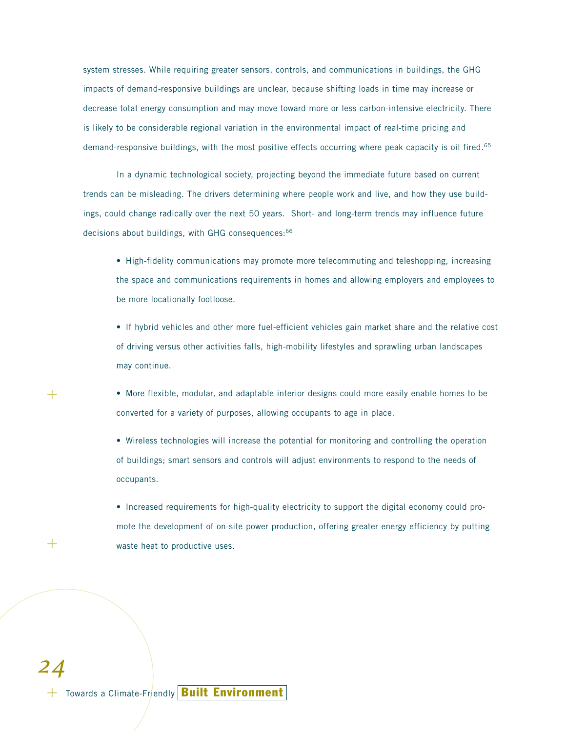system stresses. While requiring greater sensors, controls, and communications in buildings, the GHG impacts of demand-responsive buildings are unclear, because shifting loads in time may increase or decrease total energy consumption and may move toward more or less carbon-intensive electricity. There is likely to be considerable regional variation in the environmental impact of real-time pricing and demand-responsive buildings, with the most positive effects occurring where peak capacity is oil fired.<sup>65</sup>

In a dynamic technological society, projecting beyond the immediate future based on current trends can be misleading. The drivers determining where people work and live, and how they use buildings, could change radically over the next 50 years. Short- and long-term trends may influence future decisions about buildings, with GHG consequences:<sup>66</sup>

• High-fidelity communications may promote more telecommuting and teleshopping, increasing the space and communications requirements in homes and allowing employers and employees to be more locationally footloose.

• If hybrid vehicles and other more fuel-efficient vehicles gain market share and the relative cost of driving versus other activities falls, high-mobility lifestyles and sprawling urban landscapes may continue.

• More flexible, modular, and adaptable interior designs could more easily enable homes to be converted for a variety of purposes, allowing occupants to age in place.

• Wireless technologies will increase the potential for monitoring and controlling the operation of buildings; smart sensors and controls will adjust environments to respond to the needs of occupants.

• Increased requirements for high-quality electricity to support the digital economy could promote the development of on-site power production, offering greater energy efficiency by putting waste heat to productive uses.

 $^+$ 

 $\, +$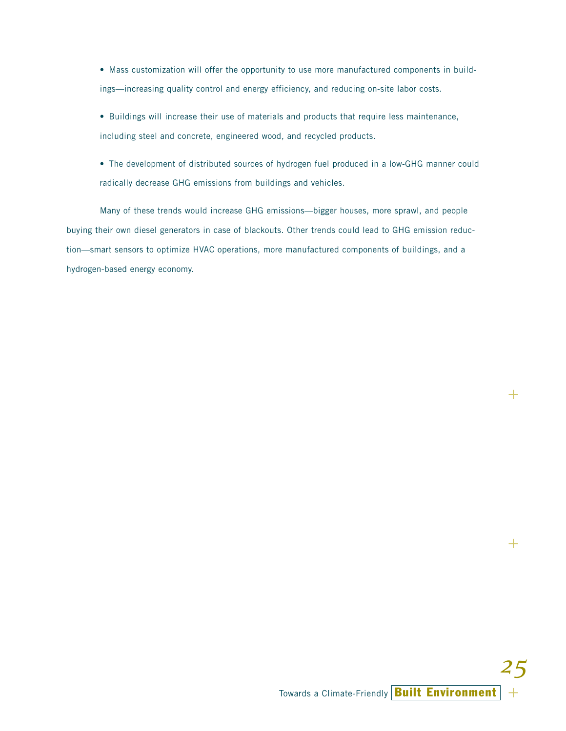• Mass customization will offer the opportunity to use more manufactured components in buildings—increasing quality control and energy efficiency, and reducing on-site labor costs.

• Buildings will increase their use of materials and products that require less maintenance, including steel and concrete, engineered wood, and recycled products.

• The development of distributed sources of hydrogen fuel produced in a low-GHG manner could radically decrease GHG emissions from buildings and vehicles.

Many of these trends would increase GHG emissions—bigger houses, more sprawl, and people buying their own diesel generators in case of blackouts. Other trends could lead to GHG emission reduction—smart sensors to optimize HVAC operations, more manufactured components of buildings, and a hydrogen-based energy economy.

 $\pm$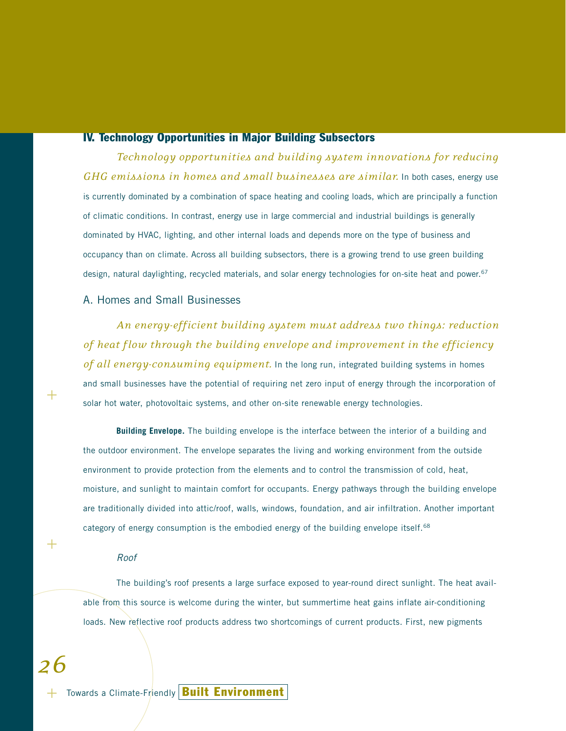### **IV. Technology Opportunities in Major Building Subsectors**

*Technology opportunities and building system innovations for reducing GHG emissions in homes and small businesses are similar.* In both cases, energy use is currently dominated by a combination of space heating and cooling loads, which are principally a function of climatic conditions. In contrast, energy use in large commercial and industrial buildings is generally dominated by HVAC, lighting, and other internal loads and depends more on the type of business and occupancy than on climate. Across all building subsectors, there is a growing trend to use green building design, natural daylighting, recycled materials, and solar energy technologies for on-site heat and power.<sup>67</sup>

### A. Homes and Small Businesses

*An energy-efficient building system must address two things: reduction of heat flow through the building envelope and improvement in the efficiency of all energy-consuming equipment.* In the long run, integrated building systems in homes and small businesses have the potential of requiring net zero input of energy through the incorporation of solar hot water, photovoltaic systems, and other on-site renewable energy technologies.

**Building Envelope.** The building envelope is the interface between the interior of a building and the outdoor environment. The envelope separates the living and working environment from the outside environment to provide protection from the elements and to control the transmission of cold, heat, moisture, and sunlight to maintain comfort for occupants. Energy pathways through the building envelope are traditionally divided into attic/roof, walls, windows, foundation, and air infiltration. Another important category of energy consumption is the embodied energy of the building envelope itself.<sup>68</sup>

#### Roof

The building's roof presents a large surface exposed to year-round direct sunlight. The heat available from this source is welcome during the winter, but summertime heat gains inflate air-conditioning loads. New reflective roof products address two shortcomings of current products. First, new pigments

*26*

 $^+$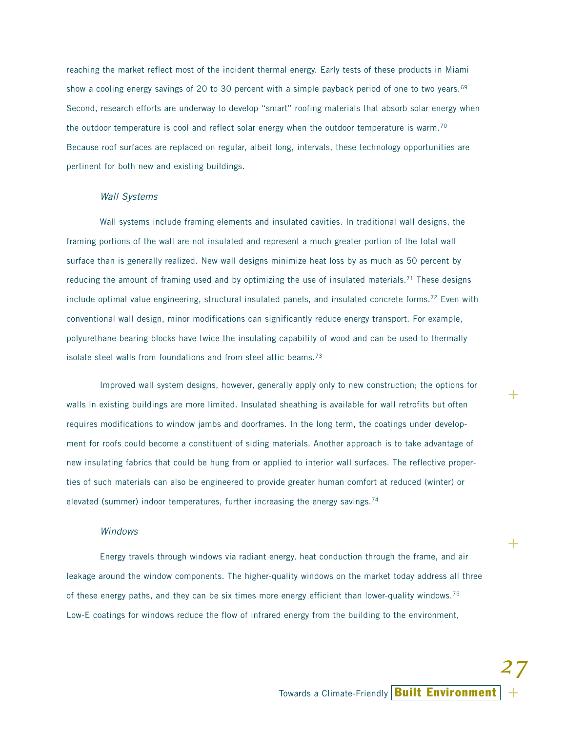reaching the market reflect most of the incident thermal energy. Early tests of these products in Miami show a cooling energy savings of 20 to 30 percent with a simple payback period of one to two years.<sup>69</sup> Second, research efforts are underway to develop "smart" roofing materials that absorb solar energy when the outdoor temperature is cool and reflect solar energy when the outdoor temperature is warm.<sup>70</sup> Because roof surfaces are replaced on regular, albeit long, intervals, these technology opportunities are pertinent for both new and existing buildings.

#### Wall Systems

Wall systems include framing elements and insulated cavities. In traditional wall designs, the framing portions of the wall are not insulated and represent a much greater portion of the total wall surface than is generally realized. New wall designs minimize heat loss by as much as 50 percent by reducing the amount of framing used and by optimizing the use of insulated materials.<sup>71</sup> These designs include optimal value engineering, structural insulated panels, and insulated concrete forms.<sup>72</sup> Even with conventional wall design, minor modifications can significantly reduce energy transport. For example, polyurethane bearing blocks have twice the insulating capability of wood and can be used to thermally isolate steel walls from foundations and from steel attic beams.<sup>73</sup>

Improved wall system designs, however, generally apply only to new construction; the options for walls in existing buildings are more limited. Insulated sheathing is available for wall retrofits but often requires modifications to window jambs and doorframes. In the long term, the coatings under development for roofs could become a constituent of siding materials. Another approach is to take advantage of new insulating fabrics that could be hung from or applied to interior wall surfaces. The reflective properties of such materials can also be engineered to provide greater human comfort at reduced (winter) or elevated (summer) indoor temperatures, further increasing the energy savings.<sup>74</sup>

#### Windows

Energy travels through windows via radiant energy, heat conduction through the frame, and air leakage around the window components. The higher-quality windows on the market today address all three of these energy paths, and they can be six times more energy efficient than lower-quality windows.<sup>75</sup> Low-E coatings for windows reduce the flow of infrared energy from the building to the environment,

+

 $+$ 

+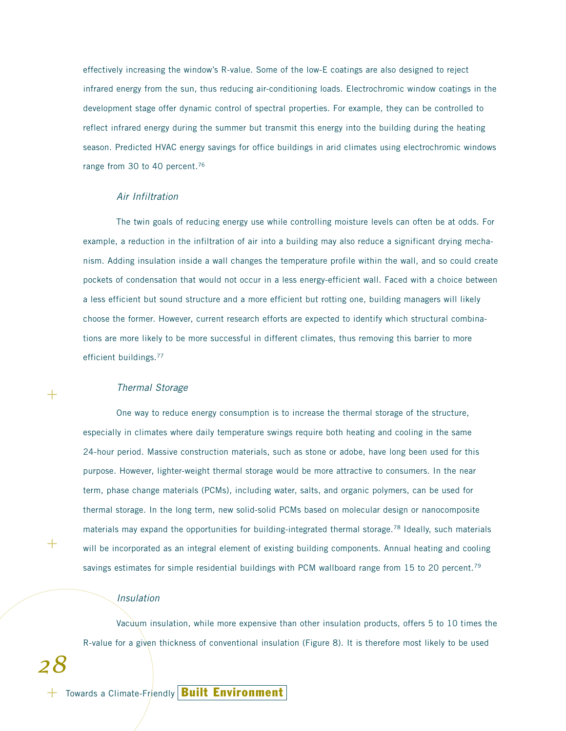effectively increasing the window's R-value. Some of the low-E coatings are also designed to reject infrared energy from the sun, thus reducing air-conditioning loads. Electrochromic window coatings in the development stage offer dynamic control of spectral properties. For example, they can be controlled to reflect infrared energy during the summer but transmit this energy into the building during the heating season. Predicted HVAC energy savings for office buildings in arid climates using electrochromic windows range from 30 to 40 percent.<sup>76</sup>

#### Air Infiltration

The twin goals of reducing energy use while controlling moisture levels can often be at odds. For example, a reduction in the infiltration of air into a building may also reduce a significant drying mechanism. Adding insulation inside a wall changes the temperature profile within the wall, and so could create pockets of condensation that would not occur in a less energy-efficient wall. Faced with a choice between a less efficient but sound structure and a more efficient but rotting one, building managers will likely choose the former. However, current research efforts are expected to identify which structural combinations are more likely to be more successful in different climates, thus removing this barrier to more efficient buildings.77

#### Thermal Storage

One way to reduce energy consumption is to increase the thermal storage of the structure, especially in climates where daily temperature swings require both heating and cooling in the same 24-hour period. Massive construction materials, such as stone or adobe, have long been used for this purpose. However, lighter-weight thermal storage would be more attractive to consumers. In the near term, phase change materials (PCMs), including water, salts, and organic polymers, can be used for thermal storage. In the long term, new solid-solid PCMs based on molecular design or nanocomposite materials may expand the opportunities for building-integrated thermal storage.78 Ideally, such materials will be incorporated as an integral element of existing building components. Annual heating and cooling savings estimates for simple residential buildings with PCM wallboard range from 15 to 20 percent.<sup>79</sup>

#### Insulation

Vacuum insulation, while more expensive than other insulation products, offers 5 to 10 times the R-value for a given thickness of conventional insulation (Figure 8). It is therefore most likely to be used

*28*

+

 $^+$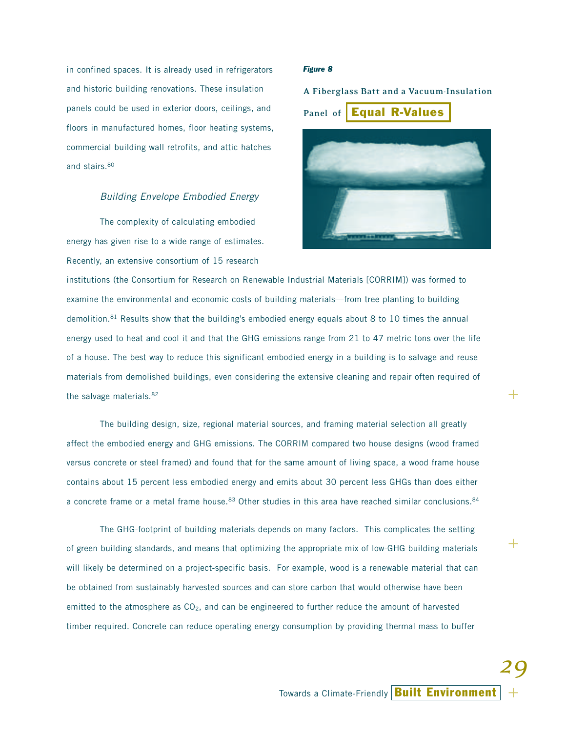in confined spaces. It is already used in refrigerators and historic building renovations. These insulation panels could be used in exterior doors, ceilings, and floors in manufactured homes, floor heating systems, commercial building wall retrofits, and attic hatches and stairs.<sup>80</sup>

#### Building Envelope Embodied Energy

The complexity of calculating embodied energy has given rise to a wide range of estimates. Recently, an extensive consortium of 15 research

#### *Figure 8*

**A Fiberglass Batt and a Vacuum-Insulation** 





+

+

institutions (the Consortium for Research on Renewable Industrial Materials [CORRIM]) was formed to examine the environmental and economic costs of building materials—from tree planting to building demolition.81 Results show that the building's embodied energy equals about 8 to 10 times the annual energy used to heat and cool it and that the GHG emissions range from 21 to 47 metric tons over the life of a house. The best way to reduce this significant embodied energy in a building is to salvage and reuse materials from demolished buildings, even considering the extensive cleaning and repair often required of the salvage materials.<sup>82</sup>

The building design, size, regional material sources, and framing material selection all greatly affect the embodied energy and GHG emissions. The CORRIM compared two house designs (wood framed versus concrete or steel framed) and found that for the same amount of living space, a wood frame house contains about 15 percent less embodied energy and emits about 30 percent less GHGs than does either a concrete frame or a metal frame house.<sup>83</sup> Other studies in this area have reached similar conclusions.<sup>84</sup>

The GHG-footprint of building materials depends on many factors. This complicates the setting of green building standards, and means that optimizing the appropriate mix of low-GHG building materials will likely be determined on a project-specific basis. For example, wood is a renewable material that can be obtained from sustainably harvested sources and can store carbon that would otherwise have been emitted to the atmosphere as  $CO<sub>2</sub>$ , and can be engineered to further reduce the amount of harvested timber required. Concrete can reduce operating energy consumption by providing thermal mass to buffer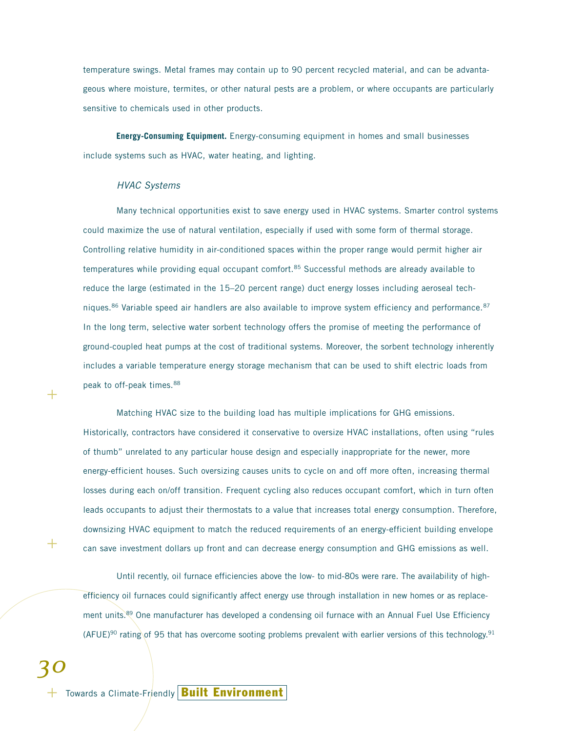temperature swings. Metal frames may contain up to 90 percent recycled material, and can be advantageous where moisture, termites, or other natural pests are a problem, or where occupants are particularly sensitive to chemicals used in other products.

**Energy-Consuming Equipment.** Energy-consuming equipment in homes and small businesses include systems such as HVAC, water heating, and lighting.

#### HVAC Systems

Many technical opportunities exist to save energy used in HVAC systems. Smarter control systems could maximize the use of natural ventilation, especially if used with some form of thermal storage. Controlling relative humidity in air-conditioned spaces within the proper range would permit higher air temperatures while providing equal occupant comfort.<sup>85</sup> Successful methods are already available to reduce the large (estimated in the 15–20 percent range) duct energy losses including aeroseal techniques.<sup>86</sup> Variable speed air handlers are also available to improve system efficiency and performance.<sup>87</sup> In the long term, selective water sorbent technology offers the promise of meeting the performance of ground-coupled heat pumps at the cost of traditional systems. Moreover, the sorbent technology inherently includes a variable temperature energy storage mechanism that can be used to shift electric loads from peak to off-peak times.<sup>88</sup>

Matching HVAC size to the building load has multiple implications for GHG emissions. Historically, contractors have considered it conservative to oversize HVAC installations, often using "rules of thumb" unrelated to any particular house design and especially inappropriate for the newer, more energy-efficient houses. Such oversizing causes units to cycle on and off more often, increasing thermal losses during each on/off transition. Frequent cycling also reduces occupant comfort, which in turn often leads occupants to adjust their thermostats to a value that increases total energy consumption. Therefore, downsizing HVAC equipment to match the reduced requirements of an energy-efficient building envelope can save investment dollars up front and can decrease energy consumption and GHG emissions as well.

Until recently, oil furnace efficiencies above the low- to mid-80s were rare. The availability of highefficiency oil furnaces could significantly affect energy use through installation in new homes or as replacement units.<sup>89</sup> One manufacturer has developed a condensing oil furnace with an Annual Fuel Use Efficiency (AFUE)<sup>90</sup> rating of 95 that has overcome sooting problems prevalent with earlier versions of this technology.<sup>91</sup>

 $\, +$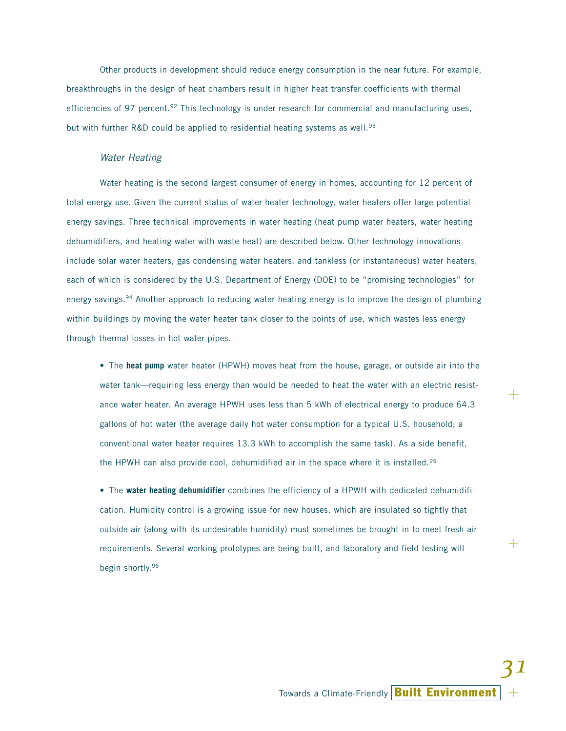Other products in development should reduce energy consumption in the near future. For example, breakthroughs in the design of heat chambers result in higher heat transfer coefficients with thermal efficiencies of 97 percent.<sup>92</sup> This technology is under research for commercial and manufacturing uses, but with further R&D could be applied to residential heating systems as well.<sup>93</sup>

#### Water Heating

Water heating is the second largest consumer of energy in homes, accounting for 12 percent of total energy use. Given the current status of water-heater technology, water heaters offer large potential energy savings. Three technical improvements in water heating (heat pump water heaters, water heating dehumidifiers, and heating water with waste heat) are described below. Other technology innovations include solar water heaters, gas condensing water heaters, and tankless (or instantaneous) water heaters, each of which is considered by the U.S. Department of Energy (DOE) to be "promising technologies" for energy savings.<sup>94</sup> Another approach to reducing water heating energy is to improve the design of plumbing within buildings by moving the water heater tank closer to the points of use, which wastes less energy through thermal losses in hot water pipes.

• The **heat pump** water heater (HPWH) moves heat from the house, garage, or outside air into the water tank—requiring less energy than would be needed to heat the water with an electric resistance water heater. An average HPWH uses less than 5 kWh of electrical energy to produce 64.3 gallons of hot water (the average daily hot water consumption for a typical U.S. household; a conventional water heater requires 13.3 kWh to accomplish the same task). As a side benefit, the HPWH can also provide cool, dehumidified air in the space where it is installed.<sup>95</sup>

• The **water heating dehumidifier** combines the efficiency of a HPWH with dedicated dehumidification. Humidity control is a growing issue for new houses, which are insulated so tightly that outside air (along with its undesirable humidity) must sometimes be brought in to meet fresh air requirements. Several working prototypes are being built, and laboratory and field testing will begin shortly.96

+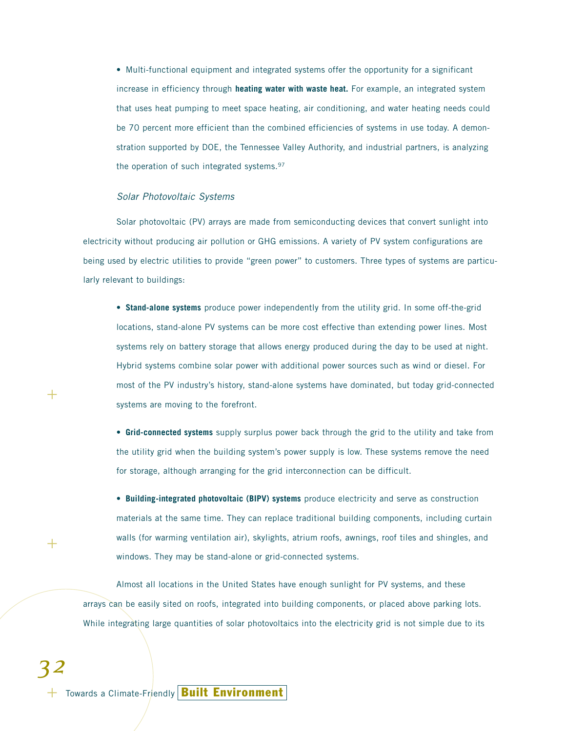• Multi-functional equipment and integrated systems offer the opportunity for a significant increase in efficiency through **heating water with waste heat.** For example, an integrated system that uses heat pumping to meet space heating, air conditioning, and water heating needs could be 70 percent more efficient than the combined efficiencies of systems in use today. A demonstration supported by DOE, the Tennessee Valley Authority, and industrial partners, is analyzing the operation of such integrated systems.<sup>97</sup>

#### Solar Photovoltaic Systems

+

 $\, +$ 

*32*

Solar photovoltaic (PV) arrays are made from semiconducting devices that convert sunlight into electricity without producing air pollution or GHG emissions. A variety of PV system configurations are being used by electric utilities to provide "green power" to customers. Three types of systems are particularly relevant to buildings:

• **Stand-alone systems** produce power independently from the utility grid. In some off-the-grid locations, stand-alone PV systems can be more cost effective than extending power lines. Most systems rely on battery storage that allows energy produced during the day to be used at night. Hybrid systems combine solar power with additional power sources such as wind or diesel. For most of the PV industry's history, stand-alone systems have dominated, but today grid-connected systems are moving to the forefront.

• **Grid-connected systems** supply surplus power back through the grid to the utility and take from the utility grid when the building system's power supply is low. These systems remove the need for storage, although arranging for the grid interconnection can be difficult.

• **Building-integrated photovoltaic (BIPV) systems** produce electricity and serve as construction materials at the same time. They can replace traditional building components, including curtain walls (for warming ventilation air), skylights, atrium roofs, awnings, roof tiles and shingles, and windows. They may be stand-alone or grid-connected systems.

Almost all locations in the United States have enough sunlight for PV systems, and these arrays can be easily sited on roofs, integrated into building components, or placed above parking lots. While integrating large quantities of solar photovoltaics into the electricity grid is not simple due to its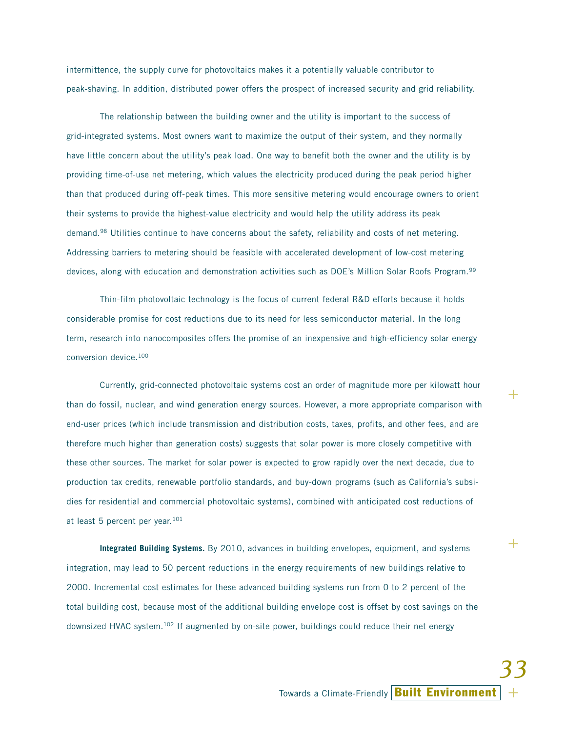intermittence, the supply curve for photovoltaics makes it a potentially valuable contributor to peak-shaving. In addition, distributed power offers the prospect of increased security and grid reliability.

The relationship between the building owner and the utility is important to the success of grid-integrated systems. Most owners want to maximize the output of their system, and they normally have little concern about the utility's peak load. One way to benefit both the owner and the utility is by providing time-of-use net metering, which values the electricity produced during the peak period higher than that produced during off-peak times. This more sensitive metering would encourage owners to orient their systems to provide the highest-value electricity and would help the utility address its peak demand.<sup>98</sup> Utilities continue to have concerns about the safety, reliability and costs of net metering. Addressing barriers to metering should be feasible with accelerated development of low-cost metering devices, along with education and demonstration activities such as DOE's Million Solar Roofs Program.99

Thin-film photovoltaic technology is the focus of current federal R&D efforts because it holds considerable promise for cost reductions due to its need for less semiconductor material. In the long term, research into nanocomposites offers the promise of an inexpensive and high-efficiency solar energy conversion device.100

Currently, grid-connected photovoltaic systems cost an order of magnitude more per kilowatt hour than do fossil, nuclear, and wind generation energy sources. However, a more appropriate comparison with end-user prices (which include transmission and distribution costs, taxes, profits, and other fees, and are therefore much higher than generation costs) suggests that solar power is more closely competitive with these other sources. The market for solar power is expected to grow rapidly over the next decade, due to production tax credits, renewable portfolio standards, and buy-down programs (such as California's subsidies for residential and commercial photovoltaic systems), combined with anticipated cost reductions of at least 5 percent per year.<sup>101</sup>

**Integrated Building Systems.** By 2010, advances in building envelopes, equipment, and systems integration, may lead to 50 percent reductions in the energy requirements of new buildings relative to 2000. Incremental cost estimates for these advanced building systems run from 0 to 2 percent of the total building cost, because most of the additional building envelope cost is offset by cost savings on the downsized HVAC system.102 If augmented by on-site power, buildings could reduce their net energy

+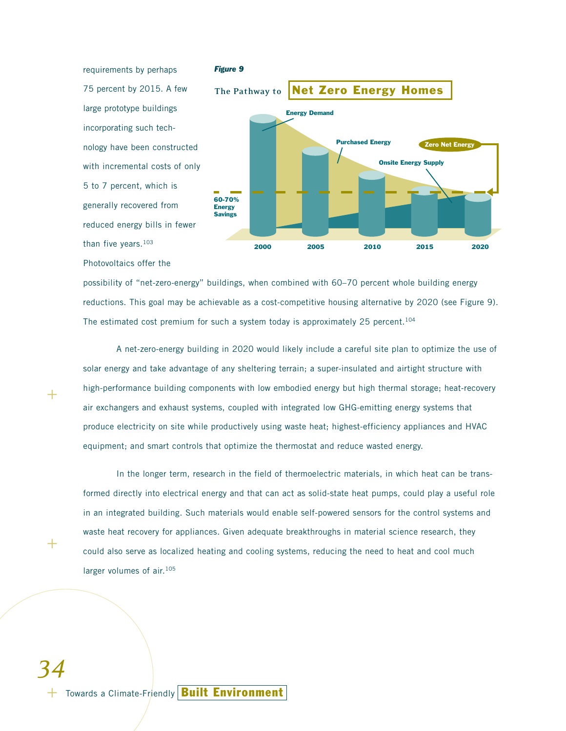

possibility of "net-zero-energy" buildings, when combined with 60–70 percent whole building energy reductions. This goal may be achievable as a cost-competitive housing alternative by 2020 (see Figure 9). The estimated cost premium for such a system today is approximately 25 percent.<sup>104</sup>

A net-zero-energy building in 2020 would likely include a careful site plan to optimize the use of solar energy and take advantage of any sheltering terrain; a super-insulated and airtight structure with high-performance building components with low embodied energy but high thermal storage; heat-recovery air exchangers and exhaust systems, coupled with integrated low GHG-emitting energy systems that produce electricity on site while productively using waste heat; highest-efficiency appliances and HVAC equipment; and smart controls that optimize the thermostat and reduce wasted energy.

In the longer term, research in the field of thermoelectric materials, in which heat can be transformed directly into electrical energy and that can act as solid-state heat pumps, could play a useful role in an integrated building. Such materials would enable self-powered sensors for the control systems and waste heat recovery for appliances. Given adequate breakthroughs in material science research, they could also serve as localized heating and cooling systems, reducing the need to heat and cool much larger volumes of air.<sup>105</sup>

# + Towards a Climate-Friendly **Built Environment** *34*

 $\pm$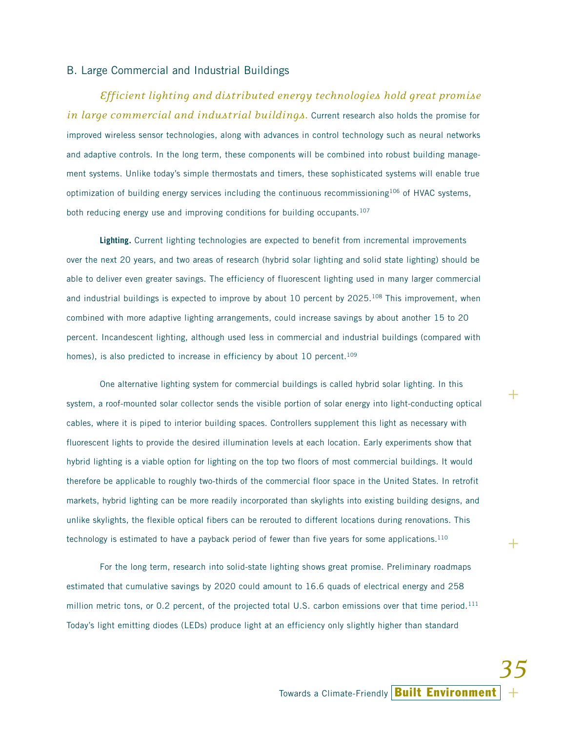# B. Large Commercial and Industrial Buildings

*Efficient lighting and distributed energy technologies hold great promise in large commercial and industrial buildings.* Current research also holds the promise for improved wireless sensor technologies, along with advances in control technology such as neural networks and adaptive controls. In the long term, these components will be combined into robust building management systems. Unlike today's simple thermostats and timers, these sophisticated systems will enable true optimization of building energy services including the continuous recommissioning<sup>106</sup> of HVAC systems, both reducing energy use and improving conditions for building occupants.<sup>107</sup>

**Lighting.** Current lighting technologies are expected to benefit from incremental improvements over the next 20 years, and two areas of research (hybrid solar lighting and solid state lighting) should be able to deliver even greater savings. The efficiency of fluorescent lighting used in many larger commercial and industrial buildings is expected to improve by about 10 percent by 2025.<sup>108</sup> This improvement, when combined with more adaptive lighting arrangements, could increase savings by about another 15 to 20 percent. Incandescent lighting, although used less in commercial and industrial buildings (compared with homes), is also predicted to increase in efficiency by about 10 percent.<sup>109</sup>

One alternative lighting system for commercial buildings is called hybrid solar lighting. In this system, a roof-mounted solar collector sends the visible portion of solar energy into light-conducting optical cables, where it is piped to interior building spaces. Controllers supplement this light as necessary with fluorescent lights to provide the desired illumination levels at each location. Early experiments show that hybrid lighting is a viable option for lighting on the top two floors of most commercial buildings. It would therefore be applicable to roughly two-thirds of the commercial floor space in the United States. In retrofit markets, hybrid lighting can be more readily incorporated than skylights into existing building designs, and unlike skylights, the flexible optical fibers can be rerouted to different locations during renovations. This technology is estimated to have a payback period of fewer than five years for some applications.110

For the long term, research into solid-state lighting shows great promise. Preliminary roadmaps estimated that cumulative savings by 2020 could amount to 16.6 quads of electrical energy and 258 million metric tons, or 0.2 percent, of the projected total U.S. carbon emissions over that time period.<sup>111</sup> Today's light emitting diodes (LEDs) produce light at an efficiency only slightly higher than standard

+

+

+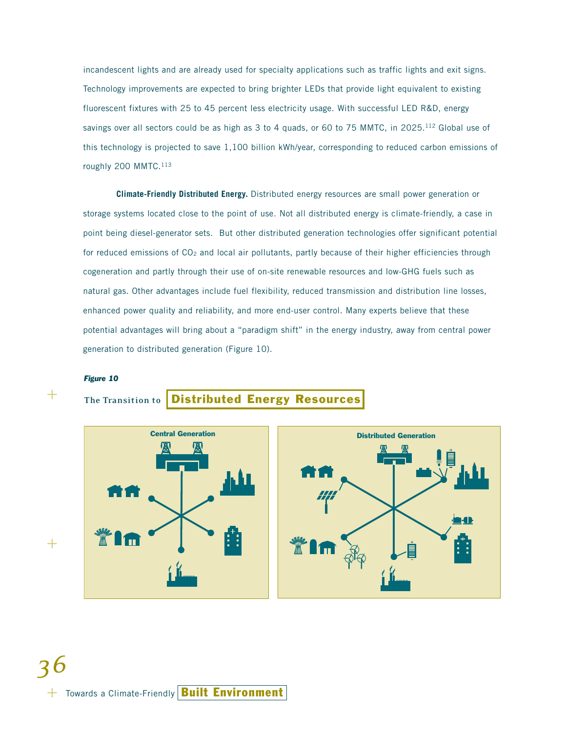incandescent lights and are already used for specialty applications such as traffic lights and exit signs. Technology improvements are expected to bring brighter LEDs that provide light equivalent to existing fluorescent fixtures with 25 to 45 percent less electricity usage. With successful LED R&D, energy savings over all sectors could be as high as 3 to 4 quads, or 60 to 75 MMTC, in 2025.<sup>112</sup> Global use of this technology is projected to save 1,100 billion kWh/year, corresponding to reduced carbon emissions of roughly 200 MMTC.113

**Climate-Friendly Distributed Energy.** Distributed energy resources are small power generation or storage systems located close to the point of use. Not all distributed energy is climate-friendly, a case in point being diesel-generator sets. But other distributed generation technologies offer significant potential for reduced emissions of  $CO<sub>2</sub>$  and local air pollutants, partly because of their higher efficiencies through cogeneration and partly through their use of on-site renewable resources and low-GHG fuels such as natural gas. Other advantages include fuel flexibility, reduced transmission and distribution line losses, enhanced power quality and reliability, and more end-user control. Many experts believe that these potential advantages will bring about a "paradigm shift" in the energy industry, away from central power generation to distributed generation (Figure 10).

#### *Figure 10*

+

# **The Transition to Distributed Energy Resources**



+ Towards a Climate-Friendly **Built Environment** *36*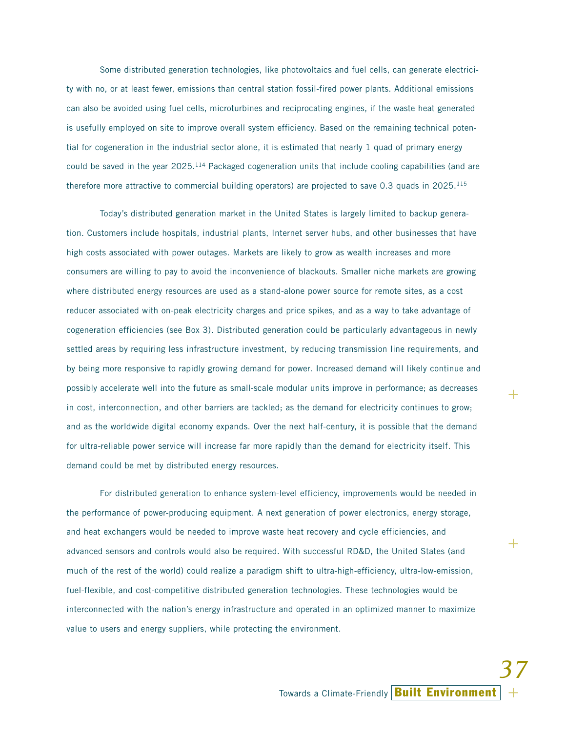Some distributed generation technologies, like photovoltaics and fuel cells, can generate electricity with no, or at least fewer, emissions than central station fossil-fired power plants. Additional emissions can also be avoided using fuel cells, microturbines and reciprocating engines, if the waste heat generated is usefully employed on site to improve overall system efficiency. Based on the remaining technical potential for cogeneration in the industrial sector alone, it is estimated that nearly 1 quad of primary energy could be saved in the year 2025.<sup>114</sup> Packaged cogeneration units that include cooling capabilities (and are therefore more attractive to commercial building operators) are projected to save 0.3 quads in 2025.<sup>115</sup>

Today's distributed generation market in the United States is largely limited to backup generation. Customers include hospitals, industrial plants, Internet server hubs, and other businesses that have high costs associated with power outages. Markets are likely to grow as wealth increases and more consumers are willing to pay to avoid the inconvenience of blackouts. Smaller niche markets are growing where distributed energy resources are used as a stand-alone power source for remote sites, as a cost reducer associated with on-peak electricity charges and price spikes, and as a way to take advantage of cogeneration efficiencies (see Box 3). Distributed generation could be particularly advantageous in newly settled areas by requiring less infrastructure investment, by reducing transmission line requirements, and by being more responsive to rapidly growing demand for power. Increased demand will likely continue and possibly accelerate well into the future as small-scale modular units improve in performance; as decreases in cost, interconnection, and other barriers are tackled; as the demand for electricity continues to grow; and as the worldwide digital economy expands. Over the next half-century, it is possible that the demand for ultra-reliable power service will increase far more rapidly than the demand for electricity itself. This demand could be met by distributed energy resources.

For distributed generation to enhance system-level efficiency, improvements would be needed in the performance of power-producing equipment. A next generation of power electronics, energy storage, and heat exchangers would be needed to improve waste heat recovery and cycle efficiencies, and advanced sensors and controls would also be required. With successful RD&D, the United States (and much of the rest of the world) could realize a paradigm shift to ultra-high-efficiency, ultra-low-emission, fuel-flexible, and cost-competitive distributed generation technologies. These technologies would be interconnected with the nation's energy infrastructure and operated in an optimized manner to maximize value to users and energy suppliers, while protecting the environment.

+

+

+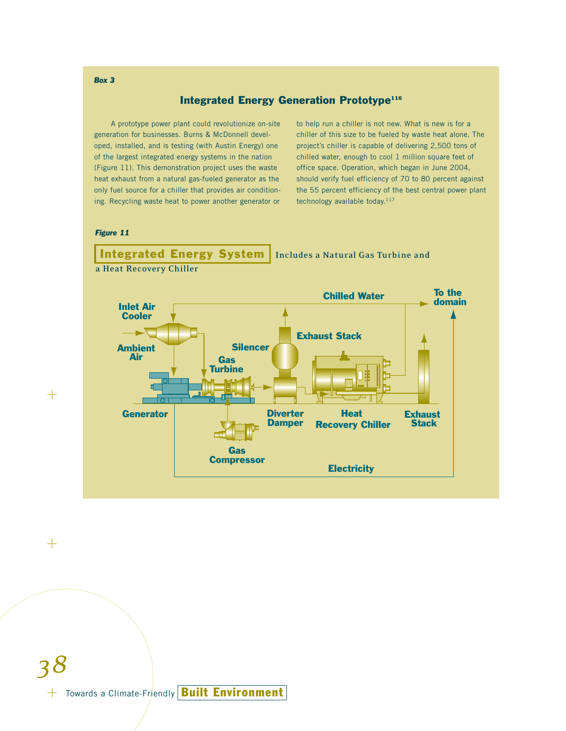#### *Box 3*

#### **Integrated Energy Generation Prototype<sup>116</sup>**

A prototype power plant could revolutionize on-site generation for businesses. Burns & McDonnell developed, installed, and is testing (with Austin Energy) one of the largest integrated energy systems in the nation (Figure 11). This demonstration project uses the waste heat exhaust from a natural gas-fueled generator as the only fuel source for a chiller that provides air conditioning. Recycling waste heat to power another generator or to help run a chiller is not new. What is new is for a chiller of this size to be fueled by waste heat alone. The project's chiller is capable of delivering 2,500 tons of chilled water, enough to cool 1 million square feet of office space. Operation, which began in June 2004, should verify fuel efficiency of 70 to 80 percent against the 55 percent efficiency of the best central power plant technology available today.<sup>117</sup>

#### *Figure 11*



 $^+$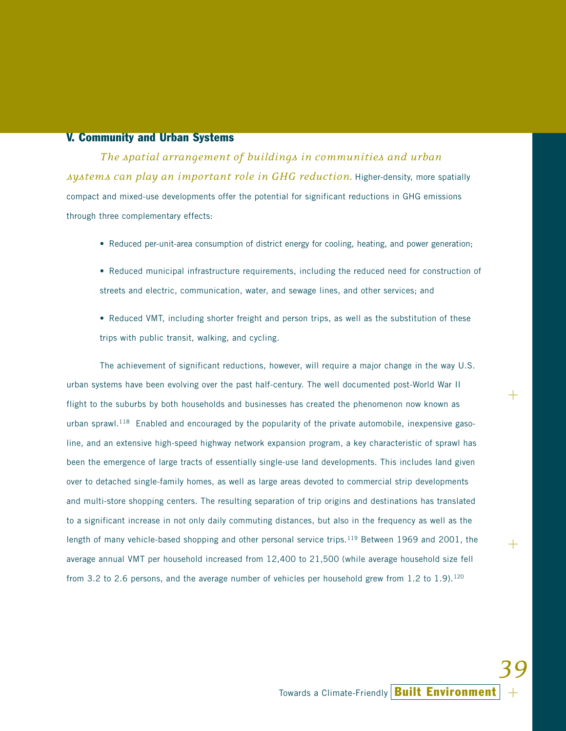# **V. Community and Urban Systems**

*The spatial arrangement of buildings in communities and urban systems can play an important role in GHG reduction.* Higher-density, more spatially compact and mixed-use developments offer the potential for significant reductions in GHG emissions through three complementary effects:

- Reduced per-unit-area consumption of district energy for cooling, heating, and power generation;
- Reduced municipal infrastructure requirements, including the reduced need for construction of streets and electric, communication, water, and sewage lines, and other services; and
- Reduced VMT, including shorter freight and person trips, as well as the substitution of these trips with public transit, walking, and cycling.

The achievement of significant reductions, however, will require a major change in the way U.S. urban systems have been evolving over the past half-century. The well documented post-World War II flight to the suburbs by both households and businesses has created the phenomenon now known as urban sprawl.<sup>118</sup> Enabled and encouraged by the popularity of the private automobile, inexpensive gasoline, and an extensive high-speed highway network expansion program, a key characteristic of sprawl has been the emergence of large tracts of essentially single-use land developments. This includes land given over to detached single-family homes, as well as large areas devoted to commercial strip developments and multi-store shopping centers. The resulting separation of trip origins and destinations has translated to a significant increase in not only daily commuting distances, but also in the frequency as well as the length of many vehicle-based shopping and other personal service trips.<sup>119</sup> Between 1969 and 2001, the average annual VMT per household increased from 12,400 to 21,500 (while average household size fell from 3.2 to 2.6 persons, and the average number of vehicles per household grew from 1.2 to 1.9).120

+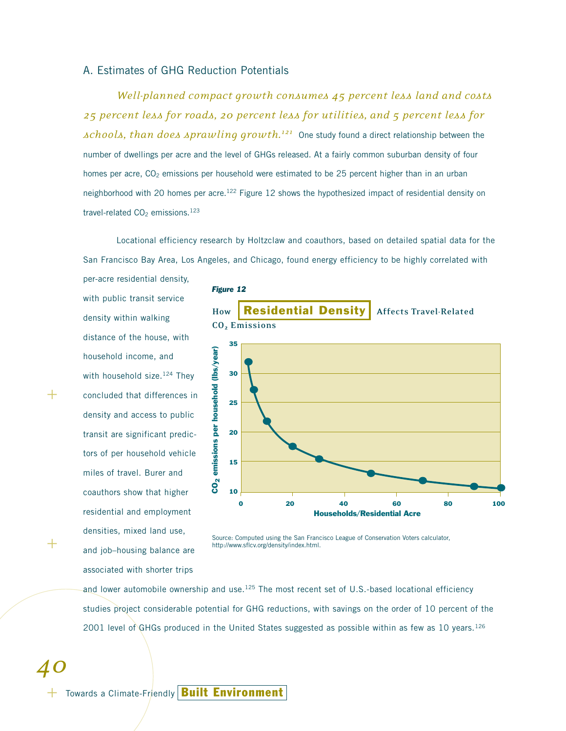# A. Estimates of GHG Reduction Potentials

*Well-planned compact growth consumes 45 percent less land and costs 25 percent less for roads, 20 percent less for utilities, and 5 percent less for schools, than does sprawling growth.121* One study found a direct relationship between the number of dwellings per acre and the level of GHGs released. At a fairly common suburban density of four homes per acre,  $CO<sub>2</sub>$  emissions per household were estimated to be 25 percent higher than in an urban neighborhood with 20 homes per acre.<sup>122</sup> Figure 12 shows the hypothesized impact of residential density on travel-related  $CO<sub>2</sub>$  emissions.<sup>123</sup>

Locational efficiency research by Holtzclaw and coauthors, based on detailed spatial data for the San Francisco Bay Area, Los Angeles, and Chicago, found energy efficiency to be highly correlated with

per-acre residential density, with public transit service density within walking distance of the house, with household income, and with household size.<sup>124</sup> They concluded that differences in density and access to public transit are significant predictors of per household vehicle miles of travel. Burer and coauthors show that higher residential and employment densities, mixed land use, and job–housing balance are associated with shorter trips Fournal mome, and<br>
with household size.<sup>124</sup> They<br>
concluded that differences in<br>
density and access to public<br>
transit are significant predic-<br>
tors of per household vehicle<br>
miles of travel. Burer and<br>
coauthors show th

 $^+$ 

+

*40*



Source: Computed using the San Francisco League of Conservation Voters calculator, http://www.sflcv.org/density/index.html.

and lower automobile ownership and use.<sup>125</sup> The most recent set of U.S.-based locational efficiency studies project considerable potential for GHG reductions, with savings on the order of 10 percent of the 2001 level of GHGs produced in the United States suggested as possible within as few as 10 years.<sup>126</sup>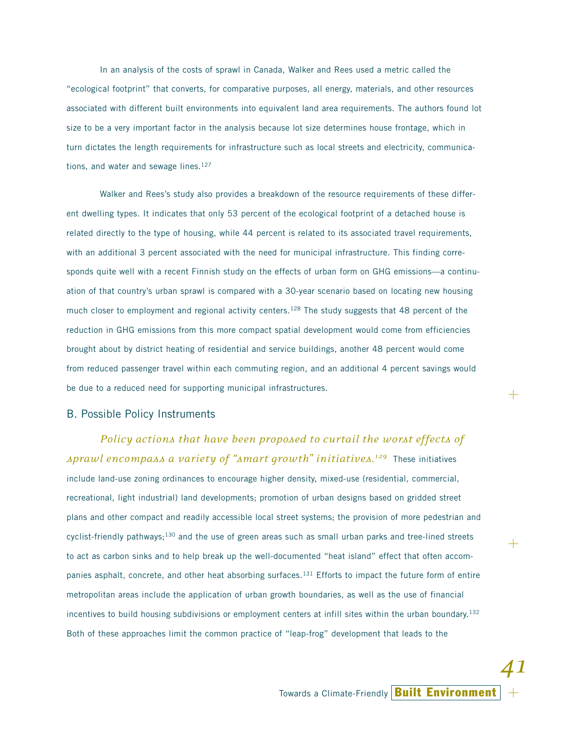In an analysis of the costs of sprawl in Canada, Walker and Rees used a metric called the "ecological footprint" that converts, for comparative purposes, all energy, materials, and other resources associated with different built environments into equivalent land area requirements. The authors found lot size to be a very important factor in the analysis because lot size determines house frontage, which in turn dictates the length requirements for infrastructure such as local streets and electricity, communications, and water and sewage lines. $127$ 

Walker and Rees's study also provides a breakdown of the resource requirements of these different dwelling types. It indicates that only 53 percent of the ecological footprint of a detached house is related directly to the type of housing, while 44 percent is related to its associated travel requirements, with an additional 3 percent associated with the need for municipal infrastructure. This finding corresponds quite well with a recent Finnish study on the effects of urban form on GHG emissions—a continuation of that country's urban sprawl is compared with a 30-year scenario based on locating new housing much closer to employment and regional activity centers.<sup>128</sup> The study suggests that 48 percent of the reduction in GHG emissions from this more compact spatial development would come from efficiencies brought about by district heating of residential and service buildings, another 48 percent would come from reduced passenger travel within each commuting region, and an additional 4 percent savings would be due to a reduced need for supporting municipal infrastructures.

### B. Possible Policy Instruments

*Policy actions that have been proposed to curtail the worst effects of sprawl encompass a variety of "smart growth" initiatives.129* These initiatives include land-use zoning ordinances to encourage higher density, mixed-use (residential, commercial, recreational, light industrial) land developments; promotion of urban designs based on gridded street plans and other compact and readily accessible local street systems; the provision of more pedestrian and cyclist-friendly pathways;<sup>130</sup> and the use of green areas such as small urban parks and tree-lined streets to act as carbon sinks and to help break up the well-documented "heat island" effect that often accompanies asphalt, concrete, and other heat absorbing surfaces.<sup>131</sup> Efforts to impact the future form of entire metropolitan areas include the application of urban growth boundaries, as well as the use of financial incentives to build housing subdivisions or employment centers at infill sites within the urban boundary.132 Both of these approaches limit the common practice of "leap-frog" development that leads to the

+

+

+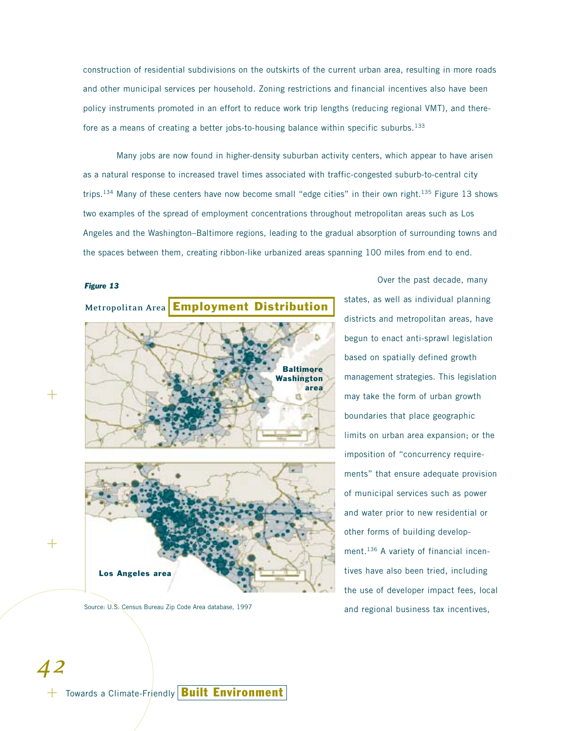construction of residential subdivisions on the outskirts of the current urban area, resulting in more roads and other municipal services per household. Zoning restrictions and financial incentives also have been policy instruments promoted in an effort to reduce work trip lengths (reducing regional VMT), and therefore as a means of creating a better jobs-to-housing balance within specific suburbs.<sup>133</sup>

Many jobs are now found in higher-density suburban activity centers, which appear to have arisen as a natural response to increased travel times associated with traffic-congested suburb-to-central city trips.<sup>134</sup> Many of these centers have now become small "edge cities" in their own right.<sup>135</sup> Figure 13 shows two examples of the spread of employment concentrations throughout metropolitan areas such as Los Angeles and the Washington–Baltimore regions, leading to the gradual absorption of surrounding towns and the spaces between them, creating ribbon-like urbanized areas spanning 100 miles from end to end.

#### *Figure 13*

+

 $+$ 

*42*





Source: U.S. Census Bureau Zip Code Area database, 1997

Over the past decade, many states, as well as individual planning districts and metropolitan areas, have begun to enact anti-sprawl legislation based on spatially defined growth management strategies. This legislation may take the form of urban growth boundaries that place geographic limits on urban area expansion; or the imposition of "concurrency requirements" that ensure adequate provision of municipal services such as power and water prior to new residential or other forms of building development.136 A variety of financial incentives have also been tried, including the use of developer impact fees, local and regional business tax incentives,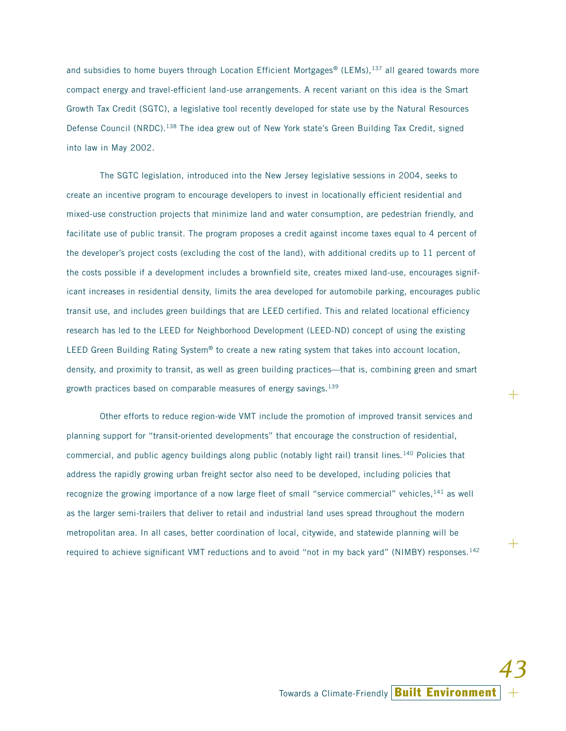and subsidies to home buyers through Location Efficient Mortgages<sup>®</sup> (LEMs),<sup>137</sup> all geared towards more compact energy and travel-efficient land-use arrangements. A recent variant on this idea is the Smart Growth Tax Credit (SGTC), a legislative tool recently developed for state use by the Natural Resources Defense Council (NRDC).138 The idea grew out of New York state's Green Building Tax Credit, signed into law in May 2002.

The SGTC legislation, introduced into the New Jersey legislative sessions in 2004, seeks to create an incentive program to encourage developers to invest in locationally efficient residential and mixed-use construction projects that minimize land and water consumption, are pedestrian friendly, and facilitate use of public transit. The program proposes a credit against income taxes equal to 4 percent of the developer's project costs (excluding the cost of the land), with additional credits up to 11 percent of the costs possible if a development includes a brownfield site, creates mixed land-use, encourages significant increases in residential density, limits the area developed for automobile parking, encourages public transit use, and includes green buildings that are LEED certified. This and related locational efficiency research has led to the LEED for Neighborhood Development (LEED-ND) concept of using the existing LEED Green Building Rating System® to create a new rating system that takes into account location, density, and proximity to transit, as well as green building practices—that is, combining green and smart growth practices based on comparable measures of energy savings.<sup>139</sup>

Other efforts to reduce region-wide VMT include the promotion of improved transit services and planning support for "transit-oriented developments" that encourage the construction of residential, commercial, and public agency buildings along public (notably light rail) transit lines.<sup>140</sup> Policies that address the rapidly growing urban freight sector also need to be developed, including policies that recognize the growing importance of a now large fleet of small "service commercial" vehicles,<sup>141</sup> as well as the larger semi-trailers that deliver to retail and industrial land uses spread throughout the modern metropolitan area. In all cases, better coordination of local, citywide, and statewide planning will be required to achieve significant VMT reductions and to avoid "not in my back yard" (NIMBY) responses.<sup>142</sup>

Towards a Climate-Friendly **Built Environment**

+

 $\pm$ 

+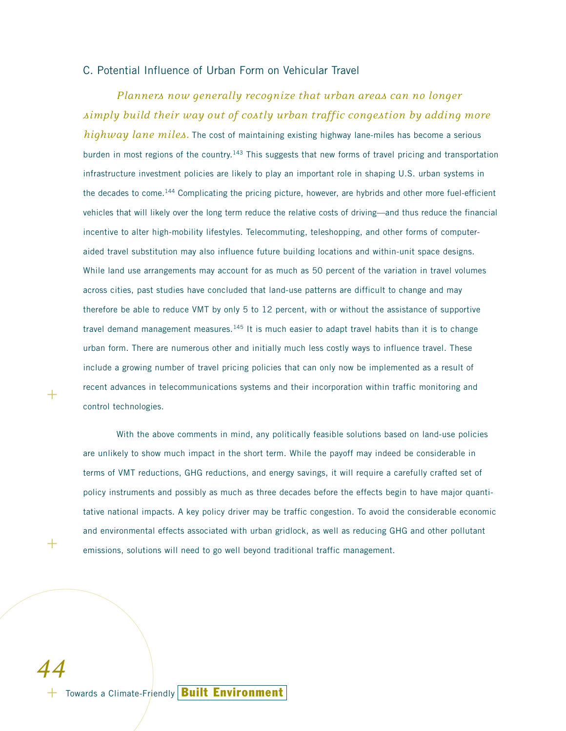# C. Potential Influence of Urban Form on Vehicular Travel

*Planners now generally recognize that urban areas can no longer simply build their way out of costly urban traffic congestion by adding more highway lane miles.* The cost of maintaining existing highway lane-miles has become a serious burden in most regions of the country.<sup>143</sup> This suggests that new forms of travel pricing and transportation infrastructure investment policies are likely to play an important role in shaping U.S. urban systems in the decades to come.<sup>144</sup> Complicating the pricing picture, however, are hybrids and other more fuel-efficient vehicles that will likely over the long term reduce the relative costs of driving—and thus reduce the financial incentive to alter high-mobility lifestyles. Telecommuting, teleshopping, and other forms of computeraided travel substitution may also influence future building locations and within-unit space designs. While land use arrangements may account for as much as 50 percent of the variation in travel volumes across cities, past studies have concluded that land-use patterns are difficult to change and may therefore be able to reduce VMT by only 5 to 12 percent, with or without the assistance of supportive travel demand management measures.<sup>145</sup> It is much easier to adapt travel habits than it is to change urban form. There are numerous other and initially much less costly ways to influence travel. These include a growing number of travel pricing policies that can only now be implemented as a result of recent advances in telecommunications systems and their incorporation within traffic monitoring and control technologies.

With the above comments in mind, any politically feasible solutions based on land-use policies are unlikely to show much impact in the short term. While the payoff may indeed be considerable in terms of VMT reductions, GHG reductions, and energy savings, it will require a carefully crafted set of policy instruments and possibly as much as three decades before the effects begin to have major quantitative national impacts. A key policy driver may be traffic congestion. To avoid the considerable economic and environmental effects associated with urban gridlock, as well as reducing GHG and other pollutant emissions, solutions will need to go well beyond traditional traffic management.

# + Towards a Climate-Friendly **Built Environment**

+

+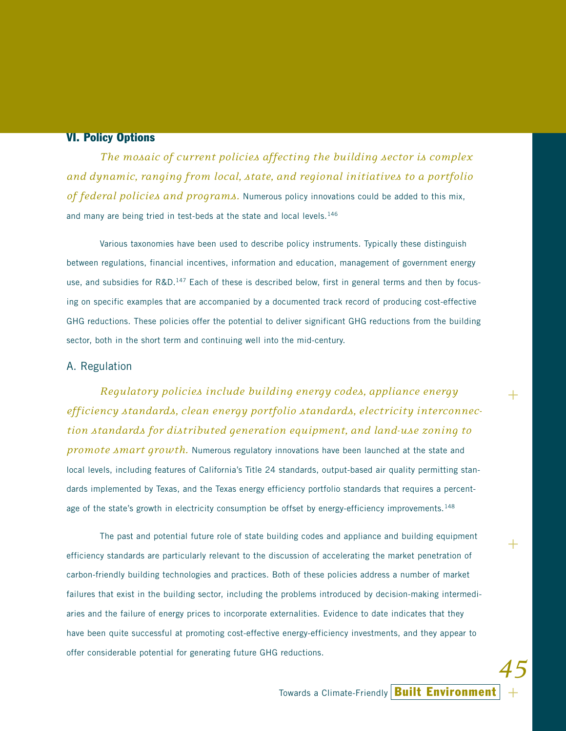# **VI. Policy Options**

*The mosaic of current policies affecting the building sector is complex and dynamic, ranging from local, state, and regional initiatives to a portfolio of federal policies and programs.* Numerous policy innovations could be added to this mix, and many are being tried in test-beds at the state and local levels.<sup>146</sup>

Various taxonomies have been used to describe policy instruments. Typically these distinguish between regulations, financial incentives, information and education, management of government energy use, and subsidies for R&D.<sup>147</sup> Each of these is described below, first in general terms and then by focusing on specific examples that are accompanied by a documented track record of producing cost-effective GHG reductions. These policies offer the potential to deliver significant GHG reductions from the building sector, both in the short term and continuing well into the mid-century.

### A. Regulation

*Regulatory policies include building energy codes, appliance energy efficiency standards, clean energy portfolio standards, electricity interconnection standards for distributed generation equipment, and land-use zoning to promote smart growth.* Numerous regulatory innovations have been launched at the state and local levels, including features of California's Title 24 standards, output-based air quality permitting standards implemented by Texas, and the Texas energy efficiency portfolio standards that requires a percentage of the state's growth in electricity consumption be offset by energy-efficiency improvements.<sup>148</sup>

The past and potential future role of state building codes and appliance and building equipment efficiency standards are particularly relevant to the discussion of accelerating the market penetration of carbon-friendly building technologies and practices. Both of these policies address a number of market failures that exist in the building sector, including the problems introduced by decision-making intermediaries and the failure of energy prices to incorporate externalities. Evidence to date indicates that they have been quite successful at promoting cost-effective energy-efficiency investments, and they appear to offer considerable potential for generating future GHG reductions.

Towards a Climate-Friendly **Built Environment**

+

+

+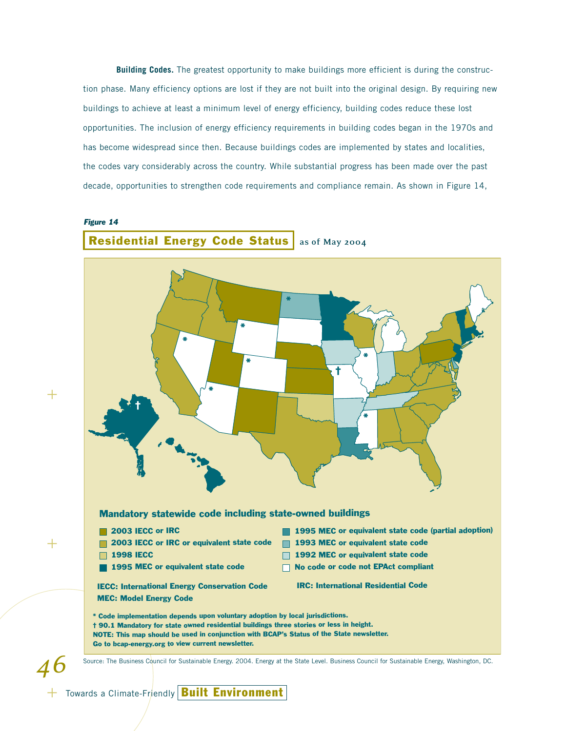**Building Codes.** The greatest opportunity to make buildings more efficient is during the construction phase. Many efficiency options are lost if they are not built into the original design. By requiring new buildings to achieve at least a minimum level of energy efficiency, building codes reduce these lost opportunities. The inclusion of energy efficiency requirements in building codes began in the 1970s and has become widespread since then. Because buildings codes are implemented by states and localities, the codes vary considerably across the country. While substantial progress has been made over the past decade, opportunities to strengthen code requirements and compliance remain. As shown in Figure 14,



 $^+$ 

 $+$ 

*46*





+ Towards a Climate-Friendly **Built Environment**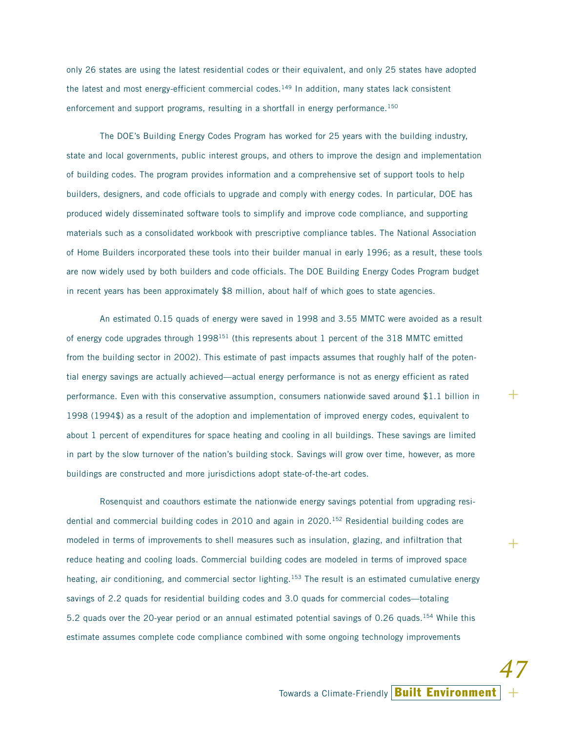only 26 states are using the latest residential codes or their equivalent, and only 25 states have adopted the latest and most energy-efficient commercial codes.<sup>149</sup> In addition, many states lack consistent enforcement and support programs, resulting in a shortfall in energy performance.<sup>150</sup>

The DOE's Building Energy Codes Program has worked for 25 years with the building industry, state and local governments, public interest groups, and others to improve the design and implementation of building codes. The program provides information and a comprehensive set of support tools to help builders, designers, and code officials to upgrade and comply with energy codes. In particular, DOE has produced widely disseminated software tools to simplify and improve code compliance, and supporting materials such as a consolidated workbook with prescriptive compliance tables. The National Association of Home Builders incorporated these tools into their builder manual in early 1996; as a result, these tools are now widely used by both builders and code officials. The DOE Building Energy Codes Program budget in recent years has been approximately \$8 million, about half of which goes to state agencies.

An estimated 0.15 quads of energy were saved in 1998 and 3.55 MMTC were avoided as a result of energy code upgrades through 1998151 (this represents about 1 percent of the 318 MMTC emitted from the building sector in 2002). This estimate of past impacts assumes that roughly half of the potential energy savings are actually achieved—actual energy performance is not as energy efficient as rated performance. Even with this conservative assumption, consumers nationwide saved around \$1.1 billion in 1998 (1994\$) as a result of the adoption and implementation of improved energy codes, equivalent to about 1 percent of expenditures for space heating and cooling in all buildings. These savings are limited in part by the slow turnover of the nation's building stock. Savings will grow over time, however, as more buildings are constructed and more jurisdictions adopt state-of-the-art codes.

Rosenquist and coauthors estimate the nationwide energy savings potential from upgrading residential and commercial building codes in 2010 and again in 2020.152 Residential building codes are modeled in terms of improvements to shell measures such as insulation, glazing, and infiltration that reduce heating and cooling loads. Commercial building codes are modeled in terms of improved space heating, air conditioning, and commercial sector lighting.<sup>153</sup> The result is an estimated cumulative energy savings of 2.2 quads for residential building codes and 3.0 quads for commercial codes—totaling 5.2 quads over the 20-year period or an annual estimated potential savings of 0.26 quads.154 While this estimate assumes complete code compliance combined with some ongoing technology improvements

Towards a Climate-Friendly **Built Environment**

+

 $\pm$ 

+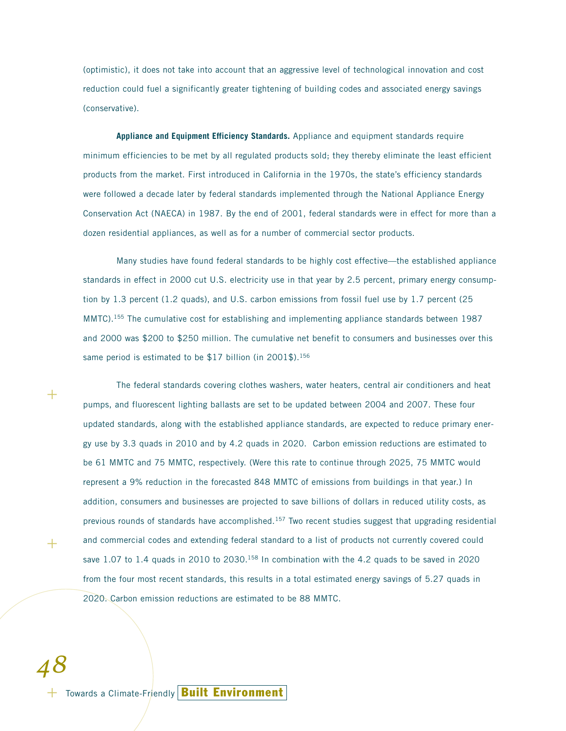(optimistic), it does not take into account that an aggressive level of technological innovation and cost reduction could fuel a significantly greater tightening of building codes and associated energy savings (conservative).

**Appliance and Equipment Efficiency Standards.** Appliance and equipment standards require minimum efficiencies to be met by all regulated products sold; they thereby eliminate the least efficient products from the market. First introduced in California in the 1970s, the state's efficiency standards were followed a decade later by federal standards implemented through the National Appliance Energy Conservation Act (NAECA) in 1987. By the end of 2001, federal standards were in effect for more than a dozen residential appliances, as well as for a number of commercial sector products.

Many studies have found federal standards to be highly cost effective—the established appliance standards in effect in 2000 cut U.S. electricity use in that year by 2.5 percent, primary energy consumption by 1.3 percent (1.2 quads), and U.S. carbon emissions from fossil fuel use by 1.7 percent (25 MMTC).155 The cumulative cost for establishing and implementing appliance standards between 1987 and 2000 was \$200 to \$250 million. The cumulative net benefit to consumers and businesses over this same period is estimated to be  $$17$  billion (in 2001\$).<sup>156</sup>

The federal standards covering clothes washers, water heaters, central air conditioners and heat pumps, and fluorescent lighting ballasts are set to be updated between 2004 and 2007. These four updated standards, along with the established appliance standards, are expected to reduce primary energy use by 3.3 quads in 2010 and by 4.2 quads in 2020. Carbon emission reductions are estimated to be 61 MMTC and 75 MMTC, respectively. (Were this rate to continue through 2025, 75 MMTC would represent a 9% reduction in the forecasted 848 MMTC of emissions from buildings in that year.) In addition, consumers and businesses are projected to save billions of dollars in reduced utility costs, as previous rounds of standards have accomplished.157 Two recent studies suggest that upgrading residential and commercial codes and extending federal standard to a list of products not currently covered could save  $1.07$  to  $1.4$  quads in 2010 to 2030.<sup>158</sup> In combination with the 4.2 quads to be saved in 2020 from the four most recent standards, this results in a total estimated energy savings of 5.27 quads in 2020. Carbon emission reductions are estimated to be 88 MMTC.

+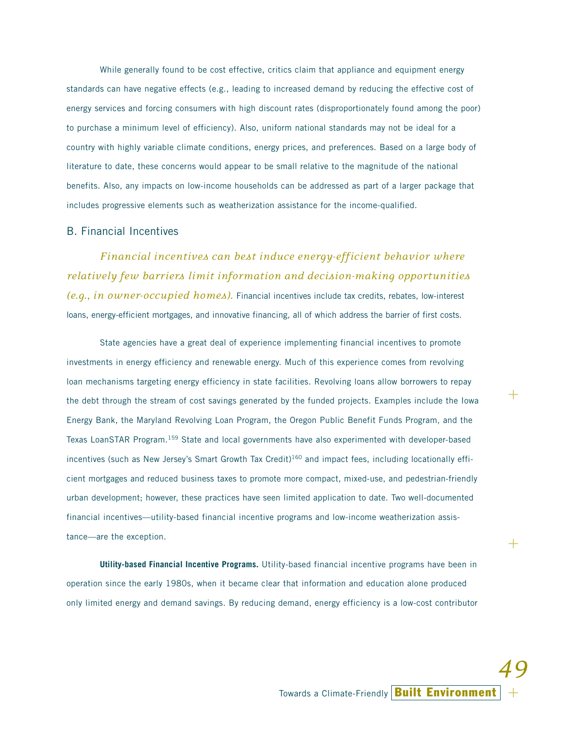While generally found to be cost effective, critics claim that appliance and equipment energy standards can have negative effects (e.g., leading to increased demand by reducing the effective cost of energy services and forcing consumers with high discount rates (disproportionately found among the poor) to purchase a minimum level of efficiency). Also, uniform national standards may not be ideal for a country with highly variable climate conditions, energy prices, and preferences. Based on a large body of literature to date, these concerns would appear to be small relative to the magnitude of the national benefits. Also, any impacts on low-income households can be addressed as part of a larger package that includes progressive elements such as weatherization assistance for the income-qualified.

#### B. Financial Incentives

*Financial incentives can best induce energy-efficient behavior where relatively few barriers limit information and decision-making opportunities (e.g., in owner-occupied homes).* Financial incentives include tax credits, rebates, low-interest loans, energy-efficient mortgages, and innovative financing, all of which address the barrier of first costs.

State agencies have a great deal of experience implementing financial incentives to promote investments in energy efficiency and renewable energy. Much of this experience comes from revolving loan mechanisms targeting energy efficiency in state facilities. Revolving loans allow borrowers to repay the debt through the stream of cost savings generated by the funded projects. Examples include the Iowa Energy Bank, the Maryland Revolving Loan Program, the Oregon Public Benefit Funds Program, and the Texas LoanSTAR Program.159 State and local governments have also experimented with developer-based incentives (such as New Jersey's Smart Growth Tax Credit)<sup>160</sup> and impact fees, including locationally efficient mortgages and reduced business taxes to promote more compact, mixed-use, and pedestrian-friendly urban development; however, these practices have seen limited application to date. Two well-documented financial incentives—utility-based financial incentive programs and low-income weatherization assistance—are the exception.

**Utility-based Financial Incentive Programs.** Utility-based financial incentive programs have been in operation since the early 1980s, when it became clear that information and education alone produced only limited energy and demand savings. By reducing demand, energy efficiency is a low-cost contributor +

 $\pm$ 

+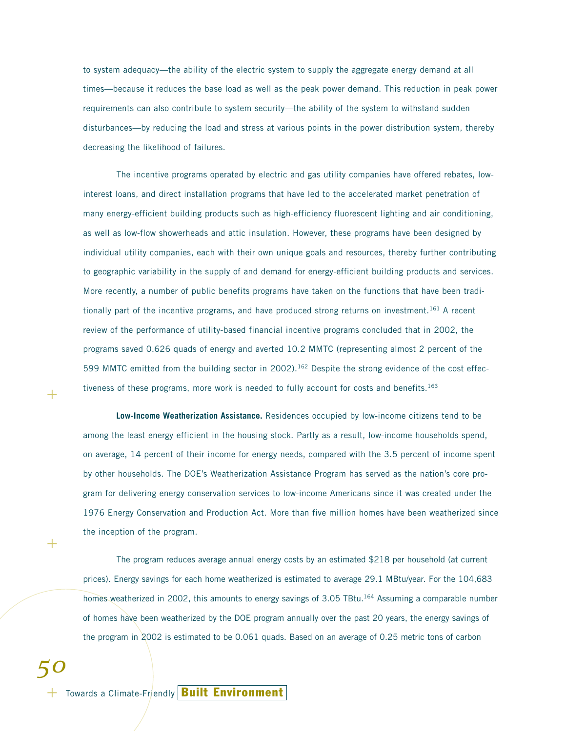to system adequacy—the ability of the electric system to supply the aggregate energy demand at all times—because it reduces the base load as well as the peak power demand. This reduction in peak power requirements can also contribute to system security—the ability of the system to withstand sudden disturbances—by reducing the load and stress at various points in the power distribution system, thereby decreasing the likelihood of failures.

The incentive programs operated by electric and gas utility companies have offered rebates, lowinterest loans, and direct installation programs that have led to the accelerated market penetration of many energy-efficient building products such as high-efficiency fluorescent lighting and air conditioning, as well as low-flow showerheads and attic insulation. However, these programs have been designed by individual utility companies, each with their own unique goals and resources, thereby further contributing to geographic variability in the supply of and demand for energy-efficient building products and services. More recently, a number of public benefits programs have taken on the functions that have been traditionally part of the incentive programs, and have produced strong returns on investment.<sup>161</sup> A recent review of the performance of utility-based financial incentive programs concluded that in 2002, the programs saved 0.626 quads of energy and averted 10.2 MMTC (representing almost 2 percent of the 599 MMTC emitted from the building sector in 2002).162 Despite the strong evidence of the cost effectiveness of these programs, more work is needed to fully account for costs and benefits.<sup>163</sup>

**Low-Income Weatherization Assistance.** Residences occupied by low-income citizens tend to be among the least energy efficient in the housing stock. Partly as a result, low-income households spend, on average, 14 percent of their income for energy needs, compared with the 3.5 percent of income spent by other households. The DOE's Weatherization Assistance Program has served as the nation's core program for delivering energy conservation services to low-income Americans since it was created under the 1976 Energy Conservation and Production Act. More than five million homes have been weatherized since the inception of the program.

The program reduces average annual energy costs by an estimated \$218 per household (at current prices). Energy savings for each home weatherized is estimated to average 29.1 MBtu/year. For the 104,683 homes weatherized in 2002, this amounts to energy savings of 3.05 TBtu.<sup>164</sup> Assuming a comparable number of homes have been weatherized by the DOE program annually over the past 20 years, the energy savings of the program in 2002 is estimated to be 0.061 quads. Based on an average of 0.25 metric tons of carbon

*50*

 $\, +$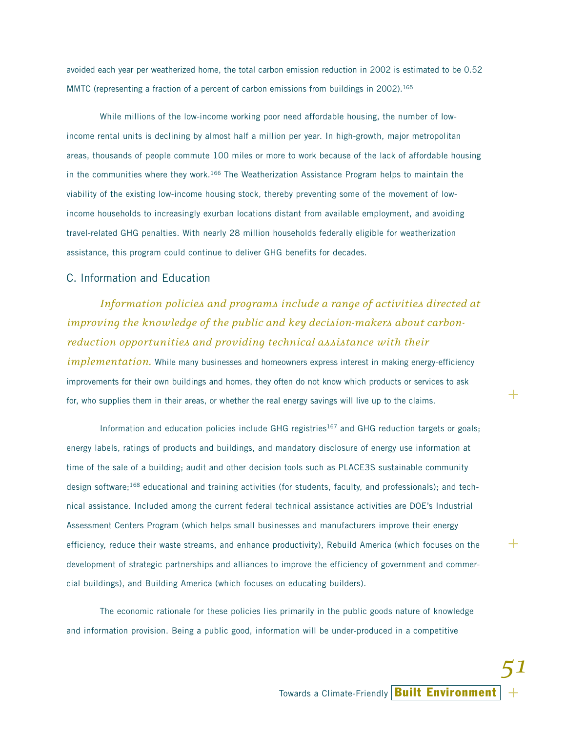avoided each year per weatherized home, the total carbon emission reduction in 2002 is estimated to be 0.52 MMTC (representing a fraction of a percent of carbon emissions from buildings in 2002).<sup>165</sup>

While millions of the low-income working poor need affordable housing, the number of lowincome rental units is declining by almost half a million per year. In high-growth, major metropolitan areas, thousands of people commute 100 miles or more to work because of the lack of affordable housing in the communities where they work.<sup>166</sup> The Weatherization Assistance Program helps to maintain the viability of the existing low-income housing stock, thereby preventing some of the movement of lowincome households to increasingly exurban locations distant from available employment, and avoiding travel-related GHG penalties. With nearly 28 million households federally eligible for weatherization assistance, this program could continue to deliver GHG benefits for decades.

#### C. Information and Education

*Information policies and programs include a range of activities directed at improving the knowledge of the public and key decision-makers about carbonreduction opportunities and providing technical assistance with their implementation*. While many businesses and homeowners express interest in making energy-efficiency

improvements for their own buildings and homes, they often do not know which products or services to ask for, who supplies them in their areas, or whether the real energy savings will live up to the claims.

Information and education policies include GHG registries<sup>167</sup> and GHG reduction targets or goals; energy labels, ratings of products and buildings, and mandatory disclosure of energy use information at time of the sale of a building; audit and other decision tools such as PLACE3S sustainable community design software;168 educational and training activities (for students, faculty, and professionals); and technical assistance. Included among the current federal technical assistance activities are DOE's Industrial Assessment Centers Program (which helps small businesses and manufacturers improve their energy efficiency, reduce their waste streams, and enhance productivity), Rebuild America (which focuses on the development of strategic partnerships and alliances to improve the efficiency of government and commercial buildings), and Building America (which focuses on educating builders).

The economic rationale for these policies lies primarily in the public goods nature of knowledge and information provision. Being a public good, information will be under-produced in a competitive

+

+

+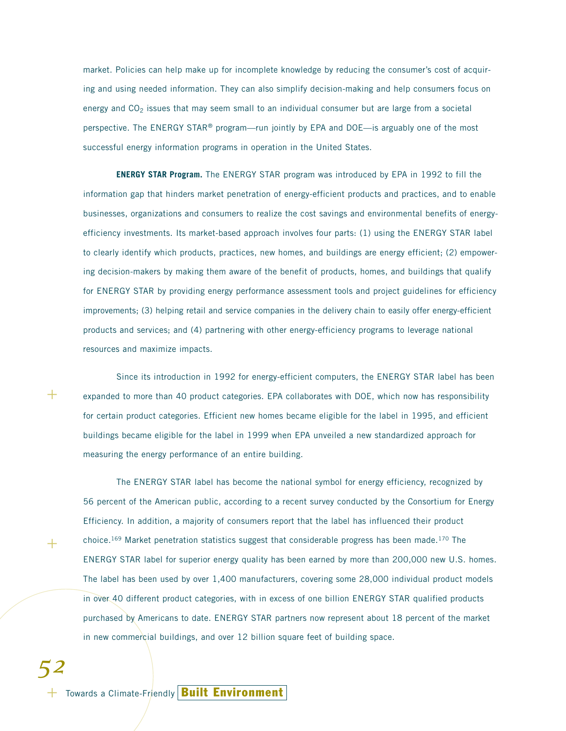market. Policies can help make up for incomplete knowledge by reducing the consumer's cost of acquiring and using needed information. They can also simplify decision-making and help consumers focus on energy and  $CO<sub>2</sub>$  issues that may seem small to an individual consumer but are large from a societal perspective. The ENERGY STAR® program—run jointly by EPA and DOE—is arguably one of the most successful energy information programs in operation in the United States.

**ENERGY STAR Program.** The ENERGY STAR program was introduced by EPA in 1992 to fill the information gap that hinders market penetration of energy-efficient products and practices, and to enable businesses, organizations and consumers to realize the cost savings and environmental benefits of energyefficiency investments. Its market-based approach involves four parts: (1) using the ENERGY STAR label to clearly identify which products, practices, new homes, and buildings are energy efficient; (2) empowering decision-makers by making them aware of the benefit of products, homes, and buildings that qualify for ENERGY STAR by providing energy performance assessment tools and project guidelines for efficiency improvements; (3) helping retail and service companies in the delivery chain to easily offer energy-efficient products and services; and (4) partnering with other energy-efficiency programs to leverage national resources and maximize impacts.

Since its introduction in 1992 for energy-efficient computers, the ENERGY STAR label has been expanded to more than 40 product categories. EPA collaborates with DOE, which now has responsibility for certain product categories. Efficient new homes became eligible for the label in 1995, and efficient buildings became eligible for the label in 1999 when EPA unveiled a new standardized approach for measuring the energy performance of an entire building.

The ENERGY STAR label has become the national symbol for energy efficiency, recognized by 56 percent of the American public, according to a recent survey conducted by the Consortium for Energy Efficiency. In addition, a majority of consumers report that the label has influenced their product choice.<sup>169</sup> Market penetration statistics suggest that considerable progress has been made.<sup>170</sup> The ENERGY STAR label for superior energy quality has been earned by more than 200,000 new U.S. homes. The label has been used by over 1,400 manufacturers, covering some 28,000 individual product models in over 40 different product categories, with in excess of one billion ENERGY STAR qualified products purchased by Americans to date. ENERGY STAR partners now represent about 18 percent of the market in new commercial buildings, and over 12 billion square feet of building space.

+ Towards a Climate-Friendly **Built Environment**

+

 $+$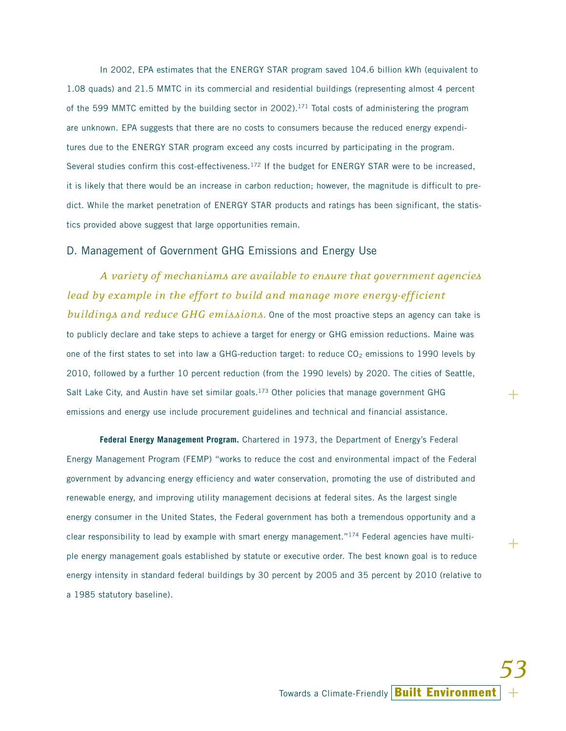In 2002, EPA estimates that the ENERGY STAR program saved 104.6 billion kWh (equivalent to 1.08 quads) and 21.5 MMTC in its commercial and residential buildings (representing almost 4 percent of the 599 MMTC emitted by the building sector in 2002).<sup>171</sup> Total costs of administering the program are unknown. EPA suggests that there are no costs to consumers because the reduced energy expenditures due to the ENERGY STAR program exceed any costs incurred by participating in the program. Several studies confirm this cost-effectiveness.<sup>172</sup> If the budget for ENERGY STAR were to be increased, it is likely that there would be an increase in carbon reduction; however, the magnitude is difficult to predict. While the market penetration of ENERGY STAR products and ratings has been significant, the statistics provided above suggest that large opportunities remain.

# D. Management of Government GHG Emissions and Energy Use

*A variety of mechanisms are available to ensure that government agencies lead by example in the effort to build and manage more energy-efficient buildings and reduce GHG emissions.* One of the most proactive steps an agency can take is to publicly declare and take steps to achieve a target for energy or GHG emission reductions. Maine was one of the first states to set into law a GHG-reduction target: to reduce CO<sub>2</sub> emissions to 1990 levels by 2010, followed by a further 10 percent reduction (from the 1990 levels) by 2020. The cities of Seattle, Salt Lake City, and Austin have set similar goals.<sup>173</sup> Other policies that manage government GHG emissions and energy use include procurement guidelines and technical and financial assistance.

**Federal Energy Management Program.** Chartered in 1973, the Department of Energy's Federal Energy Management Program (FEMP) "works to reduce the cost and environmental impact of the Federal government by advancing energy efficiency and water conservation, promoting the use of distributed and renewable energy, and improving utility management decisions at federal sites. As the largest single energy consumer in the United States, the Federal government has both a tremendous opportunity and a clear responsibility to lead by example with smart energy management."174 Federal agencies have multiple energy management goals established by statute or executive order. The best known goal is to reduce energy intensity in standard federal buildings by 30 percent by 2005 and 35 percent by 2010 (relative to a 1985 statutory baseline).

+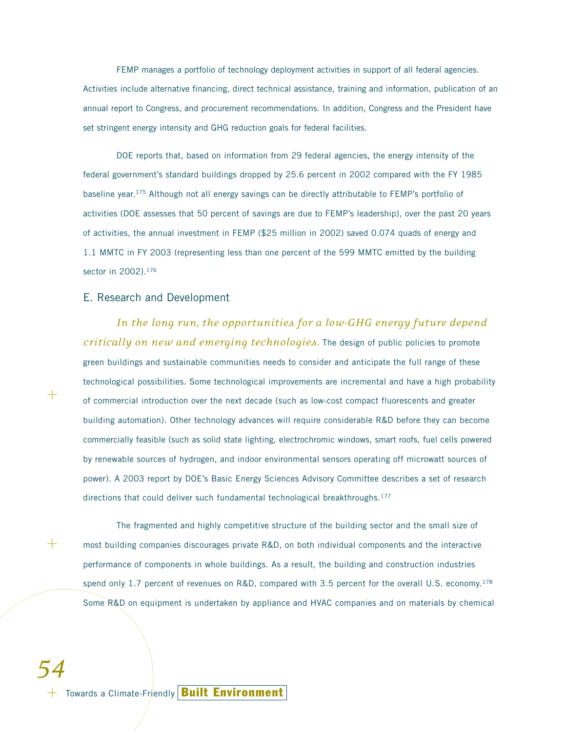FEMP manages a portfolio of technology deployment activities in support of all federal agencies. Activities include alternative financing, direct technical assistance, training and information, publication of an annual report to Congress, and procurement recommendations. In addition, Congress and the President have set stringent energy intensity and GHG reduction goals for federal facilities.

DOE reports that, based on information from 29 federal agencies, the energy intensity of the federal government's standard buildings dropped by 25.6 percent in 2002 compared with the FY 1985 baseline year.<sup>175</sup> Although not all energy savings can be directly attributable to FEMP's portfolio of activities (DOE assesses that 50 percent of savings are due to FEMP's leadership), over the past 20 years of activities, the annual investment in FEMP (\$25 million in 2002) saved 0.074 quads of energy and 1.1 MMTC in FY 2003 (representing less than one percent of the 599 MMTC emitted by the building sector in 2002).<sup>176</sup>

#### E. Research and Development

+

 $+$ 

*In the long run, the opportunities for a low-GHG energy future depend critically on new and emerging technologies.* The design of public policies to promote green buildings and sustainable communities needs to consider and anticipate the full range of these technological possibilities. Some technological improvements are incremental and have a high probability of commercial introduction over the next decade (such as low-cost compact fluorescents and greater building automation). Other technology advances will require considerable R&D before they can become commercially feasible (such as solid state lighting, electrochromic windows, smart roofs, fuel cells powered by renewable sources of hydrogen, and indoor environmental sensors operating off microwatt sources of power). A 2003 report by DOE's Basic Energy Sciences Advisory Committee describes a set of research directions that could deliver such fundamental technological breakthroughs.<sup>177</sup>

The fragmented and highly competitive structure of the building sector and the small size of most building companies discourages private R&D, on both individual components and the interactive performance of components in whole buildings. As a result, the building and construction industries spend only 1.7 percent of revenues on R&D, compared with 3.5 percent for the overall U.S. economy.<sup>178</sup> Some R&D on equipment is undertaken by appliance and HVAC companies and on materials by chemical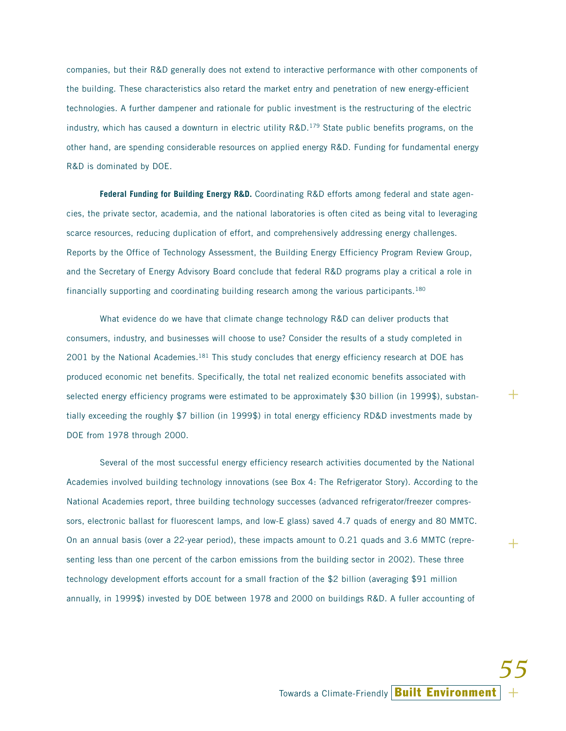companies, but their R&D generally does not extend to interactive performance with other components of the building. These characteristics also retard the market entry and penetration of new energy-efficient technologies. A further dampener and rationale for public investment is the restructuring of the electric industry, which has caused a downturn in electric utility  $R&D.179$  State public benefits programs, on the other hand, are spending considerable resources on applied energy R&D. Funding for fundamental energy R&D is dominated by DOE.

**Federal Funding for Building Energy R&D.** Coordinating R&D efforts among federal and state agencies, the private sector, academia, and the national laboratories is often cited as being vital to leveraging scarce resources, reducing duplication of effort, and comprehensively addressing energy challenges. Reports by the Office of Technology Assessment, the Building Energy Efficiency Program Review Group, and the Secretary of Energy Advisory Board conclude that federal R&D programs play a critical a role in financially supporting and coordinating building research among the various participants.180

What evidence do we have that climate change technology R&D can deliver products that consumers, industry, and businesses will choose to use? Consider the results of a study completed in 2001 by the National Academies.<sup>181</sup> This study concludes that energy efficiency research at DOE has produced economic net benefits. Specifically, the total net realized economic benefits associated with selected energy efficiency programs were estimated to be approximately \$30 billion (in 1999\$), substantially exceeding the roughly \$7 billion (in 1999\$) in total energy efficiency RD&D investments made by DOE from 1978 through 2000.

Several of the most successful energy efficiency research activities documented by the National Academies involved building technology innovations (see Box 4: The Refrigerator Story). According to the National Academies report, three building technology successes (advanced refrigerator/freezer compressors, electronic ballast for fluorescent lamps, and low-E glass) saved 4.7 quads of energy and 80 MMTC. On an annual basis (over a 22-year period), these impacts amount to 0.21 quads and 3.6 MMTC (representing less than one percent of the carbon emissions from the building sector in 2002). These three technology development efforts account for a small fraction of the \$2 billion (averaging \$91 million annually, in 1999\$) invested by DOE between 1978 and 2000 on buildings R&D. A fuller accounting of

+

+

+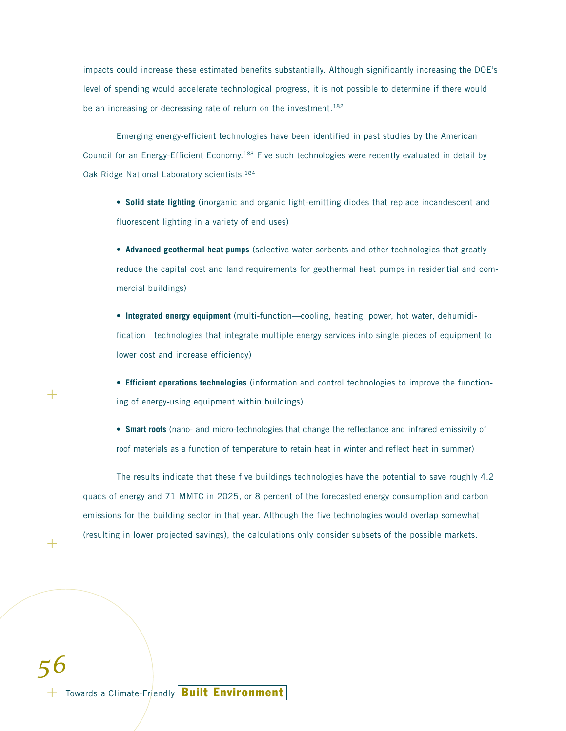impacts could increase these estimated benefits substantially. Although significantly increasing the DOE's level of spending would accelerate technological progress, it is not possible to determine if there would be an increasing or decreasing rate of return on the investment.<sup>182</sup>

Emerging energy-efficient technologies have been identified in past studies by the American Council for an Energy-Efficient Economy.<sup>183</sup> Five such technologies were recently evaluated in detail by Oak Ridge National Laboratory scientists: 184

• **Solid state lighting** (inorganic and organic light-emitting diodes that replace incandescent and fluorescent lighting in a variety of end uses)

• **Advanced geothermal heat pumps** (selective water sorbents and other technologies that greatly reduce the capital cost and land requirements for geothermal heat pumps in residential and commercial buildings)

• **Integrated energy equipment** (multi-function—cooling, heating, power, hot water, dehumidification—technologies that integrate multiple energy services into single pieces of equipment to lower cost and increase efficiency)

• **Efficient operations technologies** (information and control technologies to improve the functioning of energy-using equipment within buildings)

• **Smart roofs** (nano- and micro-technologies that change the reflectance and infrared emissivity of roof materials as a function of temperature to retain heat in winter and reflect heat in summer)

The results indicate that these five buildings technologies have the potential to save roughly 4.2 quads of energy and 71 MMTC in 2025, or 8 percent of the forecasted energy consumption and carbon emissions for the building sector in that year. Although the five technologies would overlap somewhat (resulting in lower projected savings), the calculations only consider subsets of the possible markets.

 $^+$ 

 $^{+}$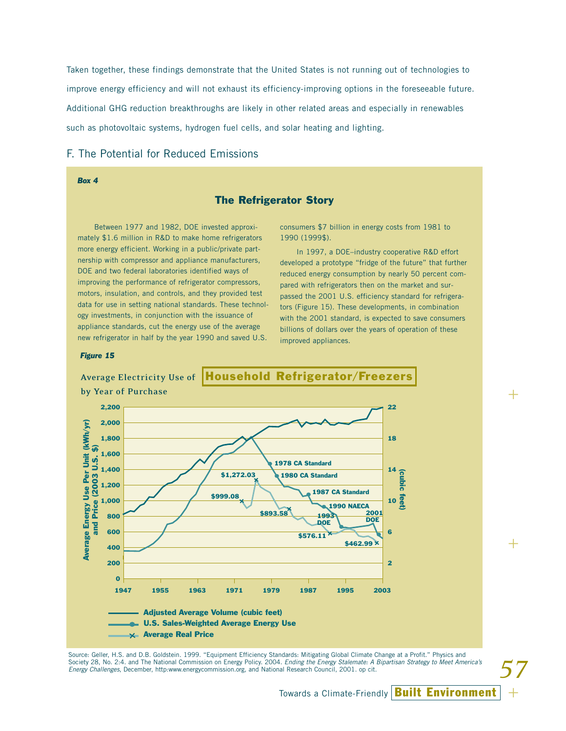Taken together, these findings demonstrate that the United States is not running out of technologies to improve energy efficiency and will not exhaust its efficiency-improving options in the foreseeable future. Additional GHG reduction breakthroughs are likely in other related areas and especially in renewables such as photovoltaic systems, hydrogen fuel cells, and solar heating and lighting.

# F. The Potential for Reduced Emissions

#### *Box 4*

### **The Refrigerator Story**

Between 1977 and 1982, DOE invested approximately \$1.6 million in R&D to make home refrigerators more energy efficient. Working in a public/private partnership with compressor and appliance manufacturers, DOE and two federal laboratories identified ways of improving the performance of refrigerator compressors, motors, insulation, and controls, and they provided test data for use in setting national standards. These technology investments, in conjunction with the issuance of appliance standards, cut the energy use of the average new refrigerator in half by the year 1990 and saved U.S.

consumers \$7 billion in energy costs from 1981 to 1990 (1999\$).

In 1997, a DOE–industry cooperative R&D effort developed a prototype "fridge of the future" that further reduced energy consumption by nearly 50 percent compared with refrigerators then on the market and surpassed the 2001 U.S. efficiency standard for refrigerators (Figure 15). These developments, in combination with the 2001 standard, is expected to save consumers billions of dollars over the years of operation of these improved appliances.

+

 $+$ 

+

*57*

#### *Figure 15*



Source: Geller, H.S. and D.B. Goldstein. 1999. "Equipment Efficiency Standards: Mitigating Global Climate Change at a Profit." Physics and Society 28, No. 2:4. and The National Commission on Energy Policy. 2004. Ending the Energy Stalemate: A Bipartisan Strategy to Meet America's Energy Challenges, December, http:www.energycommission.org, and National Research Council, 2001. op cit.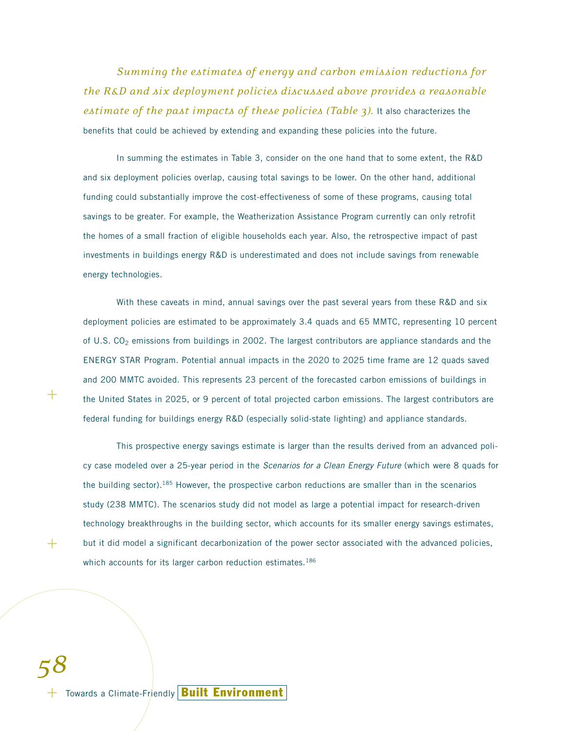*Summing the estimates of energy and carbon emission reductions for the R&D and six deployment policies discussed above provides a reasonable estimate of the past impacts of these policies (Table 3).* It also characterizes the benefits that could be achieved by extending and expanding these policies into the future.

In summing the estimates in Table 3, consider on the one hand that to some extent, the R&D and six deployment policies overlap, causing total savings to be lower. On the other hand, additional funding could substantially improve the cost-effectiveness of some of these programs, causing total savings to be greater. For example, the Weatherization Assistance Program currently can only retrofit the homes of a small fraction of eligible households each year. Also, the retrospective impact of past investments in buildings energy R&D is underestimated and does not include savings from renewable energy technologies.

With these caveats in mind, annual savings over the past several years from these R&D and six deployment policies are estimated to be approximately 3.4 quads and 65 MMTC, representing 10 percent of U.S.  $CO<sub>2</sub>$  emissions from buildings in 2002. The largest contributors are appliance standards and the ENERGY STAR Program. Potential annual impacts in the 2020 to 2025 time frame are 12 quads saved and 200 MMTC avoided. This represents 23 percent of the forecasted carbon emissions of buildings in the United States in 2025, or 9 percent of total projected carbon emissions. The largest contributors are federal funding for buildings energy R&D (especially solid-state lighting) and appliance standards.

This prospective energy savings estimate is larger than the results derived from an advanced policy case modeled over a 25-year period in the Scenarios for a Clean Energy Future (which were 8 quads for the building sector).<sup>185</sup> However, the prospective carbon reductions are smaller than in the scenarios study (238 MMTC). The scenarios study did not model as large a potential impact for research-driven technology breakthroughs in the building sector, which accounts for its smaller energy savings estimates, but it did model a significant decarbonization of the power sector associated with the advanced policies, which accounts for its larger carbon reduction estimates.<sup>186</sup>

+ Towards a Climate-Friendly **Built Environment**

 $^+$ 

 $+$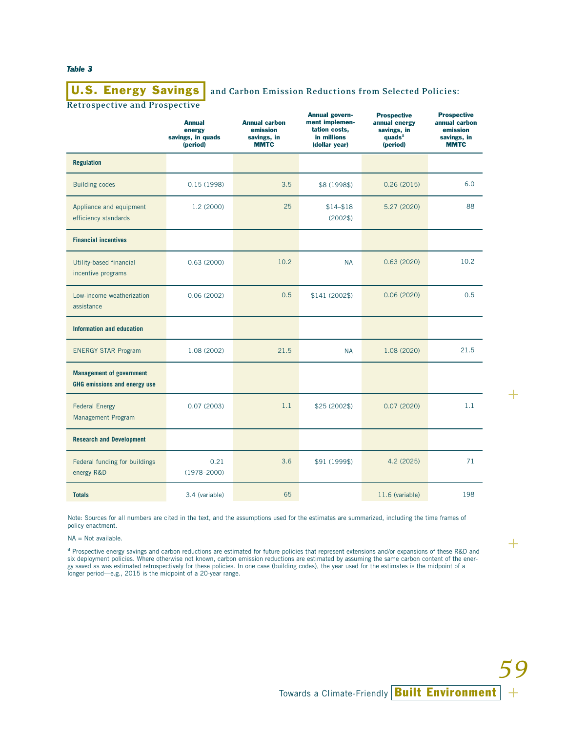#### *Table 3*

# **U.S. Energy Savings** and Carbon Emission Reductions from Selected Policies:

 $\pm$ 

 $\pm$ 

*59*

**Retrospective and Prospective**

|                                                                        | <b>Annual</b><br>energy<br>savings, in quads<br>(period) | <b>Annual carbon</b><br>emission<br>savings, in<br><b>MMTC</b> | <b>Annual govern-</b><br>ment implemen-<br>tation costs,<br>in millions<br>(dollar year) | <b>Prospective</b><br>annual energy<br>savings, in<br>quads $a$<br>(period) | <b>Prospective</b><br>annual carbon<br>emission<br>savings, in<br><b>MMTC</b> |
|------------------------------------------------------------------------|----------------------------------------------------------|----------------------------------------------------------------|------------------------------------------------------------------------------------------|-----------------------------------------------------------------------------|-------------------------------------------------------------------------------|
| <b>Regulation</b>                                                      |                                                          |                                                                |                                                                                          |                                                                             |                                                                               |
| <b>Building codes</b>                                                  | 0.15(1998)                                               | 3.5                                                            | \$8 (1998\$)                                                                             | 0.26(2015)                                                                  | 6.0                                                                           |
| Appliance and equipment<br>efficiency standards                        | 1.2 (2000)                                               | 25                                                             | $$14 - $18$<br>(2002\$)                                                                  | 5.27 (2020)                                                                 | 88                                                                            |
| <b>Financial incentives</b>                                            |                                                          |                                                                |                                                                                          |                                                                             |                                                                               |
| Utility-based financial<br>incentive programs                          | 0.63(2000)                                               | 10.2                                                           | <b>NA</b>                                                                                | 0.63(2020)                                                                  | 10.2                                                                          |
| Low-income weatherization<br>assistance                                | 0.06(2002)                                               | 0.5                                                            | \$141 (2002\$)                                                                           | 0.06(2020)                                                                  | 0.5                                                                           |
| Information and education                                              |                                                          |                                                                |                                                                                          |                                                                             |                                                                               |
| <b>ENERGY STAR Program</b>                                             | 1.08 (2002)                                              | 21.5                                                           | <b>NA</b>                                                                                | 1.08 (2020)                                                                 | 21.5                                                                          |
| <b>Management of government</b><br><b>GHG</b> emissions and energy use |                                                          |                                                                |                                                                                          |                                                                             |                                                                               |
| <b>Federal Energy</b><br>Management Program                            | 0.07(2003)                                               | 1.1                                                            | \$25(2002\$)                                                                             | 0.07(2020)                                                                  | 1.1                                                                           |
| <b>Research and Development</b>                                        |                                                          |                                                                |                                                                                          |                                                                             |                                                                               |
| Federal funding for buildings<br>energy R&D                            | 0.21<br>$(1978 - 2000)$                                  | 3.6                                                            | \$91 (1999\$)                                                                            | 4.2 (2025)                                                                  | 71                                                                            |
| <b>Totals</b>                                                          | 3.4 (variable)                                           | 65                                                             |                                                                                          | 11.6 (variable)                                                             | 198                                                                           |

Note: Sources for all numbers are cited in the text, and the assumptions used for the estimates are summarized, including the time frames of policy enactment.

#### NA = Not available.

<sup>a</sup> Prospective energy savings and carbon reductions are estimated for future policies that represent extensions and/or expansions of these R&D and six deployment policies. Where otherwise not known, carbon emission reductions are estimated by assuming the same carbon content of the ener-<br>gy saved as was estimated retrospectively for these policies. In one case (build longer period—e.g., 2015 is the midpoint of a 20-year range.

+ Towards a Climate-Friendly **Built Environment**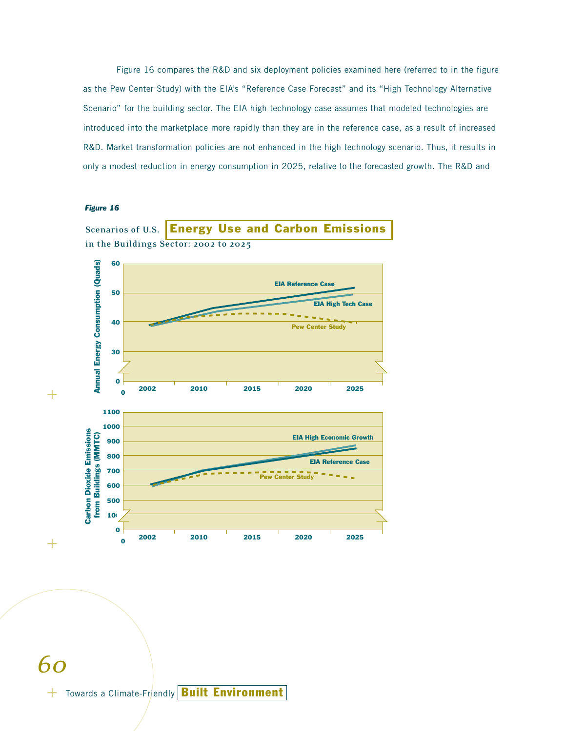Figure 16 compares the R&D and six deployment policies examined here (referred to in the figure as the Pew Center Study) with the EIA's "Reference Case Forecast" and its "High Technology Alternative Scenario" for the building sector. The EIA high technology case assumes that modeled technologies are introduced into the marketplace more rapidly than they are in the reference case, as a result of increased R&D. Market transformation policies are not enhanced in the high technology scenario. Thus, it results in only a modest reduction in energy consumption in 2025, relative to the forecasted growth. The R&D and

#### *Figure 16*

 $^+$ 

 $+$ 





+ Towards a Climate-Friendly | Built Environment *60*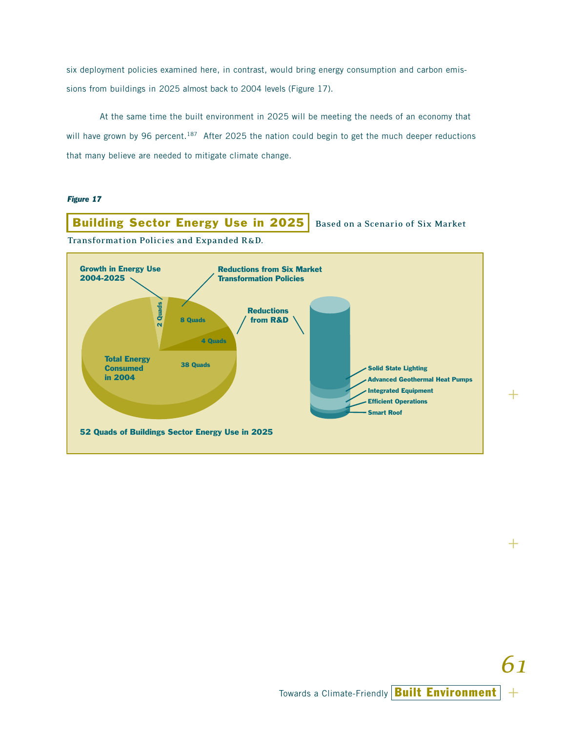six deployment policies examined here, in contrast, would bring energy consumption and carbon emissions from buildings in 2025 almost back to 2004 levels (Figure 17).

At the same time the built environment in 2025 will be meeting the needs of an economy that will have grown by 96 percent.<sup>187</sup> After 2025 the nation could begin to get the much deeper reductions that many believe are needed to mitigate climate change.

#### *Figure 17*



 $+$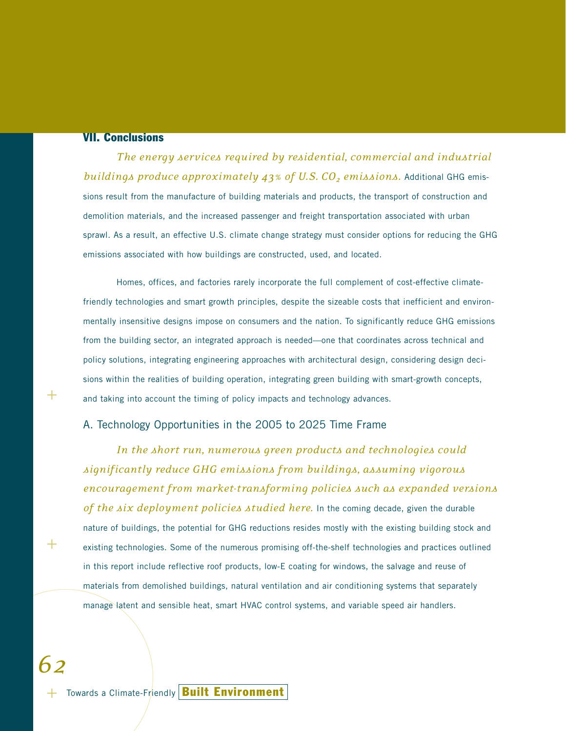### **VII. Conclusions**

+

+

*62*

*The energy services required by residential, commercial and industrial buildings produce approximately 43% of U.S. CO<sub>2</sub> emissions.* Additional GHG emissions result from the manufacture of building materials and products, the transport of construction and demolition materials, and the increased passenger and freight transportation associated with urban sprawl. As a result, an effective U.S. climate change strategy must consider options for reducing the GHG emissions associated with how buildings are constructed, used, and located.

Homes, offices, and factories rarely incorporate the full complement of cost-effective climatefriendly technologies and smart growth principles, despite the sizeable costs that inefficient and environmentally insensitive designs impose on consumers and the nation. To significantly reduce GHG emissions from the building sector, an integrated approach is needed—one that coordinates across technical and policy solutions, integrating engineering approaches with architectural design, considering design decisions within the realities of building operation, integrating green building with smart-growth concepts, and taking into account the timing of policy impacts and technology advances.

### A. Technology Opportunities in the 2005 to 2025 Time Frame

*In the short run, numerous green products and technologies could significantly reduce GHG emissions from buildings, assuming vigorous encouragement from market-transforming policies such as expanded versions of the six deployment policies studied here.* In the coming decade, given the durable nature of buildings, the potential for GHG reductions resides mostly with the existing building stock and existing technologies. Some of the numerous promising off-the-shelf technologies and practices outlined in this report include reflective roof products, low-E coating for windows, the salvage and reuse of materials from demolished buildings, natural ventilation and air conditioning systems that separately manage latent and sensible heat, smart HVAC control systems, and variable speed air handlers.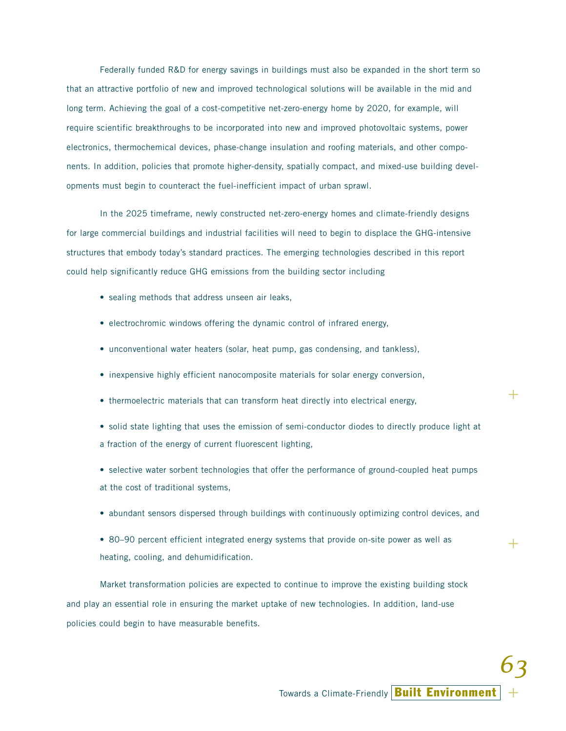Federally funded R&D for energy savings in buildings must also be expanded in the short term so that an attractive portfolio of new and improved technological solutions will be available in the mid and long term. Achieving the goal of a cost-competitive net-zero-energy home by 2020, for example, will require scientific breakthroughs to be incorporated into new and improved photovoltaic systems, power electronics, thermochemical devices, phase-change insulation and roofing materials, and other components. In addition, policies that promote higher-density, spatially compact, and mixed-use building developments must begin to counteract the fuel-inefficient impact of urban sprawl.

In the 2025 timeframe, newly constructed net-zero-energy homes and climate-friendly designs for large commercial buildings and industrial facilities will need to begin to displace the GHG-intensive structures that embody today's standard practices. The emerging technologies described in this report could help significantly reduce GHG emissions from the building sector including

- sealing methods that address unseen air leaks,
- electrochromic windows offering the dynamic control of infrared energy,
- unconventional water heaters (solar, heat pump, gas condensing, and tankless),
- inexpensive highly efficient nanocomposite materials for solar energy conversion,
- thermoelectric materials that can transform heat directly into electrical energy,
- solid state lighting that uses the emission of semi-conductor diodes to directly produce light at a fraction of the energy of current fluorescent lighting,

+

+

+

*63*

- selective water sorbent technologies that offer the performance of ground-coupled heat pumps at the cost of traditional systems,
- abundant sensors dispersed through buildings with continuously optimizing control devices, and
- 80–90 percent efficient integrated energy systems that provide on-site power as well as heating, cooling, and dehumidification.

Market transformation policies are expected to continue to improve the existing building stock and play an essential role in ensuring the market uptake of new technologies. In addition, land-use policies could begin to have measurable benefits.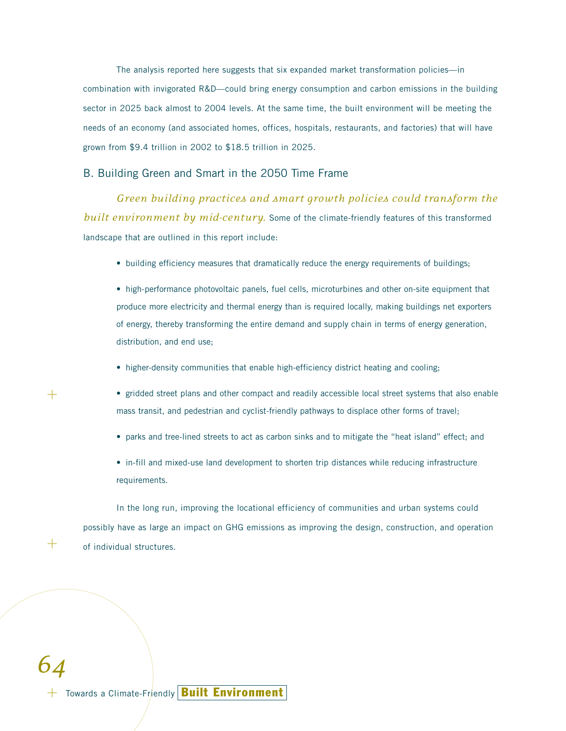The analysis reported here suggests that six expanded market transformation policies—in combination with invigorated R&D—could bring energy consumption and carbon emissions in the building sector in 2025 back almost to 2004 levels. At the same time, the built environment will be meeting the needs of an economy (and associated homes, offices, hospitals, restaurants, and factories) that will have grown from \$9.4 trillion in 2002 to \$18.5 trillion in 2025.

### B. Building Green and Smart in the 2050 Time Frame

*Green building practices and smart growth policies could transform the built environment by mid-century*. Some of the climate-friendly features of this transformed landscape that are outlined in this report include:

• building efficiency measures that dramatically reduce the energy requirements of buildings;

• high-performance photovoltaic panels, fuel cells, microturbines and other on-site equipment that produce more electricity and thermal energy than is required locally, making buildings net exporters of energy, thereby transforming the entire demand and supply chain in terms of energy generation, distribution, and end use;

- higher-density communities that enable high-efficiency district heating and cooling;
- gridded street plans and other compact and readily accessible local street systems that also enable mass transit, and pedestrian and cyclist-friendly pathways to displace other forms of travel;
- parks and tree-lined streets to act as carbon sinks and to mitigate the "heat island" effect; and
- in-fill and mixed-use land development to shorten trip distances while reducing infrastructure requirements.

In the long run, improving the locational efficiency of communities and urban systems could possibly have as large an impact on GHG emissions as improving the design, construction, and operation of individual structures.

# + Towards a Climate-Friendly **Built Environment***64*

 $^+$ 

 $\, +$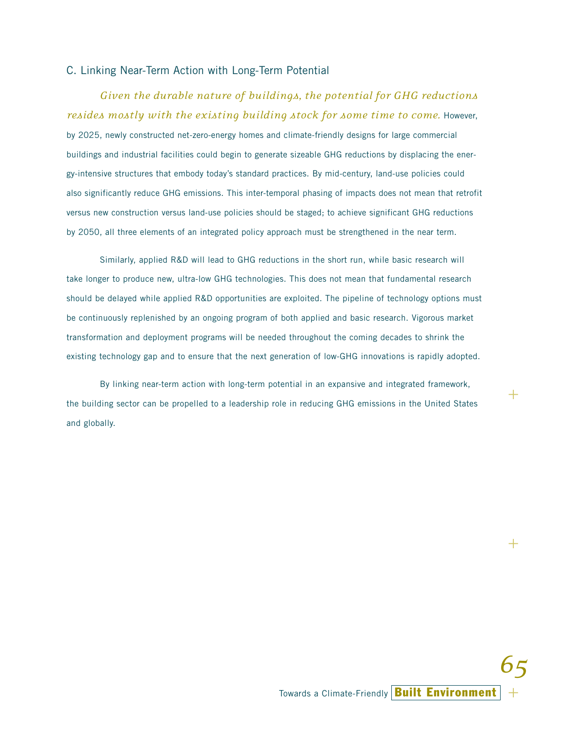### C. Linking Near-Term Action with Long-Term Potential

*Given the durable nature of buildings, the potential for GHG reductions resides mostly with the existing building stock for some time to come.* However, by 2025, newly constructed net-zero-energy homes and climate-friendly designs for large commercial buildings and industrial facilities could begin to generate sizeable GHG reductions by displacing the energy-intensive structures that embody today's standard practices. By mid-century, land-use policies could also significantly reduce GHG emissions. This inter-temporal phasing of impacts does not mean that retrofit versus new construction versus land-use policies should be staged; to achieve significant GHG reductions by 2050, all three elements of an integrated policy approach must be strengthened in the near term.

Similarly, applied R&D will lead to GHG reductions in the short run, while basic research will take longer to produce new, ultra-low GHG technologies. This does not mean that fundamental research should be delayed while applied R&D opportunities are exploited. The pipeline of technology options must be continuously replenished by an ongoing program of both applied and basic research. Vigorous market transformation and deployment programs will be needed throughout the coming decades to shrink the existing technology gap and to ensure that the next generation of low-GHG innovations is rapidly adopted.

By linking near-term action with long-term potential in an expansive and integrated framework, the building sector can be propelled to a leadership role in reducing GHG emissions in the United States and globally.

+

 $+$ 

+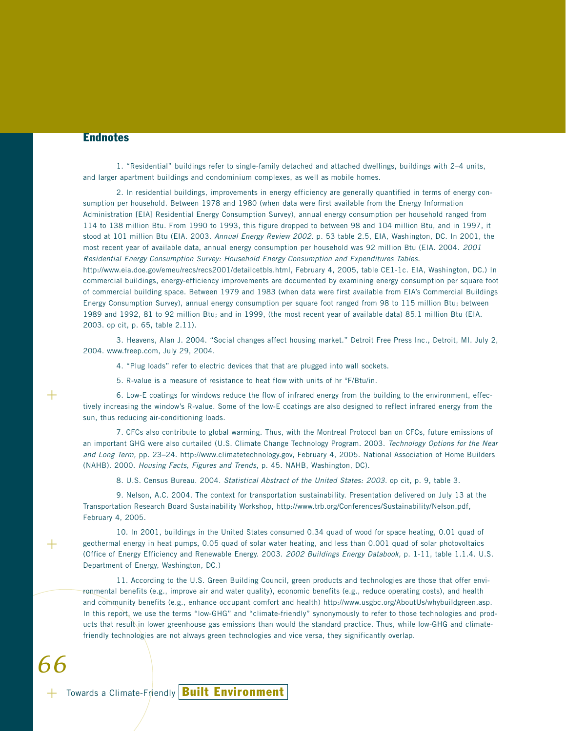### **Endnotes**

1. "Residential" buildings refer to single-family detached and attached dwellings, buildings with 2–4 units, and larger apartment buildings and condominium complexes, as well as mobile homes.

2. In residential buildings, improvements in energy efficiency are generally quantified in terms of energy consumption per household. Between 1978 and 1980 (when data were first available from the Energy Information Administration [EIA] Residential Energy Consumption Survey), annual energy consumption per household ranged from 114 to 138 million Btu. From 1990 to 1993, this figure dropped to between 98 and 104 million Btu, and in 1997, it stood at 101 million Btu (EIA. 2003. Annual Energy Review 2002. p. 53 table 2.5, EIA, Washington, DC. In 2001, the most recent year of available data, annual energy consumption per household was 92 million Btu (EIA. 2004. 2001 Residential Energy Consumption Survey: Household Energy Consumption and Expenditures Tables. http://www.eia.doe.gov/emeu/recs/recs2001/detailcetbls.html, February 4, 2005, table CE1-1c. EIA, Washington, DC.) In

commercial buildings, energy-efficiency improvements are documented by examining energy consumption per square foot of commercial building space. Between 1979 and 1983 (when data were first available from EIA's Commercial Buildings Energy Consumption Survey), annual energy consumption per square foot ranged from 98 to 115 million Btu; between 1989 and 1992, 81 to 92 million Btu; and in 1999, (the most recent year of available data) 85.1 million Btu (EIA. 2003. op cit, p. 65, table 2.11).

3. Heavens, Alan J. 2004. "Social changes affect housing market." Detroit Free Press Inc., Detroit, MI. July 2, 2004. www.freep.com, July 29, 2004.

4. "Plug loads" refer to electric devices that that are plugged into wall sockets.

5. R-value is a measure of resistance to heat flow with units of hr °F/Btu/in.

6. Low-E coatings for windows reduce the flow of infrared energy from the building to the environment, effectively increasing the window's R-value. Some of the low-E coatings are also designed to reflect infrared energy from the sun, thus reducing air-conditioning loads.

7. CFCs also contribute to global warming. Thus, with the Montreal Protocol ban on CFCs, future emissions of an important GHG were also curtailed (U.S. Climate Change Technology Program. 2003. Technology Options for the Near and Long Term, pp. 23–24. http://www.climatetechnology.gov, February 4, 2005. National Association of Home Builders (NAHB). 2000. Housing Facts, Figures and Trends, p. 45. NAHB, Washington, DC).

8. U.S. Census Bureau. 2004. Statistical Abstract of the United States: 2003. op cit, p. 9, table 3.

9. Nelson, A.C. 2004. The context for transportation sustainability. Presentation delivered on July 13 at the Transportation Research Board Sustainability Workshop, http://www.trb.org/Conferences/Sustainability/Nelson.pdf, February 4, 2005.

10. In 2001, buildings in the United States consumed 0.34 quad of wood for space heating, 0.01 quad of geothermal energy in heat pumps, 0.05 quad of solar water heating, and less than 0.001 quad of solar photovoltaics (Office of Energy Efficiency and Renewable Energy. 2003. 2002 Buildings Energy Databook, p. 1-11, table 1.1.4. U.S. Department of Energy, Washington, DC.)

11. According to the U.S. Green Building Council, green products and technologies are those that offer environmental benefits (e.g., improve air and water quality), economic benefits (e.g., reduce operating costs), and health and community benefits (e.g., enhance occupant comfort and health) http://www.usgbc.org/AboutUs/whybuildgreen.asp. In this report, we use the terms "low-GHG" and "climate-friendly" synonymously to refer to those technologies and products that result in lower greenhouse gas emissions than would the standard practice. Thus, while low-GHG and climatefriendly technologies are not always green technologies and vice versa, they significantly overlap.

## *66*

 $^{+}$ 

+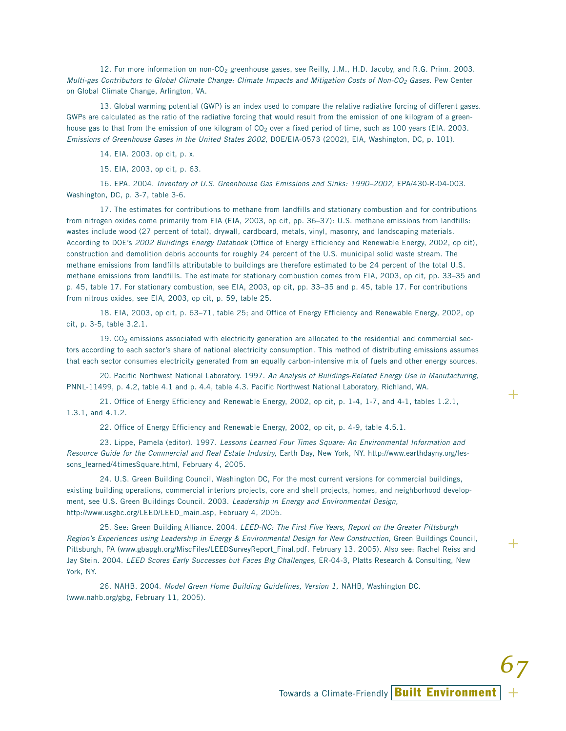12. For more information on non-CO<sub>2</sub> greenhouse gases, see Reilly, J.M., H.D. Jacoby, and R.G. Prinn. 2003. Multi-gas Contributors to Global Climate Change: Climate Impacts and Mitigation Costs of Non-CO<sub>2</sub> Gases. Pew Center on Global Climate Change, Arlington, VA.

13. Global warming potential (GWP) is an index used to compare the relative radiative forcing of different gases. GWPs are calculated as the ratio of the radiative forcing that would result from the emission of one kilogram of a greenhouse gas to that from the emission of one kilogram of  $CO<sub>2</sub>$  over a fixed period of time, such as 100 years (EIA. 2003. Emissions of Greenhouse Gases in the United States 2002, DOE/EIA-0573 (2002), EIA, Washington, DC, p. 101).

14. EIA. 2003. op cit, p. x.

15. EIA, 2003, op cit, p. 63.

16. EPA. 2004. Inventory of U.S. Greenhouse Gas Emissions and Sinks: 1990–2002, EPA/430-R-04-003. Washington, DC, p. 3-7, table 3-6.

17. The estimates for contributions to methane from landfills and stationary combustion and for contributions from nitrogen oxides come primarily from EIA (EIA, 2003, op cit, pp. 36–37): U.S. methane emissions from landfills: wastes include wood (27 percent of total), drywall, cardboard, metals, vinyl, masonry, and landscaping materials. According to DOE's 2002 Buildings Energy Databook (Office of Energy Efficiency and Renewable Energy, 2002, op cit), construction and demolition debris accounts for roughly 24 percent of the U.S. municipal solid waste stream. The methane emissions from landfills attributable to buildings are therefore estimated to be 24 percent of the total U.S. methane emissions from landfills. The estimate for stationary combustion comes from EIA, 2003, op cit, pp. 33–35 and p. 45, table 17. For stationary combustion, see EIA, 2003, op cit, pp. 33–35 and p. 45, table 17. For contributions from nitrous oxides, see EIA, 2003, op cit, p. 59, table 25.

18. EIA, 2003, op cit, p. 63–71, table 25; and Office of Energy Efficiency and Renewable Energy, 2002, op cit, p. 3-5, table 3.2.1.

19.  $CO<sub>2</sub>$  emissions associated with electricity generation are allocated to the residential and commercial sectors according to each sector's share of national electricity consumption. This method of distributing emissions assumes that each sector consumes electricity generated from an equally carbon-intensive mix of fuels and other energy sources.

20. Pacific Northwest National Laboratory. 1997. An Analysis of Buildings-Related Energy Use in Manufacturing, PNNL-11499, p. 4.2, table 4.1 and p. 4.4, table 4.3. Pacific Northwest National Laboratory, Richland, WA.

+

+

+

*67*

21. Office of Energy Efficiency and Renewable Energy, 2002, op cit, p. 1-4, 1-7, and 4-1, tables 1.2.1, 1.3.1, and 4.1.2.

22. Office of Energy Efficiency and Renewable Energy, 2002, op cit, p. 4-9, table 4.5.1.

23. Lippe, Pamela (editor). 1997. Lessons Learned Four Times Square: An Environmental Information and Resource Guide for the Commercial and Real Estate Industry, Earth Day, New York, NY. http://www.earthdayny.org/lessons\_learned/4timesSquare.html, February 4, 2005.

24. U.S. Green Building Council, Washington DC, For the most current versions for commercial buildings, existing building operations, commercial interiors projects, core and shell projects, homes, and neighborhood development, see U.S. Green Buildings Council. 2003. Leadership in Energy and Environmental Design, http://www.usgbc.org/LEED/LEED\_main.asp, February 4, 2005.

25. See: Green Building Alliance. 2004. LEED-NC: The First Five Years, Report on the Greater Pittsburgh Region's Experiences using Leadership in Energy & Environmental Design for New Construction, Green Buildings Council, Pittsburgh, PA (www.gbapgh.org/MiscFiles/LEEDSurveyReport\_Final.pdf. February 13, 2005). Also see: Rachel Reiss and Jay Stein. 2004. LEED Scores Early Successes but Faces Big Challenges, ER-04-3, Platts Research & Consulting, New York, NY.

26. NAHB. 2004. Model Green Home Building Guidelines, Version 1, NAHB, Washington DC. (www.nahb.org/gbg, February 11, 2005).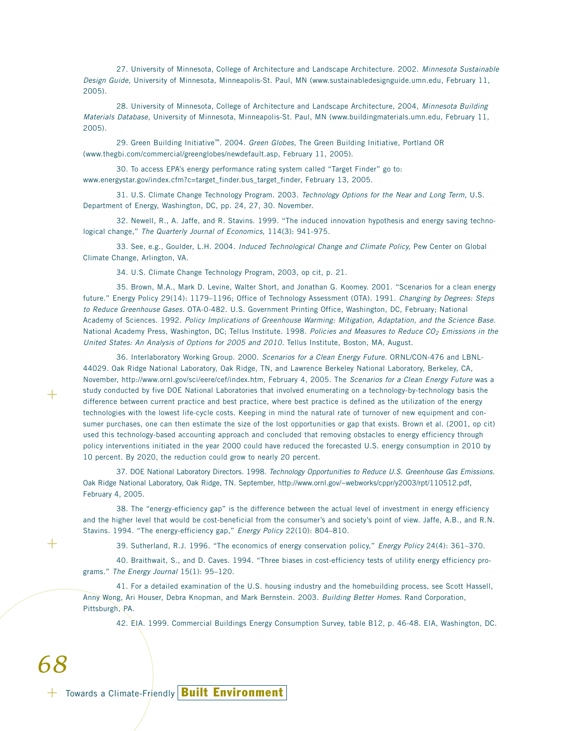27. University of Minnesota, College of Architecture and Landscape Architecture. 2002. Minnesota Sustainable Design Guide, University of Minnesota, Minneapolis-St. Paul, MN (www.sustainabledesignguide.umn.edu, February 11, 2005).

28. University of Minnesota, College of Architecture and Landscape Architecture, 2004, Minnesota Building Materials Database, University of Minnesota, Minneapolis-St. Paul, MN (www.buildingmaterials.umn.edu, February 11, 2005).

29. Green Building Initiative™. 2004. Green Globes, The Green Building Initiative, Portland OR (www.thegbi.com/commercial/greenglobes/newdefault.asp, February 11, 2005).

30. To access EPA's energy performance rating system called "Target Finder" go to: www.energystar.gov/index.cfm?c=target\_finder.bus\_target\_finder, February 13, 2005.

31. U.S. Climate Change Technology Program. 2003. Technology Options for the Near and Long Term, U.S. Department of Energy, Washington, DC, pp. 24, 27, 30. November.

32. Newell, R., A. Jaffe, and R. Stavins. 1999. "The induced innovation hypothesis and energy saving technological change," The Quarterly Journal of Economics, 114(3): 941-975.

33. See, e.g., Goulder, L.H. 2004. Induced Technological Change and Climate Policy, Pew Center on Global Climate Change, Arlington, VA.

34. U.S. Climate Change Technology Program, 2003, op cit, p. 21.

35. Brown, M.A., Mark D. Levine, Walter Short, and Jonathan G. Koomey. 2001. "Scenarios for a clean energy future." Energy Policy 29(14): 1179-1196; Office of Technology Assessment (OTA). 1991. Changing by Degrees: Steps to Reduce Greenhouse Gases. OTA-0-482. U.S. Government Printing Office, Washington, DC, February; National Academy of Sciences. 1992. Policy Implications of Greenhouse Warming: Mitigation, Adaptation, and the Science Base. National Academy Press, Washington, DC; Tellus Institute. 1998. Policies and Measures to Reduce CO<sub>2</sub> Emissions in the United States: An Analysis of Options for 2005 and 2010. Tellus Institute, Boston, MA, August.

36. Interlaboratory Working Group. 2000. Scenarios for a Clean Energy Future. ORNL/CON-476 and LBNL-44029. Oak Ridge National Laboratory, Oak Ridge, TN, and Lawrence Berkeley National Laboratory, Berkeley, CA, November, http://www.ornl.gov/sci/eere/cef/index.htm, February 4, 2005. The Scenarios for a Clean Energy Future was a study conducted by five DOE National Laboratories that involved enumerating on a technology-by-technology basis the difference between current practice and best practice, where best practice is defined as the utilization of the energy technologies with the lowest life-cycle costs. Keeping in mind the natural rate of turnover of new equipment and consumer purchases, one can then estimate the size of the lost opportunities or gap that exists. Brown et al. (2001, op cit) used this technology-based accounting approach and concluded that removing obstacles to energy efficiency through policy interventions initiated in the year 2000 could have reduced the forecasted U.S. energy consumption in 2010 by 10 percent. By 2020, the reduction could grow to nearly 20 percent.

37. DOE National Laboratory Directors. 1998. Technology Opportunities to Reduce U.S. Greenhouse Gas Emissions. Oak Ridge National Laboratory, Oak Ridge, TN. September, http://www.ornl.gov/~webworks/cppr/y2003/rpt/110512.pdf, February 4, 2005.

38. The "energy-efficiency gap" is the difference between the actual level of investment in energy efficiency and the higher level that would be cost-beneficial from the consumer's and society's point of view. Jaffe, A.B., and R.N. Stavins. 1994. "The energy-efficiency gap," Energy Policy 22(10): 804-810.

39. Sutherland, R.J. 1996. "The economics of energy conservation policy," Energy Policy 24(4): 361–370.

40. Braithwait, S., and D. Caves. 1994. "Three biases in cost-efficiency tests of utility energy efficiency programs." The Energy Journal 15(1): 95-120.

41. For a detailed examination of the U.S. housing industry and the homebuilding process, see Scott Hassell, Anny Wong, Ari Houser, Debra Knopman, and Mark Bernstein. 2003. Building Better Homes. Rand Corporation, Pittsburgh, PA.

42. EIA. 1999. Commercial Buildings Energy Consumption Survey, table B12, p. 46-48. EIA, Washington, DC.

## *68*

 $\, +$ 

 $\pm$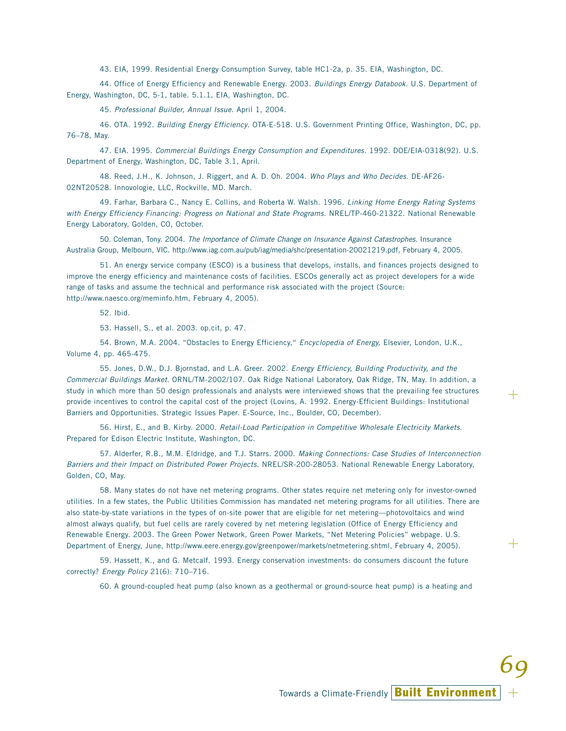43. EIA, 1999. Residential Energy Consumption Survey, table HC1-2a, p. 35. EIA, Washington, DC.

44. Office of Energy Efficiency and Renewable Energy. 2003. Buildings Energy Databook. U.S. Department of Energy, Washington, DC, 5-1, table. 5.1.1, EIA, Washington, DC.

45. Professional Builder, Annual Issue. April 1, 2004.

46. OTA. 1992. Building Energy Efficiency. OTA-E-518. U.S. Government Printing Office, Washington, DC, pp. 76–78, May.

47. EIA. 1995. Commercial Buildings Energy Consumption and Expenditures. 1992. DOE/EIA-0318(92). U.S. Department of Energy, Washington, DC, Table 3.1, April.

48. Reed, J.H., K. Johnson, J. Riggert, and A. D. Oh. 2004. Who Plays and Who Decides. DE-AF26- 02NT20528. Innovologie, LLC, Rockville, MD. March.

49. Farhar, Barbara C., Nancy E. Collins, and Roberta W. Walsh. 1996. Linking Home Energy Rating Systems with Energy Efficiency Financing: Progress on National and State Programs. NREL/TP-460-21322. National Renewable Energy Laboratory, Golden, CO, October.

50. Coleman, Tony. 2004. The Importance of Climate Change on Insurance Against Catastrophes. Insurance Australia Group, Melbourn, VIC. http://www.iag.com.au/pub/iag/media/shc/presentation-20021219.pdf, February 4, 2005.

51. An energy service company (ESCO) is a business that develops, installs, and finances projects designed to improve the energy efficiency and maintenance costs of facilities. ESCOs generally act as project developers for a wide range of tasks and assume the technical and performance risk associated with the project (Source: http://www.naesco.org/meminfo.htm, February 4, 2005).

52. Ibid.

53. Hassell, S., et al. 2003. op.cit, p. 47.

54. Brown, M.A. 2004. "Obstacles to Energy Efficiency," Encyclopedia of Energy, Elsevier, London, U.K., Volume 4, pp. 465-475.

55. Jones, D.W., D.J. Bjornstad, and L.A. Greer. 2002. Energy Efficiency, Building Productivity, and the Commercial Buildings Market. ORNL/TM-2002/107. Oak Ridge National Laboratory, Oak Ridge, TN, May. In addition, a study in which more than 50 design professionals and analysts were interviewed shows that the prevailing fee structures provide incentives to control the capital cost of the project (Lovins, A. 1992. Energy-Efficient Buildings: Institutional Barriers and Opportunities. Strategic Issues Paper. E-Source, Inc., Boulder, CO, December).

56. Hirst, E., and B. Kirby. 2000. Retail-Load Participation in Competitive Wholesale Electricity Markets. Prepared for Edison Electric Institute, Washington, DC.

57. Alderfer, R.B., M.M. Eldridge, and T.J. Starrs. 2000. Making Connections: Case Studies of Interconnection Barriers and their Impact on Distributed Power Projects. NREL/SR-200-28053. National Renewable Energy Laboratory, Golden, CO, May.

58. Many states do not have net metering programs. Other states require net metering only for investor-owned utilities. In a few states, the Public Utilities Commission has mandated net metering programs for all utilities. There are also state-by-state variations in the types of on-site power that are eligible for net metering—photovoltaics and wind almost always qualify, but fuel cells are rarely covered by net metering legislation (Office of Energy Efficiency and Renewable Energy. 2003. The Green Power Network, Green Power Markets, "Net Metering Policies" webpage. U.S. Department of Energy, June, http://www.eere.energy.gov/greenpower/markets/netmetering.shtml, February 4, 2005).

59. Hassett, K., and G. Metcalf. 1993. Energy conservation investments: do consumers discount the future correctly? Energy Policy 21(6): 710-716.

60. A ground-coupled heat pump (also known as a geothermal or ground-source heat pump) is a heating and

Towards a Climate-Friendly **Built Environment**

+

+

+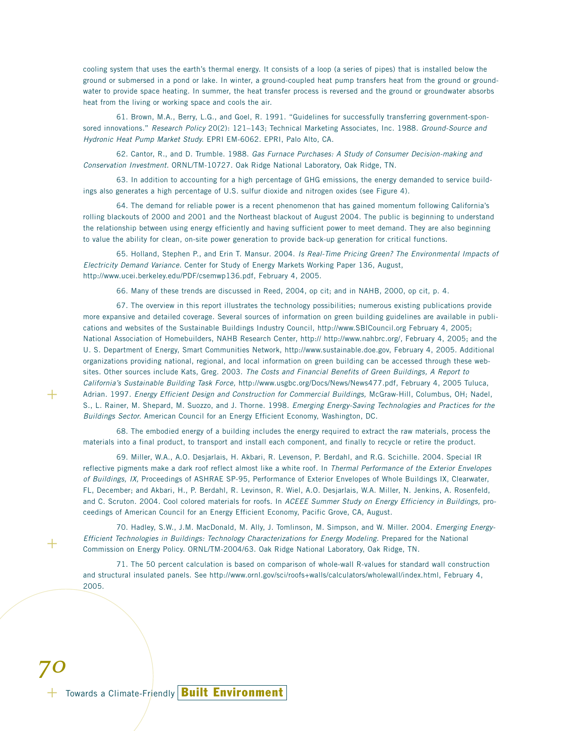cooling system that uses the earth's thermal energy. It consists of a loop (a series of pipes) that is installed below the ground or submersed in a pond or lake. In winter, a ground-coupled heat pump transfers heat from the ground or groundwater to provide space heating. In summer, the heat transfer process is reversed and the ground or groundwater absorbs heat from the living or working space and cools the air.

61. Brown, M.A., Berry, L.G., and Goel, R. 1991. "Guidelines for successfully transferring government-sponsored innovations." Research Policy 20(2): 121-143; Technical Marketing Associates, Inc. 1988. Ground-Source and Hydronic Heat Pump Market Study. EPRI EM-6062. EPRI, Palo Alto, CA.

62. Cantor, R., and D. Trumble. 1988. Gas Furnace Purchases: A Study of Consumer Decision-making and Conservation Investment. ORNL/TM-10727. Oak Ridge National Laboratory, Oak Ridge, TN.

63. In addition to accounting for a high percentage of GHG emissions, the energy demanded to service buildings also generates a high percentage of U.S. sulfur dioxide and nitrogen oxides (see Figure 4).

64. The demand for reliable power is a recent phenomenon that has gained momentum following California's rolling blackouts of 2000 and 2001 and the Northeast blackout of August 2004. The public is beginning to understand the relationship between using energy efficiently and having sufficient power to meet demand. They are also beginning to value the ability for clean, on-site power generation to provide back-up generation for critical functions.

65. Holland, Stephen P., and Erin T. Mansur. 2004. Is Real-Time Pricing Green? The Environmental Impacts of Electricity Demand Variance. Center for Study of Energy Markets Working Paper 136, August, http://www.ucei.berkeley.edu/PDF/csemwp136.pdf, February 4, 2005.

66. Many of these trends are discussed in Reed, 2004, op cit; and in NAHB, 2000, op cit, p. 4.

67. The overview in this report illustrates the technology possibilities; numerous existing publications provide more expansive and detailed coverage. Several sources of information on green building guidelines are available in publications and websites of the Sustainable Buildings Industry Council, http://www.SBICouncil.org February 4, 2005; National Association of Homebuilders, NAHB Research Center, http:// http://www.nahbrc.org/, February 4, 2005; and the U. S. Department of Energy, Smart Communities Network, http://www.sustainable.doe.gov, February 4, 2005. Additional organizations providing national, regional, and local information on green building can be accessed through these websites. Other sources include Kats, Greg. 2003. The Costs and Financial Benefits of Green Buildings, A Report to California's Sustainable Building Task Force, http://www.usgbc.org/Docs/News/News477.pdf, February 4, 2005 Tuluca, Adrian. 1997. Energy Efficient Design and Construction for Commercial Buildings, McGraw-Hill, Columbus, OH; Nadel, S., L. Rainer, M. Shepard, M. Suozzo, and J. Thorne. 1998. Emerging Energy-Saving Technologies and Practices for the Buildings Sector. American Council for an Energy Efficient Economy, Washington, DC.

68. The embodied energy of a building includes the energy required to extract the raw materials, process the materials into a final product, to transport and install each component, and finally to recycle or retire the product.

69. Miller, W.A., A.O. Desjarlais, H. Akbari, R. Levenson, P. Berdahl, and R.G. Scichille. 2004. Special IR reflective pigments make a dark roof reflect almost like a white roof. In Thermal Performance of the Exterior Envelopes of Buildings, IX, Proceedings of ASHRAE SP-95, Performance of Exterior Envelopes of Whole Buildings IX, Clearwater, FL, December; and Akbari, H., P. Berdahl, R. Levinson, R. Wiel, A.O. Desjarlais, W.A. Miller, N. Jenkins, A. Rosenfeld, and C. Scruton. 2004. Cool colored materials for roofs. In ACEEE Summer Study on Energy Efficiency in Buildings, proceedings of American Council for an Energy Efficient Economy, Pacific Grove, CA, August.

70. Hadley, S.W., J.M. MacDonald, M. Ally, J. Tomlinson, M. Simpson, and W. Miller. 2004. Emerging Energy-Efficient Technologies in Buildings: Technology Characterizations for Energy Modeling. Prepared for the National Commission on Energy Policy. ORNL/TM-2004/63. Oak Ridge National Laboratory, Oak Ridge, TN.

71. The 50 percent calculation is based on comparison of whole-wall R-values for standard wall construction and structural insulated panels. See http://www.ornl.gov/sci/roofs+walls/calculators/wholewall/index.html, February 4, 2005.

# + Towards a Climate-Friendly **Built Environment***70*

 $\pm$ 

 $+$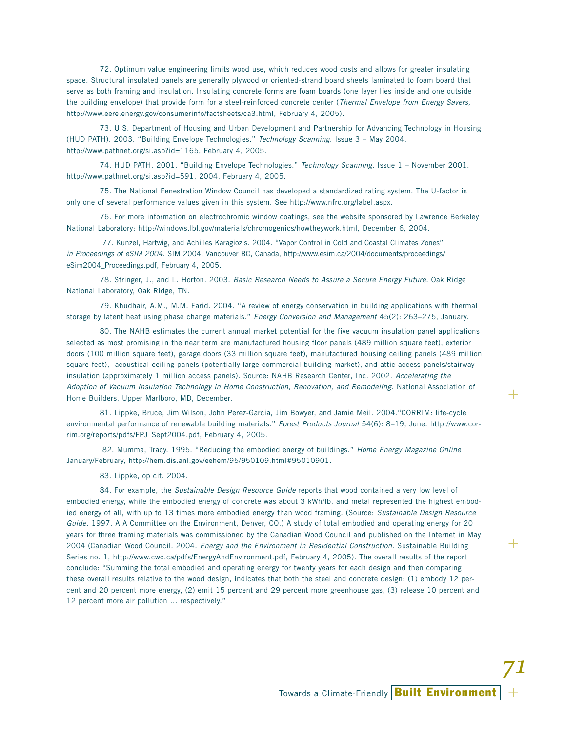72. Optimum value engineering limits wood use, which reduces wood costs and allows for greater insulating space. Structural insulated panels are generally plywood or oriented-strand board sheets laminated to foam board that serve as both framing and insulation. Insulating concrete forms are foam boards (one layer lies inside and one outside the building envelope) that provide form for a steel-reinforced concrete center (Thermal Envelope from Energy Savers, http://www.eere.energy.gov/consumerinfo/factsheets/ca3.html, February 4, 2005).

73. U.S. Department of Housing and Urban Development and Partnership for Advancing Technology in Housing (HUD PATH). 2003. "Building Envelope Technologies." Technology Scanning. Issue 3 – May 2004. http://www.pathnet.org/si.asp?id=1165, February 4, 2005.

74. HUD PATH. 2001. "Building Envelope Technologies." Technology Scanning. Issue 1 – November 2001. http://www.pathnet.org/si.asp?id=591, 2004, February 4, 2005.

75. The National Fenestration Window Council has developed a standardized rating system. The U-factor is only one of several performance values given in this system. See http://www.nfrc.org/label.aspx.

76. For more information on electrochromic window coatings, see the website sponsored by Lawrence Berkeley National Laboratory: http://windows.lbl.gov/materials/chromogenics/howtheywork.html, December 6, 2004.

77. Kunzel, Hartwig, and Achilles Karagiozis. 2004. "Vapor Control in Cold and Coastal Climates Zones" in Proceedings of eSIM 2004. SIM 2004, Vancouver BC, Canada, http://www.esim.ca/2004/documents/proceedings/ eSim2004\_Proceedings.pdf, February 4, 2005.

78. Stringer, J., and L. Horton. 2003. Basic Research Needs to Assure a Secure Energy Future. Oak Ridge National Laboratory, Oak Ridge, TN.

79. Khudhair, A.M., M.M. Farid. 2004. "A review of energy conservation in building applications with thermal storage by latent heat using phase change materials." Energy Conversion and Management 45(2): 263–275, January.

80. The NAHB estimates the current annual market potential for the five vacuum insulation panel applications selected as most promising in the near term are manufactured housing floor panels (489 million square feet), exterior doors (100 million square feet), garage doors (33 million square feet), manufactured housing ceiling panels (489 million square feet), acoustical ceiling panels (potentially large commercial building market), and attic access panels/stairway insulation (approximately 1 million access panels). Source: NAHB Research Center, Inc. 2002. Accelerating the Adoption of Vacuum Insulation Technology in Home Construction, Renovation, and Remodeling. National Association of Home Builders, Upper Marlboro, MD, December.

81. Lippke, Bruce, Jim Wilson, John Perez-Garcia, Jim Bowyer, and Jamie Meil. 2004."CORRIM: life-cycle environmental performance of renewable building materials." Forest Products Journal 54(6): 8-19, June. http://www.corrim.org/reports/pdfs/FPJ\_Sept2004.pdf, February 4, 2005.

82. Mumma, Tracy. 1995. "Reducing the embodied energy of buildings." Home Energy Magazine Online January/February, http://hem.dis.anl.gov/eehem/95/950109.html#95010901.

83. Lippke, op cit. 2004.

84. For example, the Sustainable Design Resource Guide reports that wood contained a very low level of embodied energy, while the embodied energy of concrete was about 3 kWh/lb, and metal represented the highest embodied energy of all, with up to 13 times more embodied energy than wood framing. (Source: Sustainable Design Resource Guide. 1997. AIA Committee on the Environment, Denver, CO.) A study of total embodied and operating energy for 20 years for three framing materials was commissioned by the Canadian Wood Council and published on the Internet in May 2004 (Canadian Wood Council. 2004. Energy and the Environment in Residential Construction. Sustainable Building Series no. 1, http://www.cwc.ca/pdfs/EnergyAndEnvironment.pdf, February 4, 2005). The overall results of the report conclude: "Summing the total embodied and operating energy for twenty years for each design and then comparing these overall results relative to the wood design, indicates that both the steel and concrete design: (1) embody 12 percent and 20 percent more energy, (2) emit 15 percent and 29 percent more greenhouse gas, (3) release 10 percent and 12 percent more air pollution … respectively."

+ Towards a Climate-Friendly **Built Environment**

+

+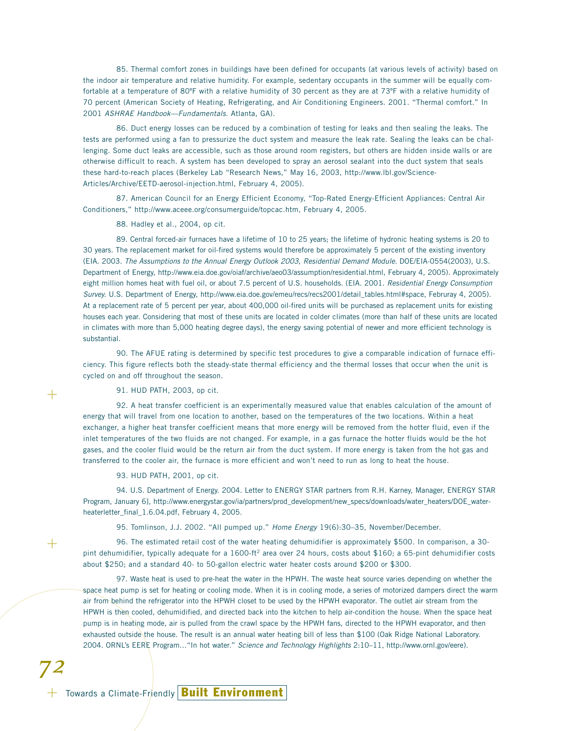85. Thermal comfort zones in buildings have been defined for occupants (at various levels of activity) based on the indoor air temperature and relative humidity. For example, sedentary occupants in the summer will be equally comfortable at a temperature of 80ºF with a relative humidity of 30 percent as they are at 73ºF with a relative humidity of 70 percent (American Society of Heating, Refrigerating, and Air Conditioning Engineers. 2001. "Thermal comfort." In 2001 ASHRAE Handbook—Fundamentals. Atlanta, GA).

86. Duct energy losses can be reduced by a combination of testing for leaks and then sealing the leaks. The tests are performed using a fan to pressurize the duct system and measure the leak rate. Sealing the leaks can be challenging. Some duct leaks are accessible, such as those around room registers, but others are hidden inside walls or are otherwise difficult to reach. A system has been developed to spray an aerosol sealant into the duct system that seals these hard-to-reach places (Berkeley Lab "Research News," May 16, 2003, http://www.lbl.gov/Science-Articles/Archive/EETD-aerosol-injection.html, February 4, 2005).

87. American Council for an Energy Efficient Economy, "Top-Rated Energy-Efficient Appliances: Central Air Conditioners," http://www.aceee.org/consumerguide/topcac.htm, February 4, 2005.

#### 88. Hadley et al., 2004, op cit.

89. Central forced-air furnaces have a lifetime of 10 to 25 years; the lifetime of hydronic heating systems is 20 to 30 years. The replacement market for oil-fired systems would therefore be approximately 5 percent of the existing inventory (EIA. 2003. The Assumptions to the Annual Energy Outlook 2003, Residential Demand Module. DOE/EIA-0554(2003), U.S. Department of Energy, http://www.eia.doe.gov/oiaf/archive/aeo03/assumption/residential.html, February 4, 2005). Approximately eight million homes heat with fuel oil, or about 7.5 percent of U.S. households. (EIA. 2001. Residential Energy Consumption Survey. U.S. Department of Energy, http://www.eia.doe.gov/emeu/recs/recs2001/detail\_tables.html#space, Februray 4, 2005). At a replacement rate of 5 percent per year, about 400,000 oil-fired units will be purchased as replacement units for existing houses each year. Considering that most of these units are located in colder climates (more than half of these units are located in climates with more than 5,000 heating degree days), the energy saving potential of newer and more efficient technology is substantial.

90. The AFUE rating is determined by specific test procedures to give a comparable indication of furnace efficiency. This figure reflects both the steady-state thermal efficiency and the thermal losses that occur when the unit is cycled on and off throughout the season.

91. HUD PATH, 2003, op cit.

 $\pm$ 

 $+$ 

*72*

92. A heat transfer coefficient is an experimentally measured value that enables calculation of the amount of energy that will travel from one location to another, based on the temperatures of the two locations. Within a heat exchanger, a higher heat transfer coefficient means that more energy will be removed from the hotter fluid, even if the inlet temperatures of the two fluids are not changed. For example, in a gas furnace the hotter fluids would be the hot gases, and the cooler fluid would be the return air from the duct system. If more energy is taken from the hot gas and transferred to the cooler air, the furnace is more efficient and won't need to run as long to heat the house.

#### 93. HUD PATH, 2001, op cit.

94. U.S. Department of Energy. 2004. Letter to ENERGY STAR partners from R.H. Karney, Manager, ENERGY STAR Program, January 6], http://www.energystar.gov/ia/partners/prod\_development/new\_specs/downloads/water\_heaters/DOE\_waterheaterletter\_final\_1.6.04.pdf, February 4, 2005.

95. Tomlinson, J.J. 2002. "All pumped up." Home Energy 19(6):30–35, November/December.

96. The estimated retail cost of the water heating dehumidifier is approximately \$500. In comparison, a 30 pint dehumidifier, typically adequate for a 1600-ft<sup>2</sup> area over 24 hours, costs about \$160; a 65-pint dehumidifier costs about \$250; and a standard 40- to 50-gallon electric water heater costs around \$200 or \$300.

97. Waste heat is used to pre-heat the water in the HPWH. The waste heat source varies depending on whether the space heat pump is set for heating or cooling mode. When it is in cooling mode, a series of motorized dampers direct the warm air from behind the refrigerator into the HPWH closet to be used by the HPWH evaporator. The outlet air stream from the HPWH is then cooled, dehumidified, and directed back into the kitchen to help air-condition the house. When the space heat pump is in heating mode, air is pulled from the crawl space by the HPWH fans, directed to the HPWH evaporator, and then exhausted outside the house. The result is an annual water heating bill of less than \$100 (Oak Ridge National Laboratory. 2004. ORNL's EERE Program…"In hot water." Science and Technology Highlights 2:10–11, http://www.ornl.gov/eere).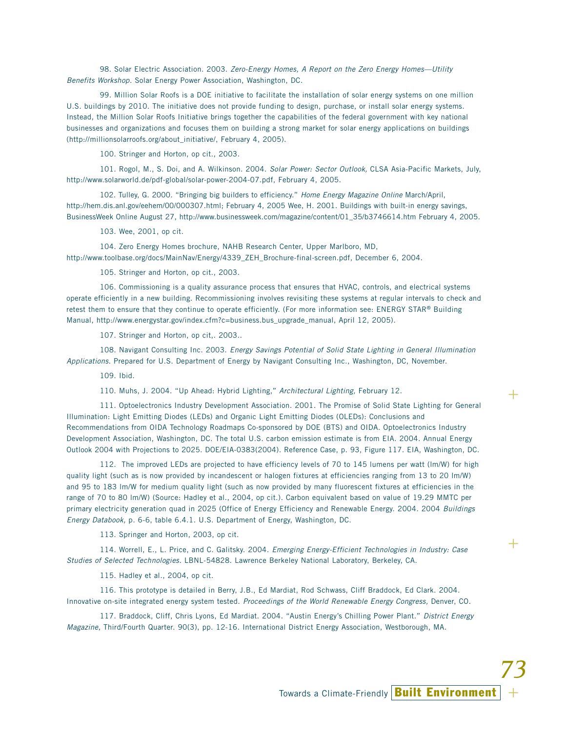98. Solar Electric Association. 2003. Zero-Energy Homes, A Report on the Zero Energy Homes-Utility Benefits Workshop. Solar Energy Power Association, Washington, DC.

99. Million Solar Roofs is a DOE initiative to facilitate the installation of solar energy systems on one million U.S. buildings by 2010. The initiative does not provide funding to design, purchase, or install solar energy systems. Instead, the Million Solar Roofs Initiative brings together the capabilities of the federal government with key national businesses and organizations and focuses them on building a strong market for solar energy applications on buildings (http://millionsolarroofs.org/about\_initiative/, February 4, 2005).

100. Stringer and Horton, op cit., 2003.

101. Rogol, M., S. Doi, and A. Wilkinson. 2004. Solar Power: Sector Outlook, CLSA Asia-Pacific Markets, July, http://www.solarworld.de/pdf-global/solar-power-2004-07.pdf, February 4, 2005.

102. Tulley, G. 2000. "Bringing big builders to efficiency." Home Energy Magazine Online March/April, http://hem.dis.anl.gov/eehem/00/000307.html; February 4, 2005 Wee, H. 2001. Buildings with built-in energy savings, BusinessWeek Online August 27, http://www.businessweek.com/magazine/content/01\_35/b3746614.htm February 4, 2005.

103. Wee, 2001, op cit.

104. Zero Energy Homes brochure, NAHB Research Center, Upper Marlboro, MD, http://www.toolbase.org/docs/MainNav/Energy/4339\_ZEH\_Brochure-final-screen.pdf, December 6, 2004.

105. Stringer and Horton, op cit., 2003.

106. Commissioning is a quality assurance process that ensures that HVAC, controls, and electrical systems operate efficiently in a new building. Recommissioning involves revisiting these systems at regular intervals to check and retest them to ensure that they continue to operate efficiently. (For more information see: ENERGY STAR® Building Manual, http://www.energystar.gov/index.cfm?c=business.bus\_upgrade\_manual, April 12, 2005).

107. Stringer and Horton, op cit,. 2003..

108. Navigant Consulting Inc. 2003. Energy Savings Potential of Solid State Lighting in General Illumination Applications. Prepared for U.S. Department of Energy by Navigant Consulting Inc., Washington, DC, November.

109. Ibid.

110. Muhs, J. 2004. "Up Ahead: Hybrid Lighting," Architectural Lighting, February 12.

111. Optoelectronics Industry Development Association. 2001. The Promise of Solid State Lighting for General Illumination: Light Emitting Diodes (LEDs) and Organic Light Emitting Diodes (OLEDs): Conclusions and Recommendations from OIDA Technology Roadmaps Co-sponsored by DOE (BTS) and OIDA. Optoelectronics Industry Development Association, Washington, DC. The total U.S. carbon emission estimate is from EIA. 2004. Annual Energy Outlook 2004 with Projections to 2025. DOE/EIA-0383(2004). Reference Case, p. 93, Figure 117. EIA, Washington, DC.

112. The improved LEDs are projected to have efficiency levels of 70 to 145 lumens per watt (lm/W) for high quality light (such as is now provided by incandescent or halogen fixtures at efficiencies ranging from 13 to 20 lm/W) and 95 to 183 lm/W for medium quality light (such as now provided by many fluorescent fixtures at efficiencies in the range of 70 to 80 lm/W) (Source: Hadley et al., 2004, op cit.). Carbon equivalent based on value of 19.29 MMTC per primary electricity generation quad in 2025 (Office of Energy Efficiency and Renewable Energy. 2004. 2004 Buildings Energy Databook, p. 6-6, table 6.4.1. U.S. Department of Energy, Washington, DC.

113. Springer and Horton, 2003, op cit.

114. Worrell, E., L. Price, and C. Galitsky. 2004. Emerging Energy-Efficient Technologies in Industry: Case Studies of Selected Technologies. LBNL-54828. Lawrence Berkeley National Laboratory, Berkeley, CA.

115. Hadley et al., 2004, op cit.

116. This prototype is detailed in Berry, J.B., Ed Mardiat, Rod Schwass, Cliff Braddock, Ed Clark. 2004. Innovative on-site integrated energy system tested. Proceedings of the World Renewable Energy Congress, Denver, CO.

117. Braddock, Cliff, Chris Lyons, Ed Mardiat. 2004. "Austin Energy's Chilling Power Plant." District Energy Magazine, Third/Fourth Quarter. 90(3), pp. 12-16. International District Energy Association, Westborough, MA.

+ Towards a Climate-Friendly **Built Environment**

 $+$ 

 $+$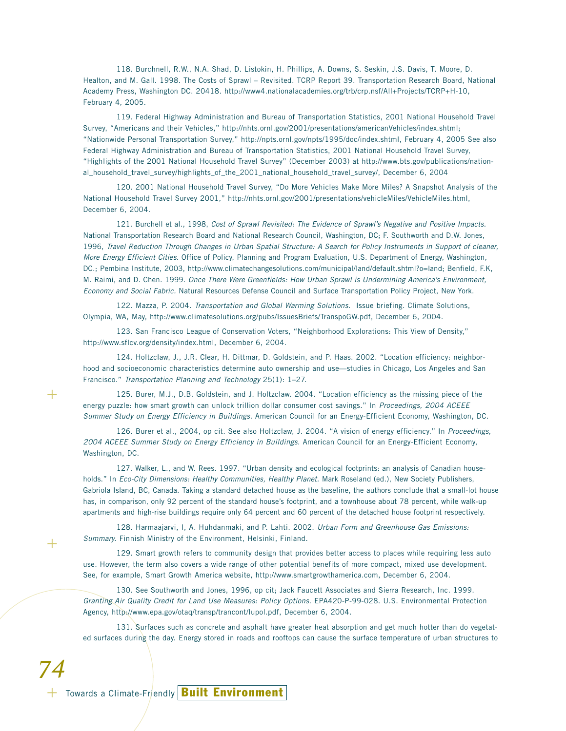118. Burchnell, R.W., N.A. Shad, D. Listokin, H. Phillips, A. Downs, S. Seskin, J.S. Davis, T. Moore, D. Healton, and M. Gall. 1998. The Costs of Sprawl – Revisited. TCRP Report 39. Transportation Research Board, National Academy Press, Washington DC. 20418. http://www4.nationalacademies.org/trb/crp.nsf/All+Projects/TCRP+H-10, February 4, 2005.

119. Federal Highway Administration and Bureau of Transportation Statistics, 2001 National Household Travel Survey, "Americans and their Vehicles," http://nhts.ornl.gov/2001/presentations/americanVehicles/index.shtml; "Nationwide Personal Transportation Survey," http://npts.ornl.gov/npts/1995/doc/index.shtml, February 4, 2005 See also Federal Highway Administration and Bureau of Transportation Statistics, 2001 National Household Travel Survey, "Highlights of the 2001 National Household Travel Survey" (December 2003) at http://www.bts.gov/publications/national\_household\_travel\_survey/highlights\_of\_the\_2001\_national\_household\_travel\_survey/, December 6, 2004

120. 2001 National Household Travel Survey, "Do More Vehicles Make More Miles? A Snapshot Analysis of the National Household Travel Survey 2001," http://nhts.ornl.gov/2001/presentations/vehicleMiles/VehicleMiles.html, December 6, 2004.

121. Burchell et al., 1998, Cost of Sprawl Revisited: The Evidence of Sprawl's Negative and Positive Impacts. National Transportation Research Board and National Research Council, Washington, DC; F. Southworth and D.W. Jones, 1996, Travel Reduction Through Changes in Urban Spatial Structure: A Search for Policy Instruments in Support of cleaner, More Energy Efficient Cities. Office of Policy, Planning and Program Evaluation, U.S. Department of Energy, Washington, DC.; Pembina Institute, 2003, http://www.climatechangesolutions.com/municipal/land/default.shtml?o=land; Benfield, F.K, M. Raimi, and D. Chen. 1999. Once There Were Greenfields: How Urban Sprawl is Undermining America's Environment, Economy and Social Fabric. Natural Resources Defense Council and Surface Transportation Policy Project, New York.

122. Mazza, P. 2004. Transportation and Global Warming Solutions. Issue briefing. Climate Solutions, Olympia, WA, May, http://www.climatesolutions.org/pubs/IssuesBriefs/TranspoGW.pdf, December 6, 2004.

123. San Francisco League of Conservation Voters, "Neighborhood Explorations: This View of Density," http://www.sflcv.org/density/index.html, December 6, 2004.

124. Holtzclaw, J., J.R. Clear, H. Dittmar, D. Goldstein, and P. Haas. 2002. "Location efficiency: neighborhood and socioeconomic characteristics determine auto ownership and use—studies in Chicago, Los Angeles and San Francisco." Transportation Planning and Technology 25(1): 1–27.

125. Burer, M.J., D.B. Goldstein, and J. Holtzclaw. 2004. "Location efficiency as the missing piece of the energy puzzle: how smart growth can unlock trillion dollar consumer cost savings." In Proceedings, 2004 ACEEE Summer Study on Energy Efficiency in Buildings. American Council for an Energy-Efficient Economy, Washington, DC.

126. Burer et al., 2004, op cit. See also Holtzclaw, J. 2004. "A vision of energy efficiency." In Proceedings, 2004 ACEEE Summer Study on Energy Efficiency in Buildings. American Council for an Energy-Efficient Economy, Washington, DC.

127. Walker, L., and W. Rees. 1997. "Urban density and ecological footprints: an analysis of Canadian households." In Eco-City Dimensions: Healthy Communities, Healthy Planet. Mark Roseland (ed.), New Society Publishers, Gabriola Island, BC, Canada. Taking a standard detached house as the baseline, the authors conclude that a small-lot house has, in comparison, only 92 percent of the standard house's footprint, and a townhouse about 78 percent, while walk-up apartments and high-rise buildings require only 64 percent and 60 percent of the detached house footprint respectively.

128. Harmaajarvi, I, A. Huhdanmaki, and P. Lahti. 2002. Urban Form and Greenhouse Gas Emissions: Summary. Finnish Ministry of the Environment, Helsinki, Finland.

129. Smart growth refers to community design that provides better access to places while requiring less auto use. However, the term also covers a wide range of other potential benefits of more compact, mixed use development. See, for example, Smart Growth America website, http://www.smartgrowthamerica.com, December 6, 2004.

130. See Southworth and Jones, 1996, op cit; Jack Faucett Associates and Sierra Research, Inc. 1999. Granting Air Quality Credit for Land Use Measures: Policy Options. EPA420-P-99-028. U.S. Environmental Protection Agency, http://www.epa.gov/otaq/transp/trancont/lupol.pdf, December 6, 2004.

131. Surfaces such as concrete and asphalt have greater heat absorption and get much hotter than do vegetated surfaces during the day. Energy stored in roads and rooftops can cause the surface temperature of urban structures to

 $\, + \,$ 

 $+$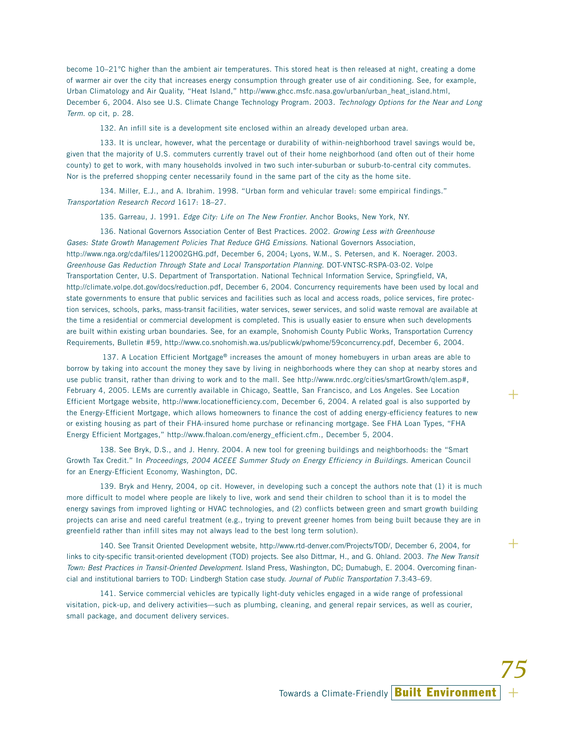become 10–21°C higher than the ambient air temperatures. This stored heat is then released at night, creating a dome of warmer air over the city that increases energy consumption through greater use of air conditioning. See, for example, Urban Climatology and Air Quality, "Heat Island," http://www.ghcc.msfc.nasa.gov/urban/urban\_heat\_island.html, December 6, 2004. Also see U.S. Climate Change Technology Program. 2003. Technology Options for the Near and Long Term. op cit, p. 28.

132. An infill site is a development site enclosed within an already developed urban area.

133. It is unclear, however, what the percentage or durability of within-neighborhood travel savings would be, given that the majority of U.S. commuters currently travel out of their home neighborhood (and often out of their home county) to get to work, with many households involved in two such inter-suburban or suburb-to-central city commutes. Nor is the preferred shopping center necessarily found in the same part of the city as the home site.

134. Miller, E.J., and A. Ibrahim. 1998. "Urban form and vehicular travel: some empirical findings." Transportation Research Record 1617: 18–27.

135. Garreau, J. 1991. Edge City: Life on The New Frontier. Anchor Books, New York, NY.

136. National Governors Association Center of Best Practices. 2002. Growing Less with Greenhouse Gases: State Growth Management Policies That Reduce GHG Emissions. National Governors Association, http://www.nga.org/cda/files/112002GHG.pdf, December 6, 2004; Lyons, W.M., S. Petersen, and K. Noerager. 2003. Greenhouse Gas Reduction Through State and Local Transportation Planning. DOT-VNTSC-RSPA-03-02. Volpe Transportation Center, U.S. Department of Transportation. National Technical Information Service, Springfield, VA, http://climate.volpe.dot.gov/docs/reduction.pdf, December 6, 2004. Concurrency requirements have been used by local and state governments to ensure that public services and facilities such as local and access roads, police services, fire protection services, schools, parks, mass-transit facilities, water services, sewer services, and solid waste removal are available at the time a residential or commercial development is completed. This is usually easier to ensure when such developments are built within existing urban boundaries. See, for an example, Snohomish County Public Works, Transportation Currency Requirements, Bulletin #59, http://www.co.snohomish.wa.us/publicwk/pwhome/59concurrency.pdf, December 6, 2004.

137. A Location Efficient Mortgage® increases the amount of money homebuyers in urban areas are able to borrow by taking into account the money they save by living in neighborhoods where they can shop at nearby stores and use public transit, rather than driving to work and to the mall. See http://www.nrdc.org/cities/smartGrowth/qlem.asp#, February 4, 2005. LEMs are currently available in Chicago, Seattle, San Francisco, and Los Angeles. See Location Efficient Mortgage website, http://www.locationefficiency.com, December 6, 2004. A related goal is also supported by the Energy-Efficient Mortgage, which allows homeowners to finance the cost of adding energy-efficiency features to new or existing housing as part of their FHA-insured home purchase or refinancing mortgage. See FHA Loan Types, "FHA Energy Efficient Mortgages," http://www.fhaloan.com/energy\_efficient.cfm., December 5, 2004.

+

+

*75*

138. See Bryk, D.S., and J. Henry. 2004. A new tool for greening buildings and neighborhoods: the "Smart Growth Tax Credit." In Proceedings, 2004 ACEEE Summer Study on Energy Efficiency in Buildings. American Council for an Energy-Efficient Economy, Washington, DC.

139. Bryk and Henry, 2004, op cit. However, in developing such a concept the authors note that (1) it is much more difficult to model where people are likely to live, work and send their children to school than it is to model the energy savings from improved lighting or HVAC technologies, and (2) conflicts between green and smart growth building projects can arise and need careful treatment (e.g., trying to prevent greener homes from being built because they are in greenfield rather than infill sites may not always lead to the best long term solution).

140. See Transit Oriented Development website, http://www.rtd-denver.com/Projects/TOD/, December 6, 2004, for links to city-specific transit-oriented development (TOD) projects. See also Dittmar, H., and G. Ohland. 2003. The New Transit Town: Best Practices in Transit-Oriented Development. Island Press, Washington, DC; Dumabugh, E. 2004. Overcoming financial and institutional barriers to TOD: Lindbergh Station case study. Journal of Public Transportation 7.3:43–69.

141. Service commercial vehicles are typically light-duty vehicles engaged in a wide range of professional visitation, pick-up, and delivery activities—such as plumbing, cleaning, and general repair services, as well as courier, small package, and document delivery services.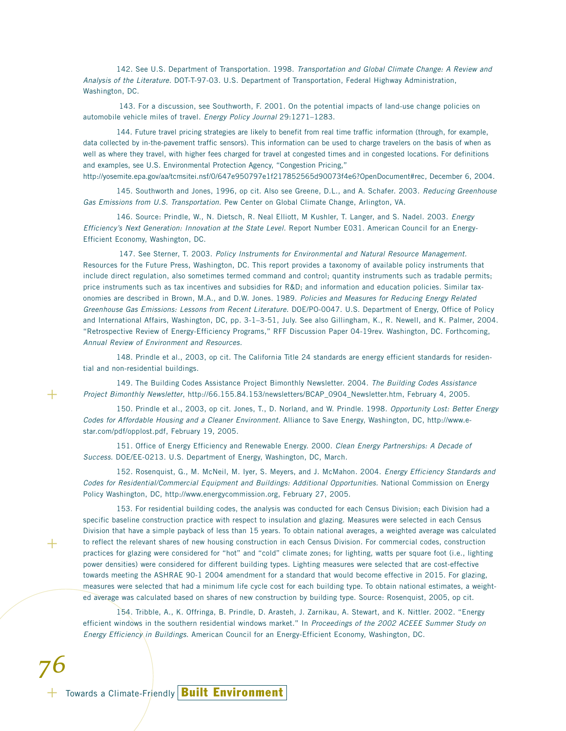142. See U.S. Department of Transportation. 1998. Transportation and Global Climate Change: A Review and Analysis of the Literature. DOT-T-97-03. U.S. Department of Transportation, Federal Highway Administration, Washington, DC.

143. For a discussion, see Southworth, F. 2001. On the potential impacts of land-use change policies on automobile vehicle miles of travel. Energy Policy Journal 29:1271–1283.

144. Future travel pricing strategies are likely to benefit from real time traffic information (through, for example, data collected by in-the-pavement traffic sensors). This information can be used to charge travelers on the basis of when as well as where they travel, with higher fees charged for travel at congested times and in congested locations. For definitions and examples, see U.S. Environmental Protection Agency, "Congestion Pricing,"

http://yosemite.epa.gov/aa/tcmsitei.nsf/0/647e950797e1f217852565d90073f4e6?OpenDocument#rec, December 6, 2004.

145. Southworth and Jones, 1996, op cit. Also see Greene, D.L., and A. Schafer. 2003. Reducing Greenhouse Gas Emissions from U.S. Transportation. Pew Center on Global Climate Change, Arlington, VA.

146. Source: Prindle, W., N. Dietsch, R. Neal Elliott, M Kushler, T. Langer, and S. Nadel. 2003. Energy Efficiency's Next Generation: Innovation at the State Level. Report Number E031. American Council for an Energy-Efficient Economy, Washington, DC.

147. See Sterner, T. 2003. Policy Instruments for Environmental and Natural Resource Management. Resources for the Future Press, Washington, DC. This report provides a taxonomy of available policy instruments that include direct regulation, also sometimes termed command and control; quantity instruments such as tradable permits; price instruments such as tax incentives and subsidies for R&D; and information and education policies. Similar taxonomies are described in Brown, M.A., and D.W. Jones. 1989. Policies and Measures for Reducing Energy Related Greenhouse Gas Emissions: Lessons from Recent Literature. DOE/PO-0047. U.S. Department of Energy, Office of Policy and International Affairs, Washington, DC, pp. 3-1–3-51, July. See also Gillingham, K., R. Newell, and K. Palmer, 2004. "Retrospective Review of Energy-Efficiency Programs," RFF Discussion Paper 04-19rev. Washington, DC. Forthcoming, Annual Review of Environment and Resources.

148. Prindle et al., 2003, op cit. The California Title 24 standards are energy efficient standards for residential and non-residential buildings.

149. The Building Codes Assistance Project Bimonthly Newsletter. 2004. The Building Codes Assistance Project Bimonthly Newsletter, http://66.155.84.153/newsletters/BCAP\_0904\_Newsletter.htm, February 4, 2005.

150. Prindle et al., 2003, op cit. Jones, T., D. Norland, and W. Prindle. 1998. Opportunity Lost: Better Energy Codes for Affordable Housing and a Cleaner Environment. Alliance to Save Energy, Washington, DC, http://www.estar.com/pdf/opplost.pdf, February 19, 2005.

151. Office of Energy Efficiency and Renewable Energy. 2000. Clean Energy Partnerships: A Decade of Success. DOE/EE-0213. U.S. Department of Energy, Washington, DC, March.

152. Rosenquist, G., M. McNeil, M. Iyer, S. Meyers, and J. McMahon. 2004. Energy Efficiency Standards and Codes for Residential/Commercial Equipment and Buildings: Additional Opportunities. National Commission on Energy Policy Washington, DC, http://www.energycommission.org, February 27, 2005.

153. For residential building codes, the analysis was conducted for each Census Division; each Division had a specific baseline construction practice with respect to insulation and glazing. Measures were selected in each Census Division that have a simple payback of less than 15 years. To obtain national averages, a weighted average was calculated to reflect the relevant shares of new housing construction in each Census Division. For commercial codes, construction practices for glazing were considered for "hot" and "cold" climate zones; for lighting, watts per square foot (i.e., lighting power densities) were considered for different building types. Lighting measures were selected that are cost-effective towards meeting the ASHRAE 90-1 2004 amendment for a standard that would become effective in 2015. For glazing, measures were selected that had a minimum life cycle cost for each building type. To obtain national estimates, a weighted average was calculated based on shares of new construction by building type. Source: Rosenquist, 2005, op cit.

154. Tribble, A., K. Offringa, B. Prindle, D. Arasteh, J. Zarnikau, A. Stewart, and K. Nittler. 2002. "Energy efficient windows in the southern residential windows market." In Proceedings of the 2002 ACEEE Summer Study on Energy Efficiency in Buildings. American Council for an Energy-Efficient Economy, Washington, DC.

 $+$ 

 $+$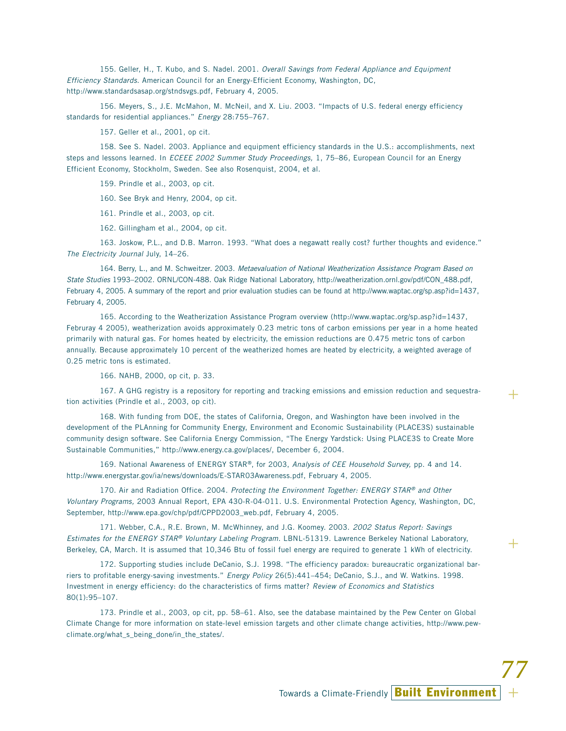155. Geller, H., T. Kubo, and S. Nadel. 2001. Overall Savings from Federal Appliance and Equipment Efficiency Standards. American Council for an Energy-Efficient Economy, Washington, DC, http://www.standardsasap.org/stndsvgs.pdf, February 4, 2005.

156. Meyers, S., J.E. McMahon, M. McNeil, and X. Liu. 2003. "Impacts of U.S. federal energy efficiency standards for residential appliances." Energy 28:755–767.

157. Geller et al., 2001, op cit.

158. See S. Nadel. 2003. Appliance and equipment efficiency standards in the U.S.: accomplishments, next steps and lessons learned. In ECEEE 2002 Summer Study Proceedings, 1, 75-86, European Council for an Energy Efficient Economy, Stockholm, Sweden. See also Rosenquist, 2004, et al.

159. Prindle et al., 2003, op cit.

160. See Bryk and Henry, 2004, op cit.

161. Prindle et al., 2003, op cit.

162. Gillingham et al., 2004, op cit.

163. Joskow, P.L., and D.B. Marron. 1993. "What does a negawatt really cost? further thoughts and evidence." The Electricity Journal July, 14–26.

164. Berry, L., and M. Schweitzer. 2003. Metaevaluation of National Weatherization Assistance Program Based on State Studies 1993–2002. ORNL/CON-488. Oak Ridge National Laboratory, http://weatherization.ornl.gov/pdf/CON\_488.pdf, February 4, 2005. A summary of the report and prior evaluation studies can be found at http://www.waptac.org/sp.asp?id=1437, February 4, 2005.

165. According to the Weatherization Assistance Program overview (http://www.waptac.org/sp.asp?id=1437, Februray 4 2005), weatherization avoids approximately 0.23 metric tons of carbon emissions per year in a home heated primarily with natural gas. For homes heated by electricity, the emission reductions are 0.475 metric tons of carbon annually. Because approximately 10 percent of the weatherized homes are heated by electricity, a weighted average of 0.25 metric tons is estimated.

166. NAHB, 2000, op cit, p. 33.

167. A GHG registry is a repository for reporting and tracking emissions and emission reduction and sequestration activities (Prindle et al., 2003, op cit).

 $+$ 

+

*77*

168. With funding from DOE, the states of California, Oregon, and Washington have been involved in the development of the PLAnning for Community Energy, Environment and Economic Sustainability (PLACE3S) sustainable community design software. See California Energy Commission, "The Energy Yardstick: Using PLACE3S to Create More Sustainable Communities," http://www.energy.ca.gov/places/, December 6, 2004.

169. National Awareness of ENERGY STAR®, for 2003, Analysis of CEE Household Survey, pp. 4 and 14. http://www.energystar.gov/ia/news/downloads/E-STAR03Awareness.pdf, February 4, 2005.

170. Air and Radiation Office. 2004. Protecting the Environment Together: ENERGY STAR® and Other Voluntary Programs, 2003 Annual Report, EPA 430-R-04-011. U.S. Environmental Protection Agency, Washington, DC, September, http://www.epa.gov/chp/pdf/CPPD2003\_web.pdf, February 4, 2005.

171. Webber, C.A., R.E. Brown, M. McWhinney, and J.G. Koomey. 2003. 2002 Status Report: Savings Estimates for the ENERGY STAR® Voluntary Labeling Program. LBNL-51319. Lawrence Berkeley National Laboratory, Berkeley, CA, March. It is assumed that 10,346 Btu of fossil fuel energy are required to generate 1 kWh of electricity.

172. Supporting studies include DeCanio, S.J. 1998. "The efficiency paradox: bureaucratic organizational barriers to profitable energy-saving investments." Energy Policy 26(5):441-454; DeCanio, S.J., and W. Watkins. 1998. Investment in energy efficiency: do the characteristics of firms matter? Review of Economics and Statistics 80(1):95–107.

173. Prindle et al., 2003, op cit, pp. 58–61. Also, see the database maintained by the Pew Center on Global Climate Change for more information on state-level emission targets and other climate change activities, http://www.pewclimate.org/what\_s\_being\_done/in\_the\_states/.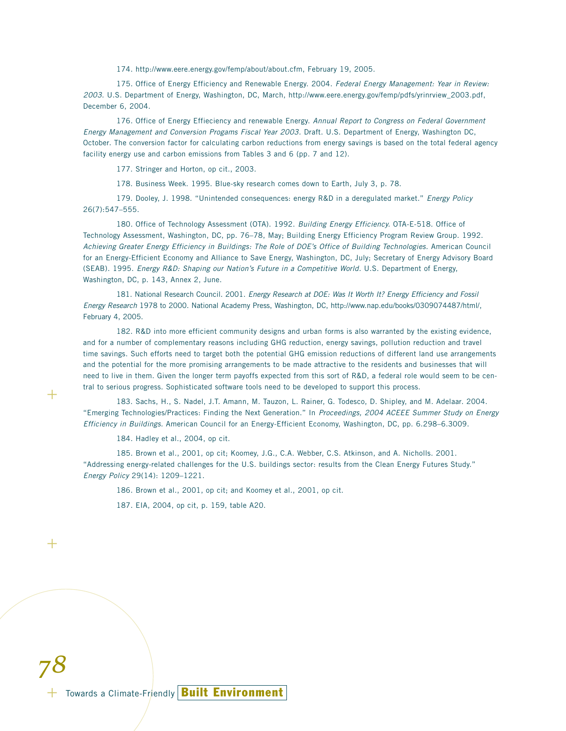174. http://www.eere.energy.gov/femp/about/about.cfm, February 19, 2005.

175. Office of Energy Efficiency and Renewable Energy. 2004. Federal Energy Management: Year in Review: 2003. U.S. Department of Energy, Washington, DC, March, http://www.eere.energy.gov/femp/pdfs/yrinrview\_2003.pdf, December 6, 2004.

176. Office of Energy Effieciency and renewable Energy. Annual Report to Congress on Federal Government Energy Management and Conversion Progams Fiscal Year 2003. Draft. U.S. Department of Energy, Washington DC, October. The conversion factor for calculating carbon reductions from energy savings is based on the total federal agency facility energy use and carbon emissions from Tables 3 and 6 (pp. 7 and 12).

177. Stringer and Horton, op cit., 2003.

178. Business Week. 1995. Blue-sky research comes down to Earth, July 3, p. 78.

179. Dooley, J. 1998. "Unintended consequences: energy R&D in a deregulated market." Energy Policy 26(7):547–555.

180. Office of Technology Assessment (OTA). 1992. Building Energy Efficiency. OTA-E-518. Office of Technology Assessment, Washington, DC, pp. 76–78, May; Building Energy Efficiency Program Review Group. 1992. Achieving Greater Energy Efficiency in Buildings: The Role of DOE's Office of Building Technologies. American Council for an Energy-Efficient Economy and Alliance to Save Energy, Washington, DC, July; Secretary of Energy Advisory Board (SEAB). 1995. Energy R&D: Shaping our Nation's Future in a Competitive World. U.S. Department of Energy, Washington, DC, p. 143, Annex 2, June.

181. National Research Council. 2001. Energy Research at DOE: Was It Worth It? Energy Efficiency and Fossil Energy Research 1978 to 2000. National Academy Press, Washington, DC, http://www.nap.edu/books/0309074487/html/, February 4, 2005.

182. R&D into more efficient community designs and urban forms is also warranted by the existing evidence, and for a number of complementary reasons including GHG reduction, energy savings, pollution reduction and travel time savings. Such efforts need to target both the potential GHG emission reductions of different land use arrangements and the potential for the more promising arrangements to be made attractive to the residents and businesses that will need to live in them. Given the longer term payoffs expected from this sort of R&D, a federal role would seem to be central to serious progress. Sophisticated software tools need to be developed to support this process.

183. Sachs, H., S. Nadel, J.T. Amann, M. Tauzon, L. Rainer, G. Todesco, D. Shipley, and M. Adelaar. 2004. "Emerging Technologies/Practices: Finding the Next Generation." In Proceedings, 2004 ACEEE Summer Study on Energy Efficiency in Buildings. American Council for an Energy-Efficient Economy, Washington, DC, pp. 6.298–6.3009.

184. Hadley et al., 2004, op cit.

+

+

*78*

185. Brown et al., 2001, op cit; Koomey, J.G., C.A. Webber, C.S. Atkinson, and A. Nicholls. 2001. "Addressing energy-related challenges for the U.S. buildings sector: results from the Clean Energy Futures Study." Energy Policy 29(14): 1209–1221.

186. Brown et al., 2001, op cit; and Koomey et al., 2001, op cit.

187. EIA, 2004, op cit, p. 159, table A20.